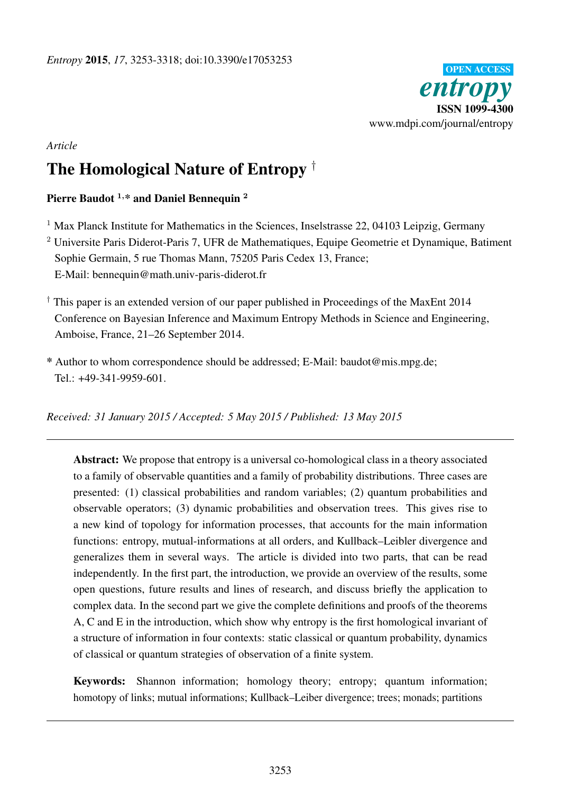

# *Article*

# The Homological Nature of Entropy †

# Pierre Baudot<sup>1,\*</sup> and Daniel Bennequin<sup>2</sup>

 $1$  Max Planck Institute for Mathematics in the Sciences, Inselstrasse 22, 04103 Leipzig, Germany

<sup>2</sup> Universite Paris Diderot-Paris 7, UFR de Mathematiques, Equipe Geometrie et Dynamique, Batiment Sophie Germain, 5 rue Thomas Mann, 75205 Paris Cedex 13, France; E-Mail: bennequin@math.univ-paris-diderot.fr

- † This paper is an extended version of our paper published in Proceedings of the MaxEnt 2014 Conference on Bayesian Inference and Maximum Entropy Methods in Science and Engineering, Amboise, France, 21–26 September 2014.
- \* Author to whom correspondence should be addressed; E-Mail: baudot@mis.mpg.de;  $Tel: +49-341-9959-601$ .

*Received: 31 January 2015 / Accepted: 5 May 2015 / Published: 13 May 2015*

Abstract: We propose that entropy is a universal co-homological class in a theory associated to a family of observable quantities and a family of probability distributions. Three cases are presented: (1) classical probabilities and random variables; (2) quantum probabilities and observable operators; (3) dynamic probabilities and observation trees. This gives rise to a new kind of topology for information processes, that accounts for the main information functions: entropy, mutual-informations at all orders, and Kullback–Leibler divergence and generalizes them in several ways. The article is divided into two parts, that can be read independently. In the first part, the introduction, we provide an overview of the results, some open questions, future results and lines of research, and discuss briefly the application to complex data. In the second part we give the complete definitions and proofs of the theorems A, C and E in the introduction, which show why entropy is the first homological invariant of a structure of information in four contexts: static classical or quantum probability, dynamics of classical or quantum strategies of observation of a finite system.

Keywords: Shannon information; homology theory; entropy; quantum information; homotopy of links; mutual informations; Kullback–Leiber divergence; trees; monads; partitions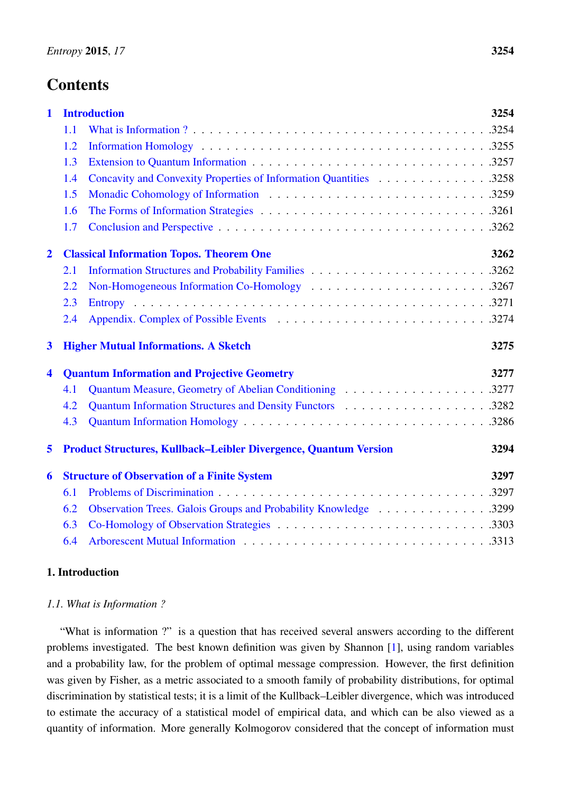# **Contents**

|     |                                                                         | 3254                                                                   |
|-----|-------------------------------------------------------------------------|------------------------------------------------------------------------|
| 1.1 |                                                                         |                                                                        |
| 1.2 |                                                                         |                                                                        |
| 1.3 |                                                                         |                                                                        |
| 1.4 | Concavity and Convexity Properties of Information Quantities 3258       |                                                                        |
| 1.5 |                                                                         |                                                                        |
| 1.6 |                                                                         |                                                                        |
| 1.7 |                                                                         |                                                                        |
|     |                                                                         | 3262                                                                   |
| 2.1 |                                                                         |                                                                        |
| 2.2 |                                                                         |                                                                        |
| 2.3 |                                                                         |                                                                        |
| 2.4 |                                                                         |                                                                        |
|     |                                                                         |                                                                        |
|     | <b>Higher Mutual Informations. A Sketch</b>                             | 3275                                                                   |
|     | <b>Quantum Information and Projective Geometry</b>                      | 3277                                                                   |
| 4.1 | Quantum Measure, Geometry of Abelian Conditioning 3277                  |                                                                        |
| 4.2 |                                                                         |                                                                        |
| 4.3 |                                                                         |                                                                        |
|     | <b>Product Structures, Kullback-Leibler Divergence, Quantum Version</b> | 3294                                                                   |
|     | <b>Structure of Observation of a Finite System</b>                      | 3297                                                                   |
| 6.1 |                                                                         |                                                                        |
| 6.2 | Observation Trees. Galois Groups and Probability Knowledge 3299         |                                                                        |
| 6.3 |                                                                         |                                                                        |
|     |                                                                         | <b>Introduction</b><br><b>Classical Information Topos. Theorem One</b> |

# <span id="page-1-0"></span>1. Introduction

## <span id="page-1-1"></span>*1.1. What is Information ?*

"What is information ?" is a question that has received several answers according to the different problems investigated. The best known definition was given by Shannon [\[1\]](#page-63-0), using random variables and a probability law, for the problem of optimal message compression. However, the first definition was given by Fisher, as a metric associated to a smooth family of probability distributions, for optimal discrimination by statistical tests; it is a limit of the Kullback–Leibler divergence, which was introduced to estimate the accuracy of a statistical model of empirical data, and which can be also viewed as a quantity of information. More generally Kolmogorov considered that the concept of information must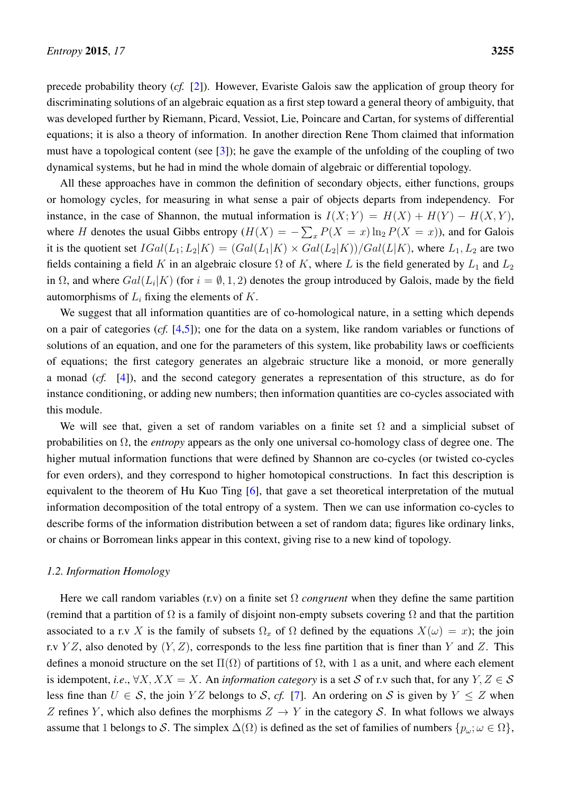precede probability theory (*cf.* [\[2\]](#page-63-1)). However, Evariste Galois saw the application of group theory for discriminating solutions of an algebraic equation as a first step toward a general theory of ambiguity, that was developed further by Riemann, Picard, Vessiot, Lie, Poincare and Cartan, for systems of differential equations; it is also a theory of information. In another direction Rene Thom claimed that information must have a topological content (see [\[3\]](#page-63-2)); he gave the example of the unfolding of the coupling of two dynamical systems, but he had in mind the whole domain of algebraic or differential topology.

All these approaches have in common the definition of secondary objects, either functions, groups or homology cycles, for measuring in what sense a pair of objects departs from independency. For instance, in the case of Shannon, the mutual information is  $I(X;Y) = H(X) + H(Y) - H(X,Y)$ , where H denotes the usual Gibbs entropy  $(H(X) = -\sum_{x} P(X = x) \ln_2 P(X = x)$ , and for Galois it is the quotient set  $IGal(L_1; L_2|K) = (Gal(L_1|K) \times Gal(L_2|K))/Gal(L|K)$ , where  $L_1, L_2$  are two fields containing a field K in an algebraic closure  $\Omega$  of K, where L is the field generated by  $L_1$  and  $L_2$ in  $\Omega$ , and where  $Gal(L_i|K)$  (for  $i = \emptyset, 1, 2$ ) denotes the group introduced by Galois, made by the field automorphisms of  $L_i$  fixing the elements of  $K$ .

We suggest that all information quantities are of co-homological nature, in a setting which depends on a pair of categories (*cf.* [\[4,](#page-63-3)[5\]](#page-63-4)); one for the data on a system, like random variables or functions of solutions of an equation, and one for the parameters of this system, like probability laws or coefficients of equations; the first category generates an algebraic structure like a monoid, or more generally a monad (*cf.* [\[4\]](#page-63-3)), and the second category generates a representation of this structure, as do for instance conditioning, or adding new numbers; then information quantities are co-cycles associated with this module.

We will see that, given a set of random variables on a finite set  $\Omega$  and a simplicial subset of probabilities on Ω, the *entropy* appears as the only one universal co-homology class of degree one. The higher mutual information functions that were defined by Shannon are co-cycles (or twisted co-cycles for even orders), and they correspond to higher homotopical constructions. In fact this description is equivalent to the theorem of Hu Kuo Ting [\[6\]](#page-63-5), that gave a set theoretical interpretation of the mutual information decomposition of the total entropy of a system. Then we can use information co-cycles to describe forms of the information distribution between a set of random data; figures like ordinary links, or chains or Borromean links appear in this context, giving rise to a new kind of topology.

## <span id="page-2-0"></span>*1.2. Information Homology*

Here we call random variables (r.v) on a finite set  $\Omega$  *congruent* when they define the same partition (remind that a partition of  $\Omega$  is a family of disjoint non-empty subsets covering  $\Omega$  and that the partition associated to a r.v X is the family of subsets  $\Omega_x$  of  $\Omega$  defined by the equations  $X(\omega) = x$ ); the join r.v YZ, also denoted by  $(Y, Z)$ , corresponds to the less fine partition that is finer than Y and Z. This defines a monoid structure on the set  $\Pi(\Omega)$  of partitions of  $\Omega$ , with 1 as a unit, and where each element is idempotent, *i.e.*,  $\forall X, XX = X$ . An *information category* is a set S of r.v such that, for any  $Y, Z \in S$ less fine than  $U \in S$ , the join YZ belongs to S, cf. [\[7\]](#page-63-6). An ordering on S is given by  $Y \leq Z$  when Z refines Y, which also defines the morphisms  $Z \to Y$  in the category S. In what follows we always assume that 1 belongs to S. The simplex  $\Delta(\Omega)$  is defined as the set of families of numbers  $\{p_{\omega}; \omega \in \Omega\}$ ,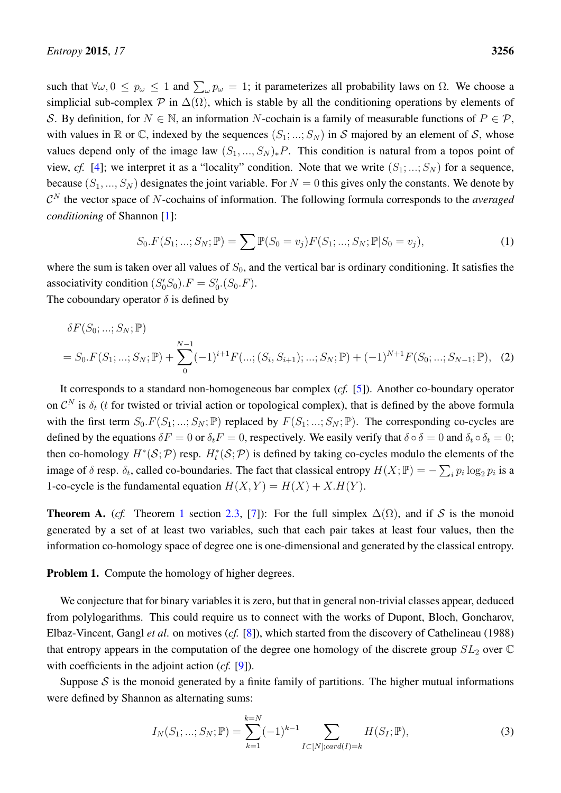such that  $\forall \omega, 0 \leq p_{\omega} \leq 1$  and  $\sum_{\omega} p_{\omega} = 1$ ; it parameterizes all probability laws on  $\Omega$ . We choose a simplicial sub-complex  $\mathcal P$  in  $\Delta(\Omega)$ , which is stable by all the conditioning operations by elements of S. By definition, for  $N \in \mathbb{N}$ , an information N-cochain is a family of measurable functions of  $P \in \mathcal{P}$ , with values in  $\mathbb R$  or  $\mathbb C$ , indexed by the sequences  $(S_1; \dots; S_N)$  in S majored by an element of S, whose values depend only of the image law  $(S_1, ..., S_N)_*P$ . This condition is natural from a topos point of view, *cf.* [\[4\]](#page-63-3); we interpret it as a "locality" condition. Note that we write  $(S_1; \ldots; S_N)$  for a sequence, because  $(S_1, ..., S_N)$  designates the joint variable. For  $N = 0$  this gives only the constants. We denote by  $\mathcal{C}^N$  the vector space of N-cochains of information. The following formula corresponds to the *averaged conditioning* of Shannon [\[1\]](#page-63-0):

<span id="page-3-0"></span>
$$
S_0.F(S_1; ...; S_N; \mathbb{P}) = \sum \mathbb{P}(S_0 = v_j)F(S_1; ...; S_N; \mathbb{P}|S_0 = v_j),
$$
\n(1)

where the sum is taken over all values of  $S_0$ , and the vertical bar is ordinary conditioning. It satisfies the associativity condition  $(S'_0S_0).F = S'_0.(S_0.F).$ 

The coboundary operator  $\delta$  is defined by

$$
\delta F(S_0; \ldots; S_N; \mathbb{P})
$$
  
=  $S_0.F(S_1; \ldots; S_N; \mathbb{P}) + \sum_{0}^{N-1} (-1)^{i+1} F(\ldots; (S_i, S_{i+1}); \ldots; S_N; \mathbb{P}) + (-1)^{N+1} F(S_0; \ldots; S_{N-1}; \mathbb{P}),$  (2)

It corresponds to a standard non-homogeneous bar complex (*cf.* [\[5\]](#page-63-4)). Another co-boundary operator on  $\mathcal{C}^N$  is  $\delta_t$  (t for twisted or trivial action or topological complex), that is defined by the above formula with the first term  $S_0.F(S_1; ...; S_N; \mathbb{P})$  replaced by  $F(S_1; ...; S_N; \mathbb{P})$ . The corresponding co-cycles are defined by the equations  $\delta F = 0$  or  $\delta_t F = 0$ , respectively. We easily verify that  $\delta \circ \delta = 0$  and  $\delta_t \circ \delta_t = 0$ ; then co-homology  $H^*(S; \mathcal{P})$  resp.  $H_t^*(S; \mathcal{P})$  is defined by taking co-cycles modulo the elements of the image of  $\delta$  resp.  $\delta_t$ , called co-boundaries. The fact that classical entropy  $H(X; \mathbb{P}) = -\sum_i p_i \log_2 p_i$  is a 1-co-cycle is the fundamental equation  $H(X, Y) = H(X) + X.H(Y)$ .

**Theorem A.** (*cf.* Theorem [1](#page-20-0) section [2.3,](#page-18-0) [\[7\]](#page-63-6)): For the full simplex  $\Delta(\Omega)$ , and if S is the monoid generated by a set of at least two variables, such that each pair takes at least four values, then the information co-homology space of degree one is one-dimensional and generated by the classical entropy.

Problem 1. Compute the homology of higher degrees.

We conjecture that for binary variables it is zero, but that in general non-trivial classes appear, deduced from polylogarithms. This could require us to connect with the works of Dupont, Bloch, Goncharov, Elbaz-Vincent, Gangl *et al*. on motives (*cf.* [\[8\]](#page-63-7)), which started from the discovery of Cathelineau (1988) that entropy appears in the computation of the degree one homology of the discrete group  $SL_2$  over  $\mathbb C$ with coefficients in the adjoint action (*cf.* [\[9\]](#page-63-8)).

Suppose  $S$  is the monoid generated by a finite family of partitions. The higher mutual informations were defined by Shannon as alternating sums:

$$
I_N(S_1; \dots; S_N; \mathbb{P}) = \sum_{k=1}^{k=N} (-1)^{k-1} \sum_{I \subset [N]; card(I) = k} H(S_I; \mathbb{P}),
$$
\n(3)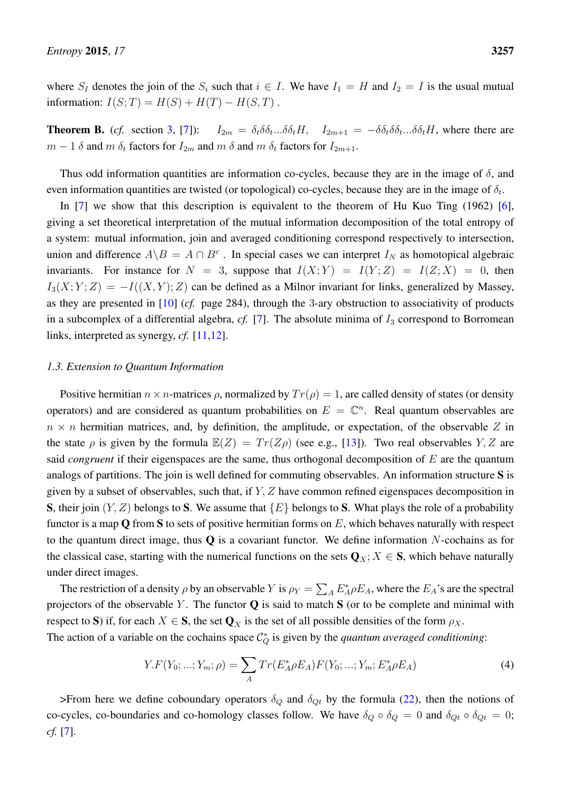where  $S_I$  denotes the join of the  $S_i$  such that  $i \in I$ . We have  $I_1 = H$  and  $I_2 = I$  is the usual mutual information:  $I(S;T) = H(S) + H(T) - H(S,T)$ .

**Theorem B.** (*cf.* section [3,](#page-22-0) [\[7\]](#page-63-6)):  $I_{2m} = \delta_t \delta \delta_t ... \delta \delta_t H$ ,  $I_{2m+1} = -\delta \delta_t \delta \delta_t ... \delta \delta_t H$ , where there are  $m-1$   $\delta$  and  $m$   $\delta_t$  factors for  $I_{2m}$  and  $m$   $\delta$  and  $m$   $\delta_t$  factors for  $I_{2m+1}$ .

Thus odd information quantities are information co-cycles, because they are in the image of  $\delta$ , and even information quantities are twisted (or topological) co-cycles, because they are in the image of  $\delta_t$ .

In [\[7\]](#page-63-6) we show that this description is equivalent to the theorem of Hu Kuo Ting (1962) [\[6\]](#page-63-5), giving a set theoretical interpretation of the mutual information decomposition of the total entropy of a system: mutual information, join and averaged conditioning correspond respectively to intersection, union and difference  $A \backslash B = A \cap B^c$ . In special cases we can interpret  $I_N$  as homotopical algebraic invariants. For instance for  $N = 3$ , suppose that  $I(X;Y) = I(Y;Z) = I(Z;X) = 0$ , then  $I_3(X; Y; Z) = -I((X, Y); Z)$  can be defined as a Milnor invariant for links, generalized by Massey, as they are presented in [\[10\]](#page-63-9) (*cf.* page 284), through the 3-ary obstruction to associativity of products in a subcomplex of a differential algebra,  $cf.$  [\[7\]](#page-63-6). The absolute minima of  $I_3$  correspond to Borromean links, interpreted as synergy, *cf.* [\[11](#page-63-10)[,12\]](#page-63-11).

#### <span id="page-4-0"></span>*1.3. Extension to Quantum Information*

Positive hermitian  $n \times n$ -matrices  $\rho$ , normalized by  $Tr(\rho) = 1$ , are called density of states (or density operators) and are considered as quantum probabilities on  $E = \mathbb{C}^n$ . Real quantum observables are  $n \times n$  hermitian matrices, and, by definition, the amplitude, or expectation, of the observable Z in the state  $\rho$  is given by the formula  $\mathbb{E}(Z) = Tr(Z\rho)$  (see e.g., [\[13\]](#page-63-12)). Two real observables Y, Z are said *congruent* if their eigenspaces are the same, thus orthogonal decomposition of E are the quantum analogs of partitions. The join is well defined for commuting observables. An information structure S is given by a subset of observables, such that, if Y, Z have common refined eigenspaces decomposition in **S**, their join  $(Y, Z)$  belongs to S. We assume that  $\{E\}$  belongs to S. What plays the role of a probability functor is a map Q from S to sets of positive hermitian forms on  $E$ , which behaves naturally with respect to the quantum direct image, thus  $Q$  is a covariant functor. We define information N-cochains as for the classical case, starting with the numerical functions on the sets  $Q_X$ ;  $X \in S$ , which behave naturally under direct images.

The restriction of a density  $\rho$  by an observable Y is  $\rho_Y = \sum_A E_A^* \rho E_A$ , where the  $E_A$ 's are the spectral projectors of the observable Y. The functor  $Q$  is said to match  $S$  (or to be complete and minimal with respect to S) if, for each  $X \in S$ , the set  $\mathbf{Q}_X$  is the set of all possible densities of the form  $\rho_X$ .

The action of a variable on the cochains space  $\mathcal{C}_Q^*$  is given by the *quantum averaged conditioning*:

$$
Y.F(Y_0; ...; Y_m; \rho) = \sum_{A} Tr(E_A^* \rho E_A) F(Y_0; ...; Y_m; E_A^* \rho E_A)
$$
\n(4)

>From here we define coboundary operators  $\delta_Q$  and  $\delta_{Qt}$  by the formula [\(22\)](#page-15-0), then the notions of co-cycles, co-boundaries and co-homology classes follow. We have  $\delta_Q \circ \delta_Q = 0$  and  $\delta_{Qt} \circ \delta_{Qt} = 0$ ; *cf.* [\[7\]](#page-63-6).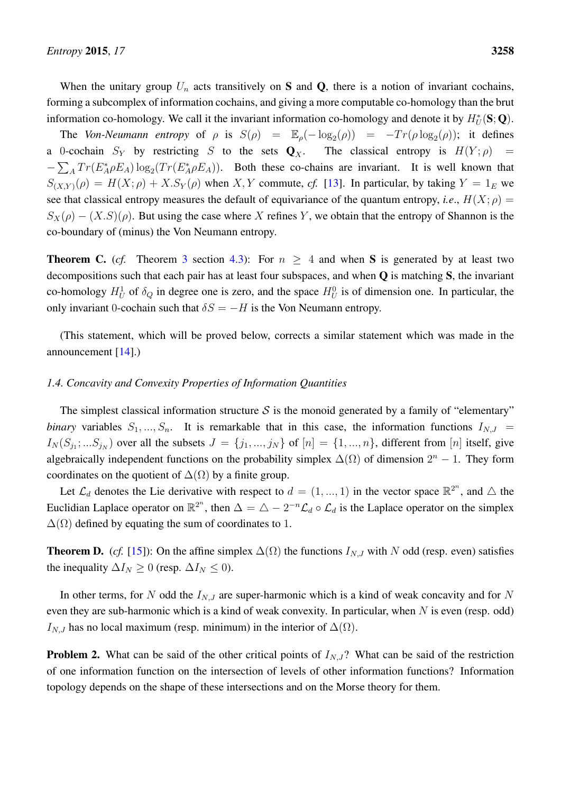When the unitary group  $U_n$  acts transitively on S and Q, there is a notion of invariant cochains, forming a subcomplex of information cochains, and giving a more computable co-homology than the brut information co-homology. We call it the invariant information co-homology and denote it by  $H^*_U(\mathbf{S};\mathbf{Q})$ .

The *Von-Neumann entropy* of  $\rho$  is  $S(\rho) = \mathbb{E}_{\rho}(-\log_2(\rho)) = -Tr(\rho \log_2(\rho))$ ; it defines a 0-cochain  $S_Y$  by restricting S to the sets  $\mathbf{Q}_X$ . The classical entropy is  $H(Y; \rho)$  =  $-\sum_{A} Tr(E_{A}^{*} \rho E_{A}) \log_{2}(Tr(E_{A}^{*} \rho E_{A}))$ . Both these co-chains are invariant. It is well known that  $S_{(X,Y)}(\rho) = H(X;\rho) + X.S_Y(\rho)$  when X, Y commute, cf. [\[13\]](#page-63-12). In particular, by taking  $Y = 1_E$  we see that classical entropy measures the default of equivariance of the quantum entropy, *i.e.*,  $H(X; \rho)$  =  $S_X(\rho) - (X.S)(\rho)$ . But using the case where X refines Y, we obtain that the entropy of Shannon is the co-boundary of (minus) the Von Neumann entropy.

**Theorem C.** (*cf.* Theorem [3](#page-37-0) section [4.3\)](#page-33-0): For  $n \geq 4$  and when S is generated by at least two decompositions such that each pair has at least four subspaces, and when Q is matching S, the invariant co-homology  $H_U^1$  of  $\delta_Q$  in degree one is zero, and the space  $H_U^0$  is of dimension one. In particular, the only invariant 0-cochain such that  $\delta S = -H$  is the Von Neumann entropy.

(This statement, which will be proved below, corrects a similar statement which was made in the announcement [\[14\]](#page-63-13).)

## <span id="page-5-0"></span>*1.4. Concavity and Convexity Properties of Information Quantities*

The simplest classical information structure S is the monoid generated by a family of "elementary" *binary* variables  $S_1, ..., S_n$ . It is remarkable that in this case, the information functions  $I_{N,J}$  =  $I_N(S_{j_1};...S_{j_N})$  over all the subsets  $J = \{j_1,...,j_N\}$  of  $[n] = \{1,...,n\}$ , different from  $[n]$  itself, give algebraically independent functions on the probability simplex  $\Delta(\Omega)$  of dimension  $2^n - 1$ . They form coordinates on the quotient of  $\Delta(\Omega)$  by a finite group.

Let  $\mathcal{L}_d$  denotes the Lie derivative with respect to  $d = (1, ..., 1)$  in the vector space  $\mathbb{R}^{2^n}$ , and  $\triangle$  the Euclidian Laplace operator on  $\mathbb{R}^{2^n}$ , then  $\Delta = \Delta - 2^{-n} \mathcal{L}_d \circ \mathcal{L}_d$  is the Laplace operator on the simplex  $\Delta(\Omega)$  defined by equating the sum of coordinates to 1.

**Theorem D.** (*cf.* [\[15\]](#page-63-14)): On the affine simplex  $\Delta(\Omega)$  the functions  $I_{N,J}$  with N odd (resp. even) satisfies the inequality  $\Delta I_N \geq 0$  (resp.  $\Delta I_N \leq 0$ ).

In other terms, for N odd the  $I_{N,J}$  are super-harmonic which is a kind of weak concavity and for N even they are sub-harmonic which is a kind of weak convexity. In particular, when  $N$  is even (resp. odd)  $I_{N,J}$  has no local maximum (resp. minimum) in the interior of  $\Delta(\Omega)$ .

**Problem 2.** What can be said of the other critical points of  $I_{N,J}$ ? What can be said of the restriction of one information function on the intersection of levels of other information functions? Information topology depends on the shape of these intersections and on the Morse theory for them.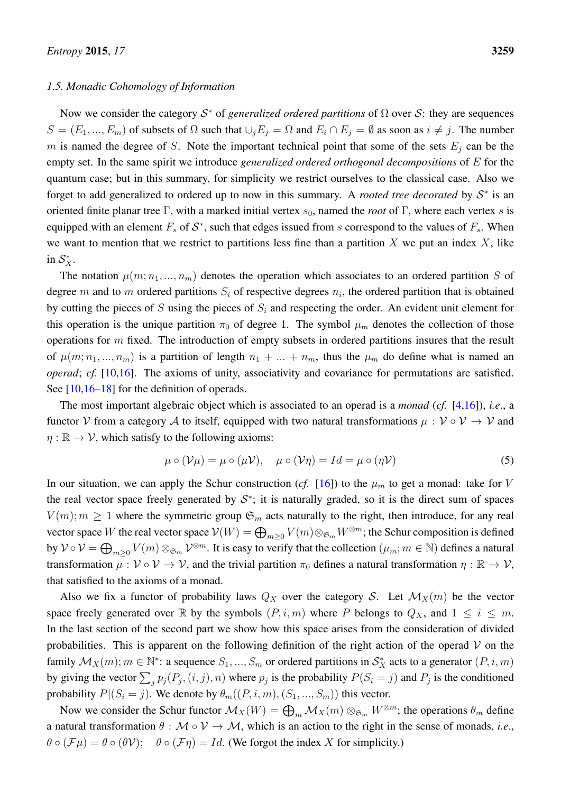#### <span id="page-6-0"></span>*1.5. Monadic Cohomology of Information*

Now we consider the category  $S^*$  of *generalized ordered partitions* of  $\Omega$  over S: they are sequences  $S = (E_1, ..., E_m)$  of subsets of  $\Omega$  such that  $\cup_j E_j = \Omega$  and  $E_i \cap E_j = \emptyset$  as soon as  $i \neq j$ . The number m is named the degree of S. Note the important technical point that some of the sets  $E_i$  can be the empty set. In the same spirit we introduce *generalized ordered orthogonal decompositions* of E for the quantum case; but in this summary, for simplicity we restrict ourselves to the classical case. Also we forget to add generalized to ordered up to now in this summary. A *rooted tree decorated* by  $S^*$  is an oriented finite planar tree Γ, with a marked initial vertex  $s_0$ , named the *root* of Γ, where each vertex s is equipped with an element  $F_s$  of  $S^*$ , such that edges issued from s correspond to the values of  $F_s$ . When we want to mention that we restrict to partitions less fine than a partition X we put an index X, like in  $\mathcal{S}_X^*$ .

The notation  $\mu(m; n_1, ..., n_m)$  denotes the operation which associates to an ordered partition S of degree m and to m ordered partitions  $S_i$  of respective degrees  $n_i$ , the ordered partition that is obtained by cutting the pieces of S using the pieces of  $S_i$  and respecting the order. An evident unit element for this operation is the unique partition  $\pi_0$  of degree 1. The symbol  $\mu_m$  denotes the collection of those operations for  $m$  fixed. The introduction of empty subsets in ordered partitions insures that the result of  $\mu(m; n_1, ..., n_m)$  is a partition of length  $n_1 + ... + n_m$ , thus the  $\mu_m$  do define what is named an *operad*; *cf.* [\[10](#page-63-9)[,16\]](#page-63-15). The axioms of unity, associativity and covariance for permutations are satisfied. See [\[10,](#page-63-9)[16–](#page-63-15)[18\]](#page-63-16) for the definition of operads.

The most important algebraic object which is associated to an operad is a *monad* (*cf.* [\[4,](#page-63-3)[16\]](#page-63-15)), *i.e*., a functor V from a category A to itself, equipped with two natural transformations  $\mu : V \circ V \to V$  and  $\eta : \mathbb{R} \to V$ , which satisfy to the following axioms:

$$
\mu \circ (\mathcal{V}\mu) = \mu \circ (\mu \mathcal{V}), \quad \mu \circ (\mathcal{V}\eta) = Id = \mu \circ (\eta \mathcal{V})
$$
\n<sup>(5)</sup>

In our situation, we can apply the Schur construction (*cf.* [\[16\]](#page-63-15)) to the  $\mu_m$  to get a monad: take for V the real vector space freely generated by  $S^*$ ; it is naturally graded, so it is the direct sum of spaces  $V(m)$ ;  $m \geq 1$  where the symmetric group  $\mathfrak{S}_m$  acts naturally to the right, then introduce, for any real vector space W the real vector space  $V(W) = \bigoplus_{m \geq 0} V(m) \otimes_{\mathfrak{S}_m} W^{\otimes m}$ ; the Schur composition is defined by  $\mathcal{V} \circ \mathcal{V} = \bigoplus_{m \geq 0} V(m) \otimes_{\mathfrak{S}_m} \mathcal{V}^{\otimes m}$ . It is easy to verify that the collection  $(\mu_m; m \in \mathbb{N})$  defines a natural transformation  $\mu: V \circ V \to V$ , and the trivial partition  $\pi_0$  defines a natural transformation  $\eta: \mathbb{R} \to V$ , that satisfied to the axioms of a monad.

Also we fix a functor of probability laws  $Q_X$  over the category S. Let  $\mathcal{M}_X(m)$  be the vector space freely generated over R by the symbols  $(P, i, m)$  where P belongs to  $Q_X$ , and  $1 \le i \le m$ . In the last section of the second part we show how this space arises from the consideration of divided probabilities. This is apparent on the following definition of the right action of the operad  $V$  on the family  $\mathcal{M}_X(m)$ ;  $m \in \mathbb{N}^*$ : a sequence  $S_1, ..., S_m$  or ordered partitions in  $\mathcal{S}_X^*$  acts to a generator  $(P, i, m)$ by giving the vector  $\sum_j p_j(P_j, (i, j), n)$  where  $p_j$  is the probability  $P(S_i = j)$  and  $P_j$  is the conditioned probability  $P|(S_i = j)$ . We denote by  $\theta_m((P, i, m), (S_1, ..., S_m))$  this vector.

Now we consider the Schur functor  $\mathcal{M}_X(W) = \bigoplus_m \mathcal{M}_X(m) \otimes_{\mathfrak{S}_m} W^{\otimes m}$ ; the operations  $\theta_m$  define a natural transformation  $\theta : \mathcal{M} \circ \mathcal{V} \to \mathcal{M}$ , which is an action to the right in the sense of monads, *i.e.*,  $\theta \circ (\mathcal{F}\mu) = \theta \circ (\theta \mathcal{V}); \quad \theta \circ (\mathcal{F}\eta) = Id.$  (We forgot the index X for simplicity.)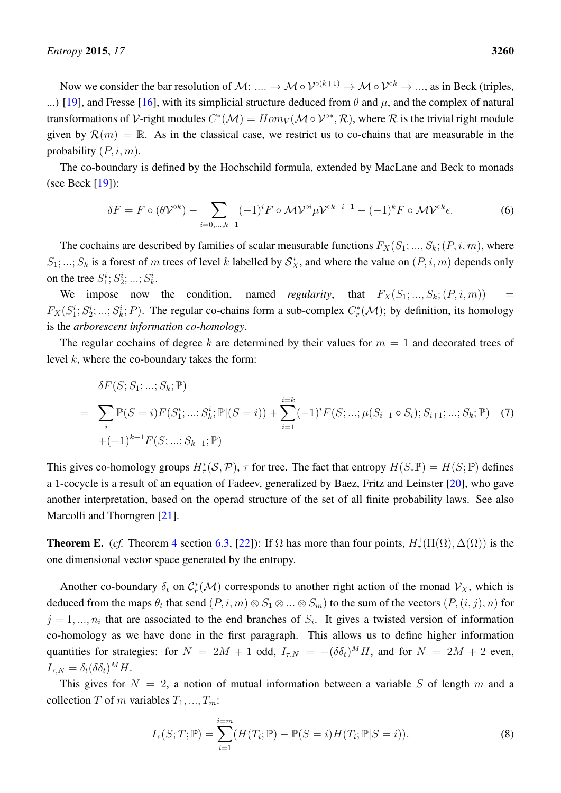Now we consider the bar resolution of M: ....  $\to M \circ \mathcal{V}^{\circ(k+1)} \to M \circ \mathcal{V}^{\circ k} \to ...$ , as in Beck (triples, ...) [\[19\]](#page-64-0), and Fresse [\[16\]](#page-63-15), with its simplicial structure deduced from  $\theta$  and  $\mu$ , and the complex of natural transformations of V-right modules  $C^*(\mathcal{M}) = Hom_V(\mathcal{M} \circ \mathcal{V}^{0*}, \mathcal{R})$ , where  $\mathcal R$  is the trivial right module given by  $\mathcal{R}(m) = \mathbb{R}$ . As in the classical case, we restrict us to co-chains that are measurable in the probability  $(P, i, m)$ .

The co-boundary is defined by the Hochschild formula, extended by MacLane and Beck to monads (see Beck [\[19\]](#page-64-0)):

$$
\delta F = F \circ (\theta \mathcal{V}^{\circ k}) - \sum_{i=0,\dots,k-1} (-1)^i F \circ \mathcal{M} \mathcal{V}^{\circ i} \mu \mathcal{V}^{\circ k-i-1} - (-1)^k F \circ \mathcal{M} \mathcal{V}^{\circ k} \epsilon.
$$
 (6)

The cochains are described by families of scalar measurable functions  $F_X(S_1; ..., S_k; (P, i, m))$ , where  $S_1; \dots; S_k$  is a forest of m trees of level k labelled by  $S_X^*$ , and where the value on  $(P, i, m)$  depends only on the tree  $S_1^i; S_2^i; ...; S_k^i$ .

We impose now the condition, named *regularity*, that  $F_X(S_1; \ldots, S_k; (P, i, m))$  =  $F_X(S_1^i; S_2^i; ...; S_k^i; P)$ . The regular co-chains form a sub-complex  $C_r^*(\mathcal{M})$ ; by definition, its homology is the *arborescent information co-homology*.

The regular cochains of degree k are determined by their values for  $m = 1$  and decorated trees of level  $k$ , where the co-boundary takes the form:

$$
\delta F(S; S_1; \dots; S_k; \mathbb{P})
$$
\n
$$
= \sum_i \mathbb{P}(S = i) F(S_1^i; \dots; S_k^i; \mathbb{P}|(S = i)) + \sum_{i=1}^{i=k} (-1)^i F(S; \dots; \mu(S_{i-1} \circ S_i); S_{i+1}; \dots; S_k; \mathbb{P}) \tag{7}
$$
\n
$$
+ (-1)^{k+1} F(S; \dots; S_{k-1}; \mathbb{P})
$$

This gives co-homology groups  $H^*_\tau(\mathcal{S}, \mathcal{P})$ ,  $\tau$  for tree. The fact that entropy  $H(S_*\mathbb{P}) = H(S; \mathbb{P})$  defines a 1-cocycle is a result of an equation of Fadeev, generalized by Baez, Fritz and Leinster [\[20\]](#page-64-1), who gave another interpretation, based on the operad structure of the set of all finite probability laws. See also Marcolli and Thorngren [\[21\]](#page-64-2).

**Theorem E.** (*cf.* Theorem [4](#page-60-1) section [6.3,](#page-50-0) [\[22\]](#page-64-3)): If  $\Omega$  has more than four points,  $H^1_\tau(\Pi(\Omega), \Delta(\Omega))$  is the one dimensional vector space generated by the entropy.

Another co-boundary  $\delta_t$  on  $C_r^*(\mathcal{M})$  corresponds to another right action of the monad  $\mathcal{V}_X$ , which is deduced from the maps  $\theta_t$  that send  $(P, i, m) \otimes S_1 \otimes ... \otimes S_m)$  to the sum of the vectors  $(P, (i, j), n)$  for  $j = 1, ..., n_i$  that are associated to the end branches of  $S_i$ . It gives a twisted version of information co-homology as we have done in the first paragraph. This allows us to define higher information quantities for strategies: for  $N = 2M + 1$  odd,  $I_{\tau,N} = -(\delta \delta_t)^M H$ , and for  $N = 2M + 2$  even,  $I_{\tau,N} = \delta_t (\delta \delta_t)^M H.$ 

This gives for  $N = 2$ , a notion of mutual information between a variable S of length m and a collection T of m variables  $T_1, ..., T_m$ :

$$
I_{\tau}(S;T; \mathbb{P}) = \sum_{i=1}^{i=m} (H(T_i; \mathbb{P}) - \mathbb{P}(S = i)H(T_i; \mathbb{P}|S = i)).
$$
\n(8)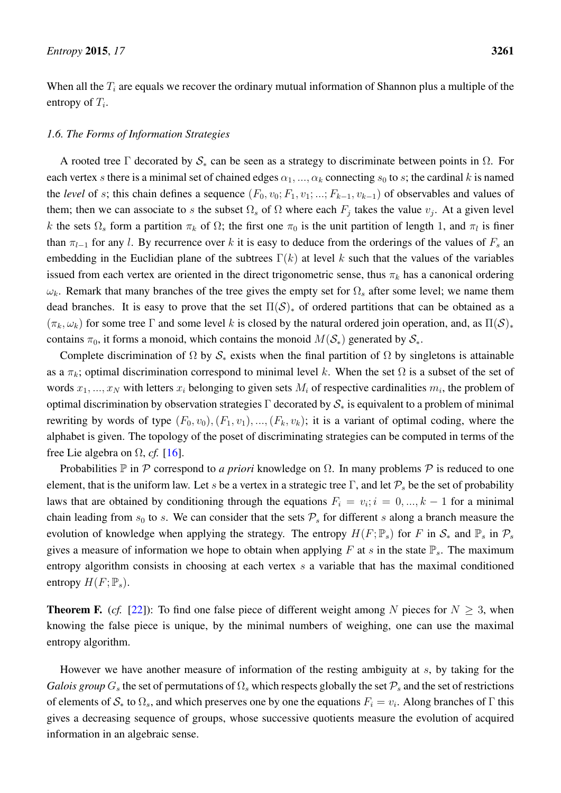When all the  $T_i$  are equals we recover the ordinary mutual information of Shannon plus a multiple of the entropy of  $T_i$ .

## <span id="page-8-0"></span>*1.6. The Forms of Information Strategies*

A rooted tree Γ decorated by  $S_*$  can be seen as a strategy to discriminate between points in  $\Omega$ . For each vertex s there is a minimal set of chained edges  $\alpha_1, ..., \alpha_k$  connecting  $s_0$  to s; the cardinal k is named the *level* of s; this chain defines a sequence  $(F_0, v_0; F_1, v_1; ...; F_{k-1}, v_{k-1})$  of observables and values of them; then we can associate to s the subset  $\Omega_s$  of  $\Omega$  where each  $F_j$  takes the value  $v_j$ . At a given level k the sets  $\Omega_s$  form a partition  $\pi_k$  of  $\Omega$ ; the first one  $\pi_0$  is the unit partition of length 1, and  $\pi_l$  is finer than  $\pi_{l-1}$  for any l. By recurrence over k it is easy to deduce from the orderings of the values of  $F_s$  an embedding in the Euclidian plane of the subtrees  $\Gamma(k)$  at level k such that the values of the variables issued from each vertex are oriented in the direct trigonometric sense, thus  $\pi_k$  has a canonical ordering  $\omega_k$ . Remark that many branches of the tree gives the empty set for  $\Omega_s$  after some level; we name them dead branches. It is easy to prove that the set  $\Pi(S)_*$  of ordered partitions that can be obtained as a  $(\pi_k, \omega_k)$  for some tree Γ and some level k is closed by the natural ordered join operation, and, as  $\Pi(\mathcal{S})_*$ contains  $\pi_0$ , it forms a monoid, which contains the monoid  $M(S_*)$  generated by  $S_*$ .

Complete discrimination of  $\Omega$  by  $S_*$  exists when the final partition of  $\Omega$  by singletons is attainable as a  $\pi_k$ ; optimal discrimination correspond to minimal level k. When the set  $\Omega$  is a subset of the set of words  $x_1, ..., x_N$  with letters  $x_i$  belonging to given sets  $M_i$  of respective cardinalities  $m_i$ , the problem of optimal discrimination by observation strategies  $\Gamma$  decorated by  $S_*$  is equivalent to a problem of minimal rewriting by words of type  $(F_0, v_0), (F_1, v_1), ..., (F_k, v_k)$ ; it is a variant of optimal coding, where the alphabet is given. The topology of the poset of discriminating strategies can be computed in terms of the free Lie algebra on  $\Omega$ , *cf.* [\[16\]](#page-63-15).

Probabilities  $\mathbb P$  in  $\mathcal P$  correspond to *a priori* knowledge on  $\Omega$ . In many problems  $\mathcal P$  is reduced to one element, that is the uniform law. Let s be a vertex in a strategic tree Γ, and let  $\mathcal{P}_s$  be the set of probability laws that are obtained by conditioning through the equations  $F_i = v_i; i = 0, ..., k - 1$  for a minimal chain leading from  $s_0$  to s. We can consider that the sets  $P_s$  for different s along a branch measure the evolution of knowledge when applying the strategy. The entropy  $H(F; \mathbb{P}_s)$  for F in  $\mathcal{S}_*$  and  $\mathbb{P}_s$  in  $\mathcal{P}_s$ gives a measure of information we hope to obtain when applying F at s in the state  $\mathbb{P}_s$ . The maximum entropy algorithm consists in choosing at each vertex s a variable that has the maximal conditioned entropy  $H(F; \mathbb{P}_s)$ .

**Theorem F.** (*cf.* [\[22\]](#page-64-3)): To find one false piece of different weight among N pieces for  $N \geq 3$ , when knowing the false piece is unique, by the minimal numbers of weighing, one can use the maximal entropy algorithm.

However we have another measure of information of the resting ambiguity at  $s$ , by taking for the *Galois group*  $G_s$  the set of permutations of  $\Omega_s$  which respects globally the set  $\mathcal{P}_s$  and the set of restrictions of elements of  $S_*$  to  $\Omega_s$ , and which preserves one by one the equations  $F_i = v_i$ . Along branches of  $\Gamma$  this gives a decreasing sequence of groups, whose successive quotients measure the evolution of acquired information in an algebraic sense.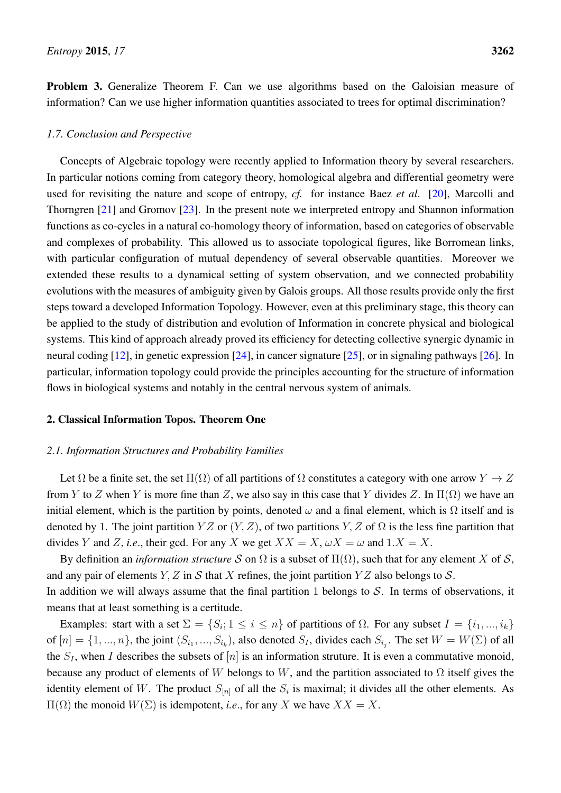Problem 3. Generalize Theorem F. Can we use algorithms based on the Galoisian measure of information? Can we use higher information quantities associated to trees for optimal discrimination?

## <span id="page-9-0"></span>*1.7. Conclusion and Perspective*

Concepts of Algebraic topology were recently applied to Information theory by several researchers. In particular notions coming from category theory, homological algebra and differential geometry were used for revisiting the nature and scope of entropy, *cf.* for instance Baez *et al*. [\[20\]](#page-64-1), Marcolli and Thorngren [\[21\]](#page-64-2) and Gromov [\[23\]](#page-64-4). In the present note we interpreted entropy and Shannon information functions as co-cycles in a natural co-homology theory of information, based on categories of observable and complexes of probability. This allowed us to associate topological figures, like Borromean links, with particular configuration of mutual dependency of several observable quantities. Moreover we extended these results to a dynamical setting of system observation, and we connected probability evolutions with the measures of ambiguity given by Galois groups. All those results provide only the first steps toward a developed Information Topology. However, even at this preliminary stage, this theory can be applied to the study of distribution and evolution of Information in concrete physical and biological systems. This kind of approach already proved its efficiency for detecting collective synergic dynamic in neural coding  $[12]$ , in genetic expression  $[24]$ , in cancer signature  $[25]$ , or in signaling pathways  $[26]$ . In particular, information topology could provide the principles accounting for the structure of information flows in biological systems and notably in the central nervous system of animals.

## <span id="page-9-1"></span>2. Classical Information Topos. Theorem One

### <span id="page-9-2"></span>*2.1. Information Structures and Probability Families*

Let  $\Omega$  be a finite set, the set  $\Pi(\Omega)$  of all partitions of  $\Omega$  constitutes a category with one arrow  $Y \to Z$ from Y to Z when Y is more fine than Z, we also say in this case that Y divides Z. In  $\Pi(\Omega)$  we have an initial element, which is the partition by points, denoted  $\omega$  and a final element, which is  $\Omega$  itself and is denoted by 1. The joint partition  $YZ$  or  $(Y, Z)$ , of two partitions  $Y, Z$  of  $\Omega$  is the less fine partition that divides Y and Z, *i.e.*, their gcd. For any X we get  $XX = X$ ,  $\omega X = \omega$  and  $1.X = X$ .

By definition an *information structure* S on  $\Omega$  is a subset of  $\Pi(\Omega)$ , such that for any element X of S, and any pair of elements Y, Z in S that X refines, the joint partition Y Z also belongs to S. In addition we will always assume that the final partition 1 belongs to  $S$ . In terms of observations, it means that at least something is a certitude.

Examples: start with a set  $\Sigma = \{S_i; 1 \le i \le n\}$  of partitions of  $\Omega$ . For any subset  $I = \{i_1, ..., i_k\}$ of  $[n] = \{1, ..., n\}$ , the joint  $(S_{i_1}, ..., S_{i_k})$ , also denoted  $S_I$ , divides each  $S_{i_j}$ . The set  $W = W(\Sigma)$  of all the  $S_I$ , when I describes the subsets of [n] is an information struture. It is even a commutative monoid, because any product of elements of W belongs to W, and the partition associated to  $\Omega$  itself gives the identity element of W. The product  $S_{[n]}$  of all the  $S_i$  is maximal; it divides all the other elements. As  $\Pi(\Omega)$  the monoid  $W(\Sigma)$  is idempotent, *i.e.*, for any X we have  $XX = X$ .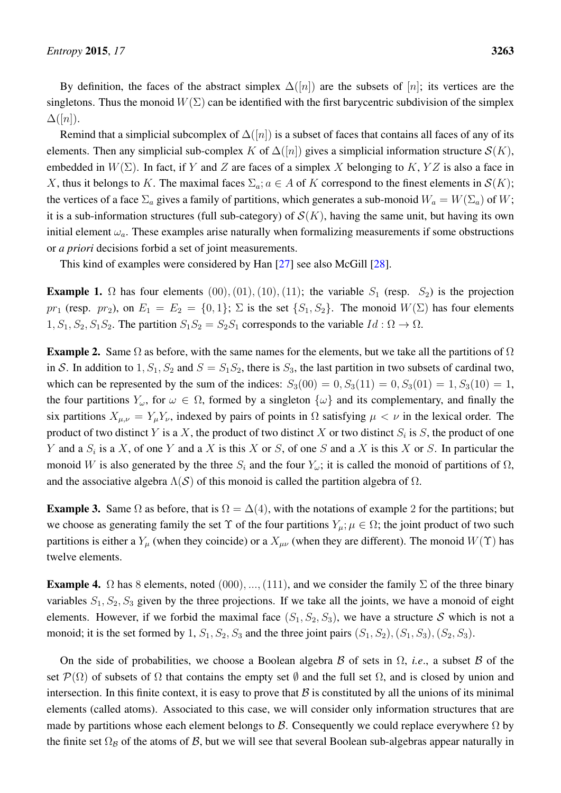By definition, the faces of the abstract simplex  $\Delta([n])$  are the subsets of [n]; its vertices are the singletons. Thus the monoid  $W(\Sigma)$  can be identified with the first barycentric subdivision of the simplex  $\Delta([n]).$ 

Remind that a simplicial subcomplex of  $\Delta([n])$  is a subset of faces that contains all faces of any of its elements. Then any simplicial sub-complex K of  $\Delta([n])$  gives a simplicial information structure  $\mathcal{S}(K)$ , embedded in  $W(\Sigma)$ . In fact, if Y and Z are faces of a simplex X belonging to K, YZ is also a face in X, thus it belongs to K. The maximal faces  $\Sigma_a$ ;  $a \in A$  of K correspond to the finest elements in  $\mathcal{S}(K)$ ; the vertices of a face  $\Sigma_a$  gives a family of partitions, which generates a sub-monoid  $W_a = W(\Sigma_a)$  of W; it is a sub-information structures (full sub-category) of  $\mathcal{S}(K)$ , having the same unit, but having its own initial element  $\omega_a$ . These examples arise naturally when formalizing measurements if some obstructions or *a priori* decisions forbid a set of joint measurements.

This kind of examples were considered by Han [\[27\]](#page-64-8) see also McGill [\[28\]](#page-64-9).

<span id="page-10-0"></span>**Example 1.**  $\Omega$  has four elements  $(00), (01), (10), (11)$ ; the variable  $S_1$  (resp.  $S_2$ ) is the projection pr<sub>1</sub> (resp. pr<sub>2</sub>), on  $E_1 = E_2 = \{0, 1\}$ ;  $\Sigma$  is the set  $\{S_1, S_2\}$ . The monoid  $W(\Sigma)$  has four elements  $1, S_1, S_2, S_1S_2$ . The partition  $S_1S_2 = S_2S_1$  corresponds to the variable  $Id : \Omega \to \Omega$ .

**Example 2.** Same  $\Omega$  as before, with the same names for the elements, but we take all the partitions of  $\Omega$ in S. In addition to 1,  $S_1$ ,  $S_2$  and  $S = S_1S_2$ , there is  $S_3$ , the last partition in two subsets of cardinal two, which can be represented by the sum of the indices:  $S_3(00) = 0, S_3(11) = 0, S_3(01) = 1, S_3(10) = 1$ , the four partitions  $Y_\omega$ , for  $\omega \in \Omega$ , formed by a singleton  $\{\omega\}$  and its complementary, and finally the six partitions  $X_{\mu,\nu} = Y_{\mu}Y_{\nu}$ , indexed by pairs of points in  $\Omega$  satisfying  $\mu < \nu$  in the lexical order. The product of two distinct Y is a X, the product of two distinct X or two distinct  $S_i$  is S, the product of one Y and a  $S_i$  is a X, of one Y and a X is this X or S, of one S and a X is this X or S. In particular the monoid W is also generated by the three  $S_i$  and the four  $Y_{\omega}$ ; it is called the monoid of partitions of  $\Omega$ , and the associative algebra  $\Lambda(S)$  of this monoid is called the partition algebra of  $\Omega$ .

**Example 3.** Same  $\Omega$  as before, that is  $\Omega = \Delta(4)$ , with the notations of example 2 for the partitions; but we choose as generating family the set  $\Upsilon$  of the four partitions  $Y_{\mu}$ ;  $\mu \in \Omega$ ; the joint product of two such partitions is either a  $Y_\mu$  (when they coincide) or a  $X_{\mu\nu}$  (when they are different). The monoid  $W(\Upsilon)$  has twelve elements.

**Example 4.**  $\Omega$  has 8 elements, noted (000), ..., (111), and we consider the family  $\Sigma$  of the three binary variables  $S_1, S_2, S_3$  given by the three projections. If we take all the joints, we have a monoid of eight elements. However, if we forbid the maximal face  $(S_1, S_2, S_3)$ , we have a structure S which is not a monoid; it is the set formed by 1,  $S_1$ ,  $S_2$ ,  $S_3$  and the three joint pairs  $(S_1, S_2), (S_1, S_3), (S_2, S_3)$ .

On the side of probabilities, we choose a Boolean algebra B of sets in  $\Omega$ , *i.e.*, a subset B of the set  $\mathcal{P}(\Omega)$  of subsets of  $\Omega$  that contains the empty set  $\emptyset$  and the full set  $\Omega$ , and is closed by union and intersection. In this finite context, it is easy to prove that  $\beta$  is constituted by all the unions of its minimal elements (called atoms). Associated to this case, we will consider only information structures that are made by partitions whose each element belongs to  $\mathcal{B}$ . Consequently we could replace everywhere  $\Omega$  by the finite set  $\Omega_B$  of the atoms of B, but we will see that several Boolean sub-algebras appear naturally in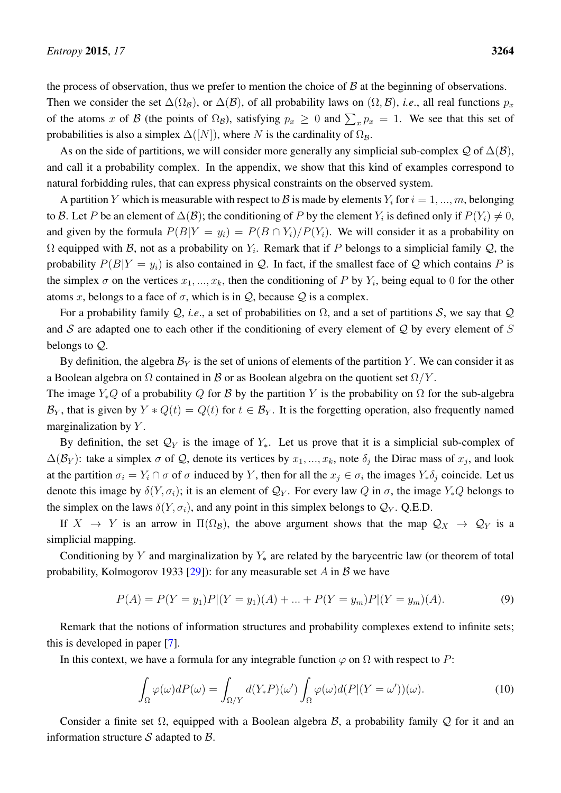the process of observation, thus we prefer to mention the choice of  $\beta$  at the beginning of observations.

Then we consider the set  $\Delta(\Omega_B)$ , or  $\Delta(\mathcal{B})$ , of all probability laws on  $(\Omega, \mathcal{B})$ , *i.e.*, all real functions  $p_x$ of the atoms x of B (the points of  $\Omega_B$ ), satisfying  $p_x \ge 0$  and  $\sum_x p_x = 1$ . We see that this set of probabilities is also a simplex  $\Delta([N])$ , where N is the cardinality of  $\Omega_{\mathcal{B}}$ .

As on the side of partitions, we will consider more generally any simplicial sub-complex  $Q$  of  $\Delta(\mathcal{B})$ , and call it a probability complex. In the appendix, we show that this kind of examples correspond to natural forbidding rules, that can express physical constraints on the observed system.

A partition Y which is measurable with respect to B is made by elements  $Y_i$  for  $i = 1, ..., m$ , belonging to B. Let P be an element of  $\Delta(B)$ ; the conditioning of P by the element  $Y_i$  is defined only if  $P(Y_i) \neq 0$ , and given by the formula  $P(B|Y = y_i) = P(B \cap Y_i)/P(Y_i)$ . We will consider it as a probability on  $\Omega$  equipped with B, not as a probability on  $Y_i$ . Remark that if P belongs to a simplicial family Q, the probability  $P(B|Y = y_i)$  is also contained in Q. In fact, if the smallest face of Q which contains P is the simplex  $\sigma$  on the vertices  $x_1, ..., x_k$ , then the conditioning of P by  $Y_i$ , being equal to 0 for the other atoms x, belongs to a face of  $\sigma$ , which is in  $\mathcal{Q}$ , because  $\mathcal{Q}$  is a complex.

For a probability family Q, *i.e.*, a set of probabilities on  $\Omega$ , and a set of partitions S, we say that Q and S are adapted one to each other if the conditioning of every element of  $Q$  by every element of S belongs to Q.

By definition, the algebra  $\mathcal{B}_Y$  is the set of unions of elements of the partition Y. We can consider it as a Boolean algebra on  $\Omega$  contained in  $\mathcal B$  or as Boolean algebra on the quotient set  $\Omega/Y$ .

The image  $Y_*Q$  of a probability Q for B by the partition Y is the probability on  $\Omega$  for the sub-algebra  $\mathcal{B}_Y$ , that is given by  $Y * Q(t) = Q(t)$  for  $t \in \mathcal{B}_Y$ . It is the forgetting operation, also frequently named marginalization by  $Y$ .

By definition, the set  $\mathcal{Q}_Y$  is the image of  $Y_*$ . Let us prove that it is a simplicial sub-complex of  $\Delta(\mathcal{B}_Y)$ : take a simplex  $\sigma$  of Q, denote its vertices by  $x_1, ..., x_k$ , note  $\delta_j$  the Dirac mass of  $x_j$ , and look at the partition  $\sigma_i = Y_i \cap \sigma$  of  $\sigma$  induced by Y, then for all the  $x_j \in \sigma_i$  the images  $Y_*\delta_j$  coincide. Let us denote this image by  $\delta(Y, \sigma_i)$ ; it is an element of  $\mathcal{Q}_Y$ . For every law Q in  $\sigma$ , the image  $Y_*Q$  belongs to the simplex on the laws  $\delta(Y, \sigma_i)$ , and any point in this simplex belongs to  $\mathcal{Q}_Y$ . Q.E.D.

If  $X \to Y$  is an arrow in  $\Pi(\Omega_{\mathcal{B}})$ , the above argument shows that the map  $\mathcal{Q}_X \to \mathcal{Q}_Y$  is a simplicial mapping.

Conditioning by Y and marginalization by  $Y_*$  are related by the barycentric law (or theorem of total probability, Kolmogorov 1933 [\[29\]](#page-64-10)): for any measurable set A in B we have

$$
P(A) = P(Y = y_1)P|(Y = y_1)(A) + \dots + P(Y = y_m)P|(Y = y_m)(A).
$$
\n(9)

Remark that the notions of information structures and probability complexes extend to infinite sets; this is developed in paper [\[7\]](#page-63-6).

In this context, we have a formula for any integrable function  $\varphi$  on  $\Omega$  with respect to P:

$$
\int_{\Omega} \varphi(\omega) dP(\omega) = \int_{\Omega/Y} d(Y_*P)(\omega') \int_{\Omega} \varphi(\omega) d(P|(Y = \omega'))(\omega).
$$
\n(10)

Consider a finite set  $\Omega$ , equipped with a Boolean algebra  $\beta$ , a probability family  $\mathcal Q$  for it and an information structure  $S$  adapted to  $\beta$ .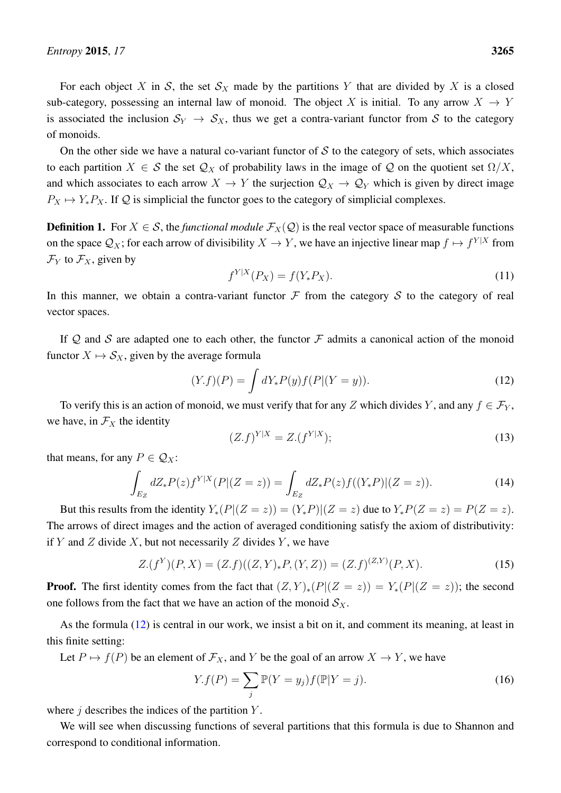For each object X in S, the set  $S_X$  made by the partitions Y that are divided by X is a closed sub-category, possessing an internal law of monoid. The object X is initial. To any arrow  $X \to Y$ is associated the inclusion  $S_Y \to S_X$ , thus we get a contra-variant functor from S to the category of monoids.

On the other side we have a natural co-variant functor of  $S$  to the category of sets, which associates to each partition  $X \in \mathcal{S}$  the set  $\mathcal{Q}_X$  of probability laws in the image of  $\mathcal{Q}$  on the quotient set  $\Omega/X$ , and which associates to each arrow  $X \to Y$  the surjection  $\mathcal{Q}_X \to \mathcal{Q}_Y$  which is given by direct image  $P_X \mapsto Y_*P_X$ . If Q is simplicial the functor goes to the category of simplicial complexes.

**Definition 1.** For  $X \in \mathcal{S}$ , the *functional module*  $\mathcal{F}_X(\mathcal{Q})$  is the real vector space of measurable functions on the space  $\mathcal{Q}_X$ ; for each arrow of divisibility  $X \to Y$ , we have an injective linear map  $f \mapsto f^{Y|X}$  from  $\mathcal{F}_Y$  to  $\mathcal{F}_X$ , given by

$$
f^{Y|X}(P_X) = f(Y_* P_X). \tag{11}
$$

In this manner, we obtain a contra-variant functor  $\mathcal F$  from the category  $\mathcal S$  to the category of real vector spaces.

If  $Q$  and  $S$  are adapted one to each other, the functor  $\mathcal F$  admits a canonical action of the monoid functor  $X \mapsto S_X$ , given by the average formula

<span id="page-12-0"></span>
$$
(Y.f)(P) = \int dY_* P(y) f(P|(Y=y)).
$$
\n(12)

To verify this is an action of monoid, we must verify that for any Z which divides Y, and any  $f \in \mathcal{F}_Y$ , we have, in  $\mathcal{F}_X$  the identity

$$
(Z.f)^{Y|X} = Z.(f^{Y|X});
$$
\n(13)

that means, for any  $P \in \mathcal{Q}_X$ :

$$
\int_{E_Z} dZ_* P(z) f^{Y|X}(P|(Z=z)) = \int_{E_Z} dZ_* P(z) f((Y_* P)|(Z=z)).
$$
\n(14)

But this results from the identity  $Y_*(P|(Z=z)) = (Y_*P)|(Z=z)$  due to  $Y_*P(Z=z) = P(Z=z)$ . The arrows of direct images and the action of averaged conditioning satisfy the axiom of distributivity: if Y and Z divide X, but not necessarily Z divides Y, we have

$$
Z.(f^{Y})(P,X) = (Z.f)((Z,Y)_{*}P,(Y,Z)) = (Z.f)^{(Z,Y)}(P,X).
$$
\n(15)

**Proof.** The first identity comes from the fact that  $(Z, Y)_*(P|(Z = z)) = Y_*(P|(Z = z))$ ; the second one follows from the fact that we have an action of the monoid  $S_X$ .

As the formula [\(12\)](#page-12-0) is central in our work, we insist a bit on it, and comment its meaning, at least in this finite setting:

Let  $P \mapsto f(P)$  be an element of  $\mathcal{F}_X$ , and Y be the goal of an arrow  $X \to Y$ , we have

$$
Y.f(P) = \sum_{j} \mathbb{P}(Y = y_j) f(\mathbb{P}|Y = j).
$$
\n(16)

where  $j$  describes the indices of the partition  $Y$ .

We will see when discussing functions of several partitions that this formula is due to Shannon and correspond to conditional information.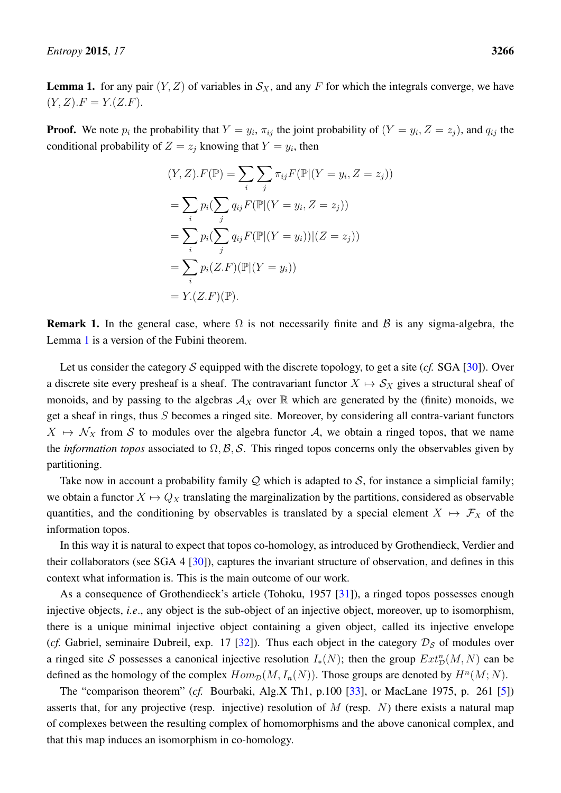<span id="page-13-0"></span>**Lemma 1.** for any pair  $(Y, Z)$  of variables in  $S_X$ , and any F for which the integrals converge, we have  $(Y, Z) \cdot F = Y \cdot (Z \cdot F).$ 

**Proof.** We note  $p_i$  the probability that  $Y = y_i$ ,  $\pi_{ij}$  the joint probability of  $(Y = y_i, Z = z_j)$ , and  $q_{ij}$  the conditional probability of  $Z = z_j$  knowing that  $Y = y_i$ , then

$$
(Y, Z).F(\mathbb{P}) = \sum_{i} \sum_{j} \pi_{ij} F(\mathbb{P} | (Y = y_i, Z = z_j))
$$

$$
= \sum_{i} p_i (\sum_{j} q_{ij} F(\mathbb{P} | (Y = y_i, Z = z_j))
$$

$$
= \sum_{i} p_i (\sum_{j} q_{ij} F(\mathbb{P} | (Y = y_i)) | (Z = z_j))
$$

$$
= \sum_{i} p_i (Z.F)(\mathbb{P} | (Y = y_i))
$$

$$
= Y.(Z.F)(\mathbb{P}).
$$

**Remark 1.** In the general case, where  $\Omega$  is not necessarily finite and  $\beta$  is any sigma-algebra, the Lemma [1](#page-13-0) is a version of the Fubini theorem.

Let us consider the category  $S$  equipped with the discrete topology, to get a site ( $cf. SGA$  [\[30\]](#page-64-11)). Over a discrete site every presheaf is a sheaf. The contravariant functor  $X \mapsto S_X$  gives a structural sheaf of monoids, and by passing to the algebras  $A_X$  over  $\mathbb R$  which are generated by the (finite) monoids, we get a sheaf in rings, thus S becomes a ringed site. Moreover, by considering all contra-variant functors  $X \mapsto \mathcal{N}_X$  from S to modules over the algebra functor A, we obtain a ringed topos, that we name the *information topos* associated to  $\Omega$ ,  $\mathcal{B}$ ,  $\mathcal{S}$ . This ringed topos concerns only the observables given by partitioning.

Take now in account a probability family  $Q$  which is adapted to  $S$ , for instance a simplicial family; we obtain a functor  $X \mapsto Q_X$  translating the marginalization by the partitions, considered as observable quantities, and the conditioning by observables is translated by a special element  $X \mapsto \mathcal{F}_X$  of the information topos.

In this way it is natural to expect that topos co-homology, as introduced by Grothendieck, Verdier and their collaborators (see SGA 4 [\[30\]](#page-64-11)), captures the invariant structure of observation, and defines in this context what information is. This is the main outcome of our work.

As a consequence of Grothendieck's article (Tohoku, 1957 [\[31\]](#page-64-12)), a ringed topos possesses enough injective objects, *i.e*., any object is the sub-object of an injective object, moreover, up to isomorphism, there is a unique minimal injective object containing a given object, called its injective envelope (*cf.* Gabriel, seminaire Dubreil, exp. 17 [\[32\]](#page-64-13)). Thus each object in the category  $\mathcal{D}_\mathcal{S}$  of modules over a ringed site S possesses a canonical injective resolution  $I_*(N)$ ; then the group  $Ext_D^n(M, N)$  can be defined as the homology of the complex  $Hom_{\mathcal{D}}(M, I_n(N))$ . Those groups are denoted by  $H^n(M; N)$ .

The "comparison theorem" (*cf.* Bourbaki, Alg.X Th1, p.100 [\[33\]](#page-64-14), or MacLane 1975, p. 261 [\[5\]](#page-63-4)) asserts that, for any projective (resp. injective) resolution of  $M$  (resp.  $N$ ) there exists a natural map of complexes between the resulting complex of homomorphisms and the above canonical complex, and that this map induces an isomorphism in co-homology.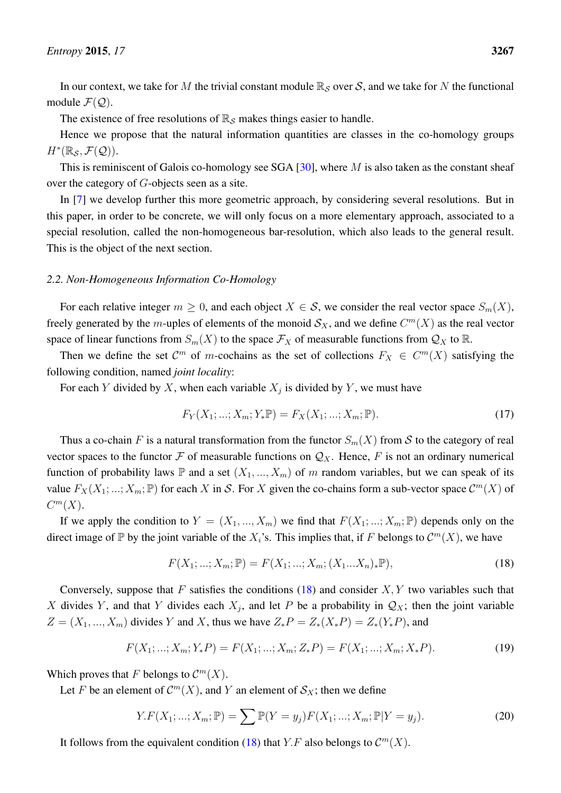In our context, we take for M the trivial constant module  $\mathbb{R}_{\mathcal{S}}$  over S, and we take for N the functional module  $\mathcal{F}(\mathcal{Q})$ .

The existence of free resolutions of  $\mathbb{R}_S$  makes things easier to handle.

Hence we propose that the natural information quantities are classes in the co-homology groups  $H^*(\mathbb{R}_{\mathcal{S}}, \mathcal{F}(\mathcal{Q})).$ 

This is reminiscent of Galois co-homology see SGA  $[30]$ , where M is also taken as the constant sheaf over the category of G-objects seen as a site.

In [\[7\]](#page-63-6) we develop further this more geometric approach, by considering several resolutions. But in this paper, in order to be concrete, we will only focus on a more elementary approach, associated to a special resolution, called the non-homogeneous bar-resolution, which also leads to the general result. This is the object of the next section.

## <span id="page-14-0"></span>*2.2. Non-Homogeneous Information Co-Homology*

For each relative integer  $m \geq 0$ , and each object  $X \in S$ , we consider the real vector space  $S_m(X)$ , freely generated by the m-uples of elements of the monoid  $\mathcal{S}_X$ , and we define  $C^m(X)$  as the real vector space of linear functions from  $S_m(X)$  to the space  $\mathcal{F}_X$  of measurable functions from  $\mathcal{Q}_X$  to  $\mathbb{R}$ .

Then we define the set  $\mathcal{C}^m$  of m-cochains as the set of collections  $F_X \in C^m(X)$  satisfying the following condition, named *joint locality*:

For each Y divided by X, when each variable  $X_j$  is divided by Y, we must have

$$
F_Y(X_1; \dots; X_m; Y_* \mathbb{P}) = F_X(X_1; \dots; X_m; \mathbb{P}).
$$
\n(17)

Thus a co-chain F is a natural transformation from the functor  $S_m(X)$  from S to the category of real vector spaces to the functor F of measurable functions on  $\mathcal{Q}_X$ . Hence, F is not an ordinary numerical function of probability laws  $\mathbb P$  and a set  $(X_1, ..., X_m)$  of m random variables, but we can speak of its value  $F_X(X_1; ...; X_m; \mathbb{P})$  for each X in S. For X given the co-chains form a sub-vector space  $\mathcal{C}^m(X)$  of  $C^m(X)$ .

If we apply the condition to  $Y = (X_1, ..., X_m)$  we find that  $F(X_1; ...; X_m; \mathbb{P})$  depends only on the direct image of  $\mathbb P$  by the joint variable of the  $X_i$ 's. This implies that, if F belongs to  $\mathcal C^m(X)$ , we have

<span id="page-14-1"></span>
$$
F(X_1; ...; X_m; \mathbb{P}) = F(X_1; ...; X_m; (X_1...X_n)_* \mathbb{P}),
$$
\n(18)

Conversely, suppose that F satisfies the conditions  $(18)$  and consider X, Y two variables such that X divides Y, and that Y divides each  $X_j$ , and let P be a probability in  $\mathcal{Q}_X$ ; then the joint variable  $Z = (X_1, ..., X_m)$  divides Y and X, thus we have  $Z_*P = Z_*(X_*P) = Z_*(Y_*P)$ , and

$$
F(X_1; \ldots; X_m; Y_*P) = F(X_1; \ldots; X_m; Z_*P) = F(X_1; \ldots; X_m; X_*P). \tag{19}
$$

Which proves that F belongs to  $\mathcal{C}^m(X)$ .

Let F be an element of  $\mathcal{C}^m(X)$ , and Y an element of  $\mathcal{S}_X$ ; then we define

<span id="page-14-2"></span>
$$
Y.F(X_1; ...; X_m; \mathbb{P}) = \sum \mathbb{P}(Y = y_j) F(X_1; ...; X_m; \mathbb{P}|Y = y_j).
$$
 (20)

It follows from the equivalent condition [\(18\)](#page-14-1) that Y.F also belongs to  $\mathcal{C}^m(X)$ .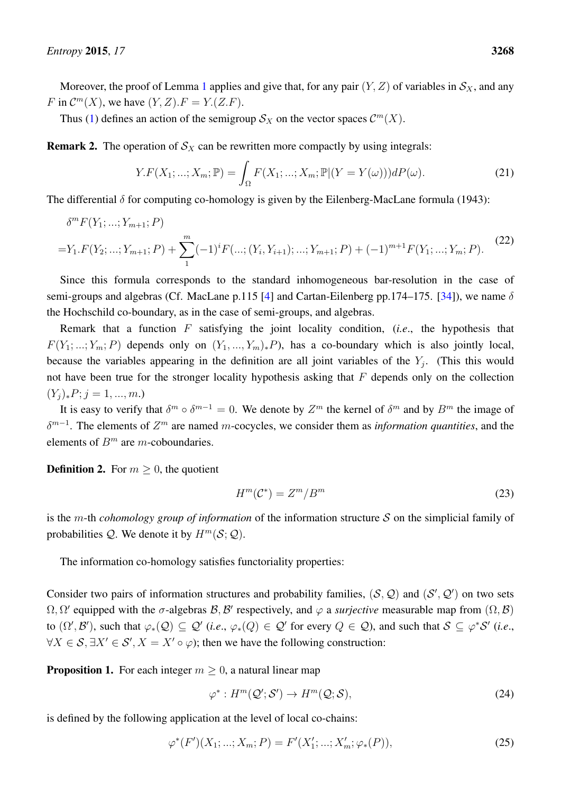Moreover, the proof of Lemma [1](#page-13-0) applies and give that, for any pair  $(Y, Z)$  of variables in  $S_X$ , and any F in  $\mathcal{C}^m(X)$ , we have  $(Y, Z)$ .  $F = Y(Z.F)$ .

Thus [\(1\)](#page-3-0) defines an action of the semigroup  $\mathcal{S}_X$  on the vector spaces  $\mathcal{C}^m(X)$ .

**Remark 2.** The operation of  $S_X$  can be rewritten more compactly by using integrals:

$$
Y.F(X_1; ...; X_m; \mathbb{P}) = \int_{\Omega} F(X_1; ...; X_m; \mathbb{P}|(Y = Y(\omega))) dP(\omega).
$$
 (21)

The differential  $\delta$  for computing co-homology is given by the Eilenberg-MacLane formula (1943):

<span id="page-15-0"></span>
$$
\delta^{m} F(Y_{1}; \ldots; Y_{m+1}; P)
$$
\n
$$
=Y_{1}.F(Y_{2}; \ldots; Y_{m+1}; P) + \sum_{1}^{m} (-1)^{i} F(\ldots; (Y_{i}, Y_{i+1}); \ldots; Y_{m+1}; P) + (-1)^{m+1} F(Y_{1}; \ldots; Y_{m}; P). \tag{22}
$$

Since this formula corresponds to the standard inhomogeneous bar-resolution in the case of semi-groups and algebras (Cf. MacLane p.115 [\[4\]](#page-63-3) and Cartan-Eilenberg pp.174–175. [\[34\]](#page-64-15)), we name  $\delta$ the Hochschild co-boundary, as in the case of semi-groups, and algebras.

Remark that a function F satisfying the joint locality condition, (*i.e*., the hypothesis that  $F(Y_1; \ldots; Y_m; P)$  depends only on  $(Y_1, \ldots, Y_m)_*P$ , has a co-boundary which is also jointly local, because the variables appearing in the definition are all joint variables of the  $Y_j$ . (This this would not have been true for the stronger locality hypothesis asking that  $F$  depends only on the collection  $(Y_j)_*P; j = 1, ..., m.$ 

It is easy to verify that  $\delta^m \circ \delta^{m-1} = 0$ . We denote by  $Z^m$  the kernel of  $\delta^m$  and by  $B^m$  the image of δ m−1 . The elements of Z <sup>m</sup> are named m-cocycles, we consider them as *information quantities*, and the elements of  $B<sup>m</sup>$  are m-coboundaries.

**Definition 2.** For  $m \geq 0$ , the quotient

$$
H^m(\mathcal{C}^*) = Z^m / B^m \tag{23}
$$

is the m-th *cohomology group of information* of the information structure S on the simplicial family of probabilities  $Q$ . We denote it by  $H^m(S; Q)$ .

The information co-homology satisfies functoriality properties:

Consider two pairs of information structures and probability families,  $(S, \mathcal{Q})$  and  $(S', \mathcal{Q}')$  on two sets  $\Omega, \Omega'$  equipped with the  $\sigma$ -algebras  $\mathcal{B}, \mathcal{B}'$  respectively, and  $\varphi$  a *surjective* measurable map from  $(\Omega, \mathcal{B})$ to  $(\Omega', \mathcal{B}')$ , such that  $\varphi_*(\mathcal{Q}) \subseteq \mathcal{Q}'$  (*i.e.*,  $\varphi_*(Q) \in \mathcal{Q}'$  for every  $Q \in \mathcal{Q}$ ), and such that  $\mathcal{S} \subseteq \varphi^* \mathcal{S}'$  (*i.e.*,  $\forall X \in S, \exists X' \in S', X = X' \circ \varphi$ ; then we have the following construction:

**Proposition 1.** For each integer  $m \geq 0$ , a natural linear map

$$
\varphi^* : H^m(\mathcal{Q}'; \mathcal{S}') \to H^m(\mathcal{Q}; \mathcal{S}), \tag{24}
$$

is defined by the following application at the level of local co-chains:

$$
\varphi^*(F')(X_1; \dots; X_m; P) = F'(X'_1; \dots; X'_m; \varphi_*(P)), \tag{25}
$$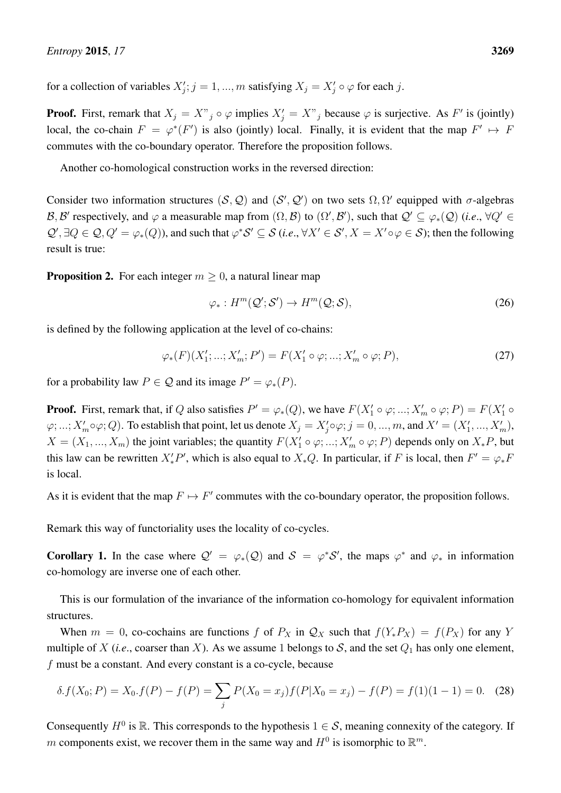for a collection of variables  $X'_j$ ;  $j = 1, ..., m$  satisfying  $X_j = X'_j \circ \varphi$  for each j.

**Proof.** First, remark that  $X_j = X''_j \circ \varphi$  implies  $X'_j = X''_j$  because  $\varphi$  is surjective. As F' is (jointly) local, the co-chain  $F = \varphi^*(F')$  is also (jointly) local. Finally, it is evident that the map  $F' \mapsto F$ commutes with the co-boundary operator. Therefore the proposition follows.

Another co-homological construction works in the reversed direction:

Consider two information structures  $(S, Q)$  and  $(S', Q')$  on two sets  $\Omega, \Omega'$  equipped with  $\sigma$ -algebras B, B' respectively, and  $\varphi$  a measurable map from  $(\Omega, \mathcal{B})$  to  $(\Omega', \mathcal{B}')$ , such that  $\mathcal{Q}' \subseteq \varphi_*(\mathcal{Q})$  (*i.e.*,  $\forall Q' \in$  $\mathcal{Q}', \exists Q \in \mathcal{Q}, Q' = \varphi_*(Q)$ , and such that  $\varphi^* \mathcal{S}' \subseteq \mathcal{S}$  (*i.e.*,  $\forall X' \in \mathcal{S}', X = X' \circ \varphi \in \mathcal{S}$ ); then the following result is true:

**Proposition 2.** For each integer  $m > 0$ , a natural linear map

$$
\varphi_*: H^m(\mathcal{Q}'; \mathcal{S}') \to H^m(\mathcal{Q}; \mathcal{S}),\tag{26}
$$

is defined by the following application at the level of co-chains:

$$
\varphi_*(F)(X'_1; \dots; X'_m; P') = F(X'_1 \circ \varphi; \dots; X'_m \circ \varphi; P), \tag{27}
$$

for a probability law  $P \in \mathcal{Q}$  and its image  $P' = \varphi_*(P)$ .

**Proof.** First, remark that, if Q also satisfies  $P' = \varphi_*(Q)$ , we have  $F(X'_1 \circ \varphi; ...; X'_m \circ \varphi; P) = F(X'_1 \circ \varphi; P)$  $\varphi; ...; X'_m \circ \varphi; Q$ ). To establish that point, let us denote  $X_j = X'_j \circ \varphi; j = 0, ..., m$ , and  $X' = (X'_1, ..., X'_m)$ ,  $X = (X_1, ..., X_m)$  the joint variables; the quantity  $F(X'_1 \circ \varphi; ...; X'_m \circ \varphi; P)$  depends only on  $X_*P$ , but this law can be rewritten  $X'_{*}P'$ , which is also equal to  $X_{*}Q$ . In particular, if F is local, then  $F' = \varphi_{*}F$ is local.

As it is evident that the map  $F \mapsto F'$  commutes with the co-boundary operator, the proposition follows.

Remark this way of functoriality uses the locality of co-cycles.

**Corollary 1.** In the case where  $Q' = \varphi_*(Q)$  and  $S = \varphi^* S'$ , the maps  $\varphi^*$  and  $\varphi_*$  in information co-homology are inverse one of each other.

This is our formulation of the invariance of the information co-homology for equivalent information structures.

When  $m = 0$ , co-cochains are functions f of  $P_X$  in  $\mathcal{Q}_X$  such that  $f(Y_*P_X) = f(P_X)$  for any Y multiple of X (*i.e.*, coarser than X). As we assume 1 belongs to S, and the set  $Q_1$  has only one element, f must be a constant. And every constant is a co-cycle, because

$$
\delta. f(X_0; P) = X_0 \cdot f(P) - f(P) = \sum_j P(X_0 = x_j) f(P|X_0 = x_j) - f(P) = f(1)(1 - 1) = 0. \tag{28}
$$

Consequently  $H^0$  is  $\mathbb R$ . This corresponds to the hypothesis  $1 \in \mathcal S$ , meaning connexity of the category. If m components exist, we recover them in the same way and  $H^0$  is isomorphic to  $\mathbb{R}^m$ .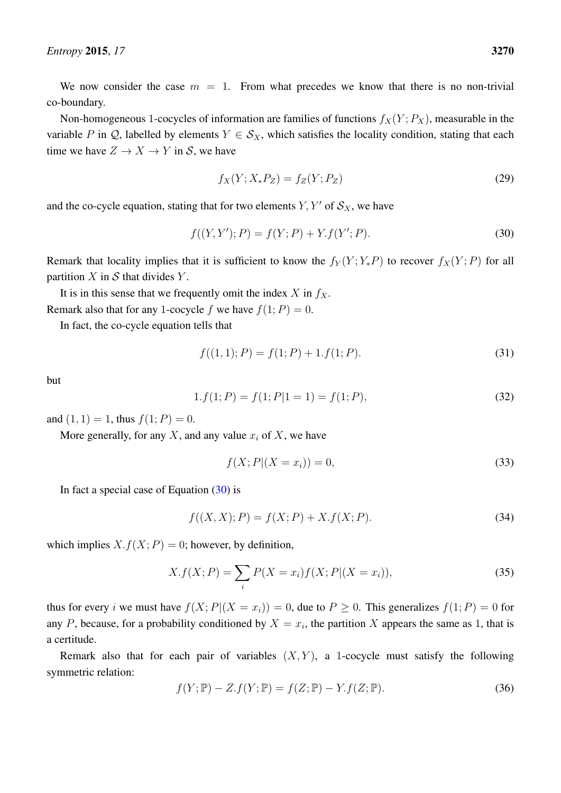We now consider the case  $m = 1$ . From what precedes we know that there is no non-trivial co-boundary.

Non-homogeneous 1-cocycles of information are families of functions  $f_X(Y; P_X)$ , measurable in the variable P in Q, labelled by elements  $Y \in S_X$ , which satisfies the locality condition, stating that each time we have  $Z \to X \to Y$  in S, we have

$$
f_X(Y; X_* P_Z) = f_Z(Y; P_Z)
$$
\n(29)

and the co-cycle equation, stating that for two elements  $Y, Y'$  of  $S_X$ , we have

<span id="page-17-0"></span>
$$
f((Y, Y'); P) = f(Y; P) + Y.f(Y'; P).
$$
\n(30)

Remark that locality implies that it is sufficient to know the  $f_Y(Y; Y_*P)$  to recover  $f_X(Y; P)$  for all partition  $X$  in  $S$  that divides  $Y$ .

It is in this sense that we frequently omit the index  $X$  in  $f_X$ . Remark also that for any 1-cocycle f we have  $f(1; P) = 0$ .

In fact, the co-cycle equation tells that

$$
f((1,1);P) = f(1;P) + 1.f(1;P).
$$
\n(31)

but

$$
1.f(1;P) = f(1;P|1 = 1) = f(1;P),
$$
\n(32)

and  $(1, 1) = 1$ , thus  $f(1; P) = 0$ .

More generally, for any  $X$ , and any value  $x_i$  of  $X$ , we have

<span id="page-17-1"></span>
$$
f(X;P|(X = x_i)) = 0,
$$
\n(33)

In fact a special case of Equation  $(30)$  is

$$
f((X, X); P) = f(X; P) + X.f(X; P).
$$
\n(34)

which implies  $X. f(X; P) = 0$ ; however, by definition,

$$
X.f(X;P) = \sum_{i} P(X = x_i)f(X;P|(X = x_i)),
$$
\n(35)

thus for every i we must have  $f(X; P|(X = x_i)) = 0$ , due to  $P \ge 0$ . This generalizes  $f(1; P) = 0$  for any P, because, for a probability conditioned by  $X = x_i$ , the partition X appears the same as 1, that is a certitude.

Remark also that for each pair of variables  $(X, Y)$ , a 1-cocycle must satisfy the following symmetric relation:

<span id="page-17-2"></span>
$$
f(Y; \mathbb{P}) - Z.f(Y; \mathbb{P}) = f(Z; \mathbb{P}) - Y.f(Z; \mathbb{P}).
$$
\n(36)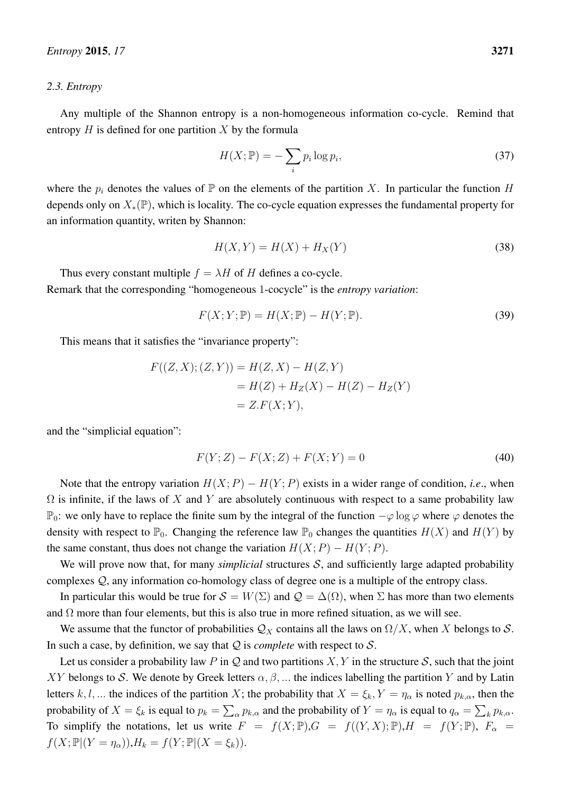#### <span id="page-18-0"></span>*2.3. Entropy*

Any multiple of the Shannon entropy is a non-homogeneous information co-cycle. Remind that entropy  $H$  is defined for one partition  $X$  by the formula

$$
H(X; \mathbb{P}) = -\sum_{i} p_i \log p_i,
$$
\n(37)

where the  $p_i$  denotes the values of  $\mathbb P$  on the elements of the partition X. In particular the function H depends only on  $X_*(\mathbb{P})$ , which is locality. The co-cycle equation expresses the fundamental property for an information quantity, writen by Shannon:

$$
H(X,Y) = H(X) + H_X(Y)
$$
\n<sup>(38)</sup>

Thus every constant multiple  $f = \lambda H$  of H defines a co-cycle. Remark that the corresponding "homogeneous 1-cocycle" is the *entropy variation*:

$$
F(X;Y; \mathbb{P}) = H(X; \mathbb{P}) - H(Y; \mathbb{P}).
$$
\n(39)

This means that it satisfies the "invariance property":

$$
F((Z, X); (Z, Y)) = H(Z, X) - H(Z, Y)
$$
  
= H(Z) + H<sub>Z</sub>(X) - H(Z) - H<sub>Z</sub>(Y)  
= Z.F(X; Y),

and the "simplicial equation":

$$
F(Y;Z) - F(X;Z) + F(X;Y) = 0
$$
\n(40)

Note that the entropy variation  $H(X; P) - H(Y; P)$  exists in a wider range of condition, *i.e.*, when  $\Omega$  is infinite, if the laws of X and Y are absolutely continuous with respect to a same probability law  $\mathbb{P}_0$ : we only have to replace the finite sum by the integral of the function  $-\varphi \log \varphi$  where  $\varphi$  denotes the density with respect to  $\mathbb{P}_0$ . Changing the reference law  $\mathbb{P}_0$  changes the quantities  $H(X)$  and  $H(Y)$  by the same constant, thus does not change the variation  $H(X; P) - H(Y; P)$ .

We will prove now that, for many *simplicial* structures S, and sufficiently large adapted probability complexes Q, any information co-homology class of degree one is a multiple of the entropy class.

In particular this would be true for  $S = W(\Sigma)$  and  $\mathcal{Q} = \Delta(\Omega)$ , when  $\Sigma$  has more than two elements and  $\Omega$  more than four elements, but this is also true in more refined situation, as we will see.

We assume that the functor of probabilities  $\mathcal{Q}_X$  contains all the laws on  $\Omega/X$ , when X belongs to S. In such a case, by definition, we say that  $Q$  is *complete* with respect to  $S$ .

Let us consider a probability law P in Q and two partitions  $X, Y$  in the structure S, such that the joint XY belongs to S. We denote by Greek letters  $\alpha, \beta, \dots$  the indices labelling the partition Y and by Latin letters k, l, ... the indices of the partition X; the probability that  $X = \xi_k$ ,  $Y = \eta_\alpha$  is noted  $p_{k,\alpha}$ , then the probability of  $X = \xi_k$  is equal to  $p_k = \sum_{\alpha} p_{k,\alpha}$  and the probability of  $Y = \eta_\alpha$  is equal to  $q_\alpha = \sum_k p_{k,\alpha}$ . To simplify the notations, let us write  $F = f(X; \mathbb{P}), G = f((Y, X); \mathbb{P}), H = f(Y; \mathbb{P}), F_{\alpha} =$  $f(X; \mathbb{P} | (Y = \eta_{\alpha})), H_k = f(Y; \mathbb{P} | (X = \xi_k)).$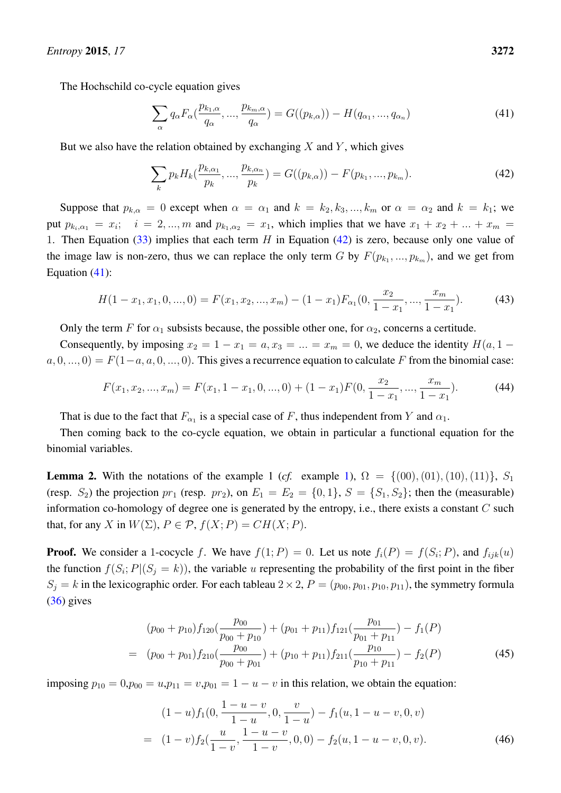The Hochschild co-cycle equation gives

<span id="page-19-1"></span>
$$
\sum_{\alpha} q_{\alpha} F_{\alpha}(\frac{p_{k_1,\alpha}}{q_{\alpha}}, \dots, \frac{p_{k_m,\alpha}}{q_{\alpha}}) = G((p_{k,\alpha})) - H(q_{\alpha_1}, \dots, q_{\alpha_n})
$$
\n(41)

But we also have the relation obtained by exchanging  $X$  and  $Y$ , which gives

<span id="page-19-0"></span>
$$
\sum_{k} p_{k} H_{k}(\frac{p_{k,\alpha_1}}{p_k}, ..., \frac{p_{k,\alpha_n}}{p_k}) = G((p_{k,\alpha})) - F(p_{k_1}, ..., p_{k_m}).
$$
\n(42)

Suppose that  $p_{k,\alpha} = 0$  except when  $\alpha = \alpha_1$  and  $k = k_2, k_3, ..., k_m$  or  $\alpha = \alpha_2$  and  $k = k_1$ ; we put  $p_{k_i,\alpha_1} = x_i$ ;  $i = 2,...,m$  and  $p_{k_1,\alpha_2} = x_1$ , which implies that we have  $x_1 + x_2 + ... + x_m =$ 1. Then Equation  $(33)$  implies that each term H in Equation  $(42)$  is zero, because only one value of the image law is non-zero, thus we can replace the only term G by  $F(p_{k_1},...,p_{k_m})$ , and we get from Equation [\(41\)](#page-19-1):

$$
H(1-x_1, x_1, 0, ..., 0) = F(x_1, x_2, ..., x_m) - (1-x_1)F_{\alpha_1}(0, \frac{x_2}{1-x_1}, ..., \frac{x_m}{1-x_1}).
$$
 (43)

Only the term F for  $\alpha_1$  subsists because, the possible other one, for  $\alpha_2$ , concerns a certitude.

Consequently, by imposing  $x_2 = 1 - x_1 = a, x_3 = ... = x_m = 0$ , we deduce the identity  $H(a, 1$  $a, 0, ..., 0$  =  $F(1-a, a, 0, ..., 0)$ . This gives a recurrence equation to calculate F from the binomial case:

$$
F(x_1, x_2, ..., x_m) = F(x_1, 1 - x_1, 0, ..., 0) + (1 - x_1)F(0, \frac{x_2}{1 - x_1}, ..., \frac{x_m}{1 - x_1}).
$$
\n(44)

That is due to the fact that  $F_{\alpha_1}$  is a special case of F, thus independent from Y and  $\alpha_1$ .

Then coming back to the co-cycle equation, we obtain in particular a functional equation for the binomial variables.

<span id="page-19-2"></span>**Lemma 2.** With the notations of the example 1 (*cf.* example [1\)](#page-10-0),  $\Omega = \{(00), (01), (10), (11)\}, S_1$ (resp.  $S_2$ ) the projection  $pr_1$  (resp.  $pr_2$ ), on  $E_1 = E_2 = \{0, 1\}$ ,  $S = \{S_1, S_2\}$ ; then the (measurable) information co-homology of degree one is generated by the entropy, i.e., there exists a constant  $C$  such that, for any X in  $W(\Sigma)$ ,  $P \in \mathcal{P}$ ,  $f(X; P) = CH(X; P)$ .

**Proof.** We consider a 1-cocycle f. We have  $f(1; P) = 0$ . Let us note  $f_i(P) = f(S_i; P)$ , and  $f_{ijk}(u)$ the function  $f(S_i; P | (S_j = k))$ , the variable u representing the probability of the first point in the fiber  $S_i = k$  in the lexicographic order. For each tableau  $2 \times 2$ ,  $P = (p_{00}, p_{01}, p_{10}, p_{11})$ , the symmetry formula [\(36\)](#page-17-2) gives

$$
(p_{00} + p_{10})f_{120}(\frac{p_{00}}{p_{00} + p_{10}}) + (p_{01} + p_{11})f_{121}(\frac{p_{01}}{p_{01} + p_{11}}) - f_1(P)
$$
  
= 
$$
(p_{00} + p_{01})f_{210}(\frac{p_{00}}{p_{00} + p_{01}}) + (p_{10} + p_{11})f_{211}(\frac{p_{10}}{p_{10} + p_{11}}) - f_2(P)
$$
(45)

imposing  $p_{10} = 0, p_{00} = u, p_{11} = v, p_{01} = 1 - u - v$  in this relation, we obtain the equation:

$$
(1-u)f_1(0, \frac{1-u-v}{1-u}, 0, \frac{v}{1-u}) - f_1(u, 1-u-v, 0, v)
$$
  
= 
$$
(1-v)f_2(\frac{u}{1-v}, \frac{1-u-v}{1-v}, 0, 0) - f_2(u, 1-u-v, 0, v).
$$
 (46)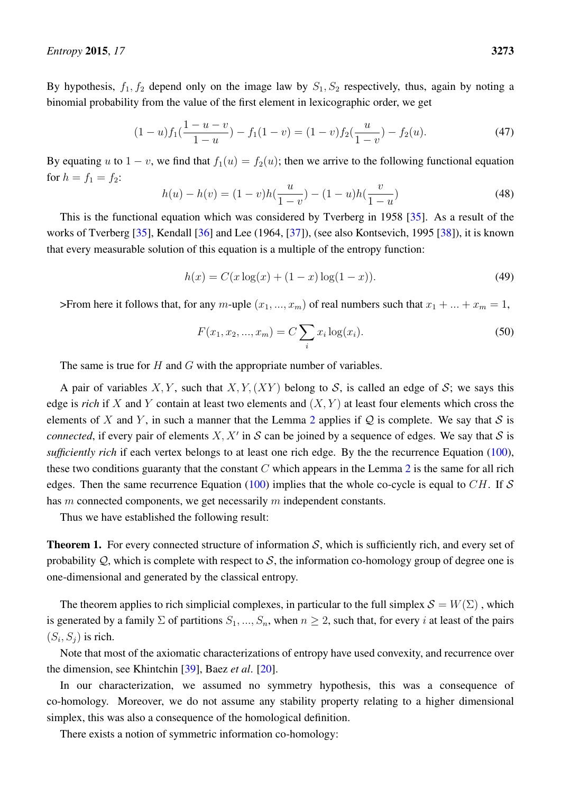By hypothesis,  $f_1, f_2$  depend only on the image law by  $S_1, S_2$  respectively, thus, again by noting a binomial probability from the value of the first element in lexicographic order, we get

$$
(1-u)f_1(\frac{1-u-v}{1-u}) - f_1(1-v) = (1-v)f_2(\frac{u}{1-v}) - f_2(u). \tag{47}
$$

By equating u to  $1 - v$ , we find that  $f_1(u) = f_2(u)$ ; then we arrive to the following functional equation for  $h = f_1 = f_2$ :

$$
h(u) - h(v) = (1 - v)h(\frac{u}{1 - v}) - (1 - u)h(\frac{v}{1 - u})
$$
\n(48)

This is the functional equation which was considered by Tverberg in 1958 [\[35\]](#page-64-16). As a result of the works of Tverberg [\[35\]](#page-64-16), Kendall [\[36\]](#page-64-17) and Lee (1964, [\[37\]](#page-64-18)), (see also Kontsevich, 1995 [\[38\]](#page-64-19)), it is known that every measurable solution of this equation is a multiple of the entropy function:

$$
h(x) = C(x \log(x) + (1 - x) \log(1 - x)).
$$
\n(49)

>From here it follows that, for any m-uple  $(x_1, ..., x_m)$  of real numbers such that  $x_1 + ... + x_m = 1$ ,

$$
F(x_1, x_2, ..., x_m) = C \sum_{i} x_i \log(x_i).
$$
 (50)

The same is true for  $H$  and  $G$  with the appropriate number of variables.

A pair of variables X, Y, such that X, Y,  $(XY)$  belong to S, is called an edge of S; we says this edge is *rich* if X and Y contain at least two elements and  $(X, Y)$  at least four elements which cross the elements of X and Y, in such a manner that the Lemma [2](#page-19-2) applies if Q is complete. We say that S is *connected*, if every pair of elements  $X, X'$  in S can be joined by a sequence of edges. We say that S is *sufficiently rich* if each vertex belongs to at least one rich edge. By the the recurrence Equation [\(100\)](#page-38-0), these two conditions guaranty that the constant  $C$  which appears in the Lemma  $2$  is the same for all rich edges. Then the same recurrence Equation [\(100\)](#page-38-0) implies that the whole co-cycle is equal to  $CH$ . If S has m connected components, we get necessarily m independent constants.

Thus we have established the following result:

<span id="page-20-0"></span>**Theorem 1.** For every connected structure of information  $S$ , which is sufficiently rich, and every set of probability  $Q$ , which is complete with respect to S, the information co-homology group of degree one is one-dimensional and generated by the classical entropy.

The theorem applies to rich simplicial complexes, in particular to the full simplex  $\mathcal{S} = W(\Sigma)$ , which is generated by a family  $\Sigma$  of partitions  $S_1, ..., S_n$ , when  $n \geq 2$ , such that, for every i at least of the pairs  $(S_i, S_j)$  is rich.

Note that most of the axiomatic characterizations of entropy have used convexity, and recurrence over the dimension, see Khintchin [\[39\]](#page-64-20), Baez *et al*. [\[20\]](#page-64-1).

In our characterization, we assumed no symmetry hypothesis, this was a consequence of co-homology. Moreover, we do not assume any stability property relating to a higher dimensional simplex, this was also a consequence of the homological definition.

There exists a notion of symmetric information co-homology: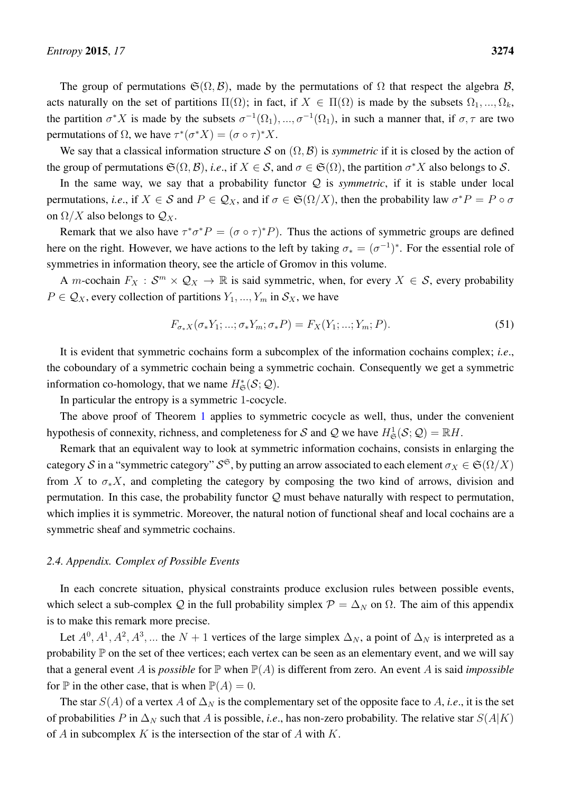The group of permutations  $\mathfrak{S}(\Omega, \mathcal{B})$ , made by the permutations of  $\Omega$  that respect the algebra  $\mathcal{B}$ , acts naturally on the set of partitions  $\Pi(\Omega)$ ; in fact, if  $X \in \Pi(\Omega)$  is made by the subsets  $\Omega_1, ..., \Omega_k$ , the partition  $\sigma^* X$  is made by the subsets  $\sigma^{-1}(\Omega_1),...,\sigma^{-1}(\Omega_1)$ , in such a manner that, if  $\sigma,\tau$  are two permutations of  $\Omega$ , we have  $\tau^*(\sigma^*X) = (\sigma \circ \tau)^*X$ .

We say that a classical information structure S on  $(\Omega, \mathcal{B})$  is *symmetric* if it is closed by the action of the group of permutations  $\mathfrak{S}(\Omega,\mathcal{B})$ , *i.e.*, if  $X \in \mathcal{S}$ , and  $\sigma \in \mathfrak{S}(\Omega)$ , the partition  $\sigma^*X$  also belongs to  $\mathcal{S}$ .

In the same way, we say that a probability functor  $Q$  is *symmetric*, if it is stable under local permutations, *i.e.*, if  $X \in S$  and  $P \in \mathcal{Q}_X$ , and if  $\sigma \in \mathfrak{S}(\Omega/X)$ , then the probability law  $\sigma^* P = P \circ \sigma$ on  $\Omega/X$  also belongs to  $\mathcal{Q}_X$ .

Remark that we also have  $\tau^* \sigma^* P = (\sigma \circ \tau)^* P$ . Thus the actions of symmetric groups are defined here on the right. However, we have actions to the left by taking  $\sigma_* = (\sigma^{-1})^*$ . For the essential role of symmetries in information theory, see the article of Gromov in this volume.

A *m*-cochain  $F_X : S^m \times Q_X \to \mathbb{R}$  is said symmetric, when, for every  $X \in S$ , every probability  $P \in \mathcal{Q}_X$ , every collection of partitions  $Y_1, ..., Y_m$  in  $\mathcal{S}_X$ , we have

$$
F_{\sigma_*X}(\sigma_*Y_1; \dots; \sigma_*Y_m; \sigma_*P) = F_X(Y_1; \dots; Y_m; P). \tag{51}
$$

It is evident that symmetric cochains form a subcomplex of the information cochains complex; *i.e*., the coboundary of a symmetric cochain being a symmetric cochain. Consequently we get a symmetric information co-homology, that we name  $H^*_{\mathfrak{S}}(\mathcal{S};\mathcal{Q})$ .

In particular the entropy is a symmetric 1-cocycle.

The above proof of Theorem [1](#page-20-0) applies to symmetric cocycle as well, thus, under the convenient hypothesis of connexity, richness, and completeness for S and Q we have  $H^1_{\mathfrak{S}}(\mathcal{S};\mathcal{Q}) = \mathbb{R}H$ .

Remark that an equivalent way to look at symmetric information cochains, consists in enlarging the category  $\cal S$  in a "symmetric category"  ${\cal S}^{\frak{S}}$ , by putting an arrow associated to each element  $\sigma_X\in \frak{S}(\Omega/X)$ from X to  $\sigma_* X$ , and completing the category by composing the two kind of arrows, division and permutation. In this case, the probability functor  $Q$  must behave naturally with respect to permutation, which implies it is symmetric. Moreover, the natural notion of functional sheaf and local cochains are a symmetric sheaf and symmetric cochains.

## <span id="page-21-0"></span>*2.4. Appendix. Complex of Possible Events*

In each concrete situation, physical constraints produce exclusion rules between possible events, which select a sub-complex Q in the full probability simplex  $\mathcal{P} = \Delta_N$  on  $\Omega$ . The aim of this appendix is to make this remark more precise.

Let  $A^0, A^1, A^2, A^3, \dots$  the  $N + 1$  vertices of the large simplex  $\Delta_N$ , a point of  $\Delta_N$  is interpreted as a probability  $\mathbb P$  on the set of thee vertices; each vertex can be seen as an elementary event, and we will say that a general event A is *possible* for  $\mathbb P$  when  $\mathbb P(A)$  is different from zero. An event A is said *impossible* for  $\mathbb P$  in the other case, that is when  $\mathbb P(A) = 0$ .

The star  $S(A)$  of a vertex A of  $\Delta_N$  is the complementary set of the opposite face to A, *i.e.*, it is the set of probabilities P in  $\Delta_N$  such that A is possible, *i.e.*, has non-zero probability. The relative star  $S(A|K)$ of A in subcomplex K is the intersection of the star of A with  $K$ .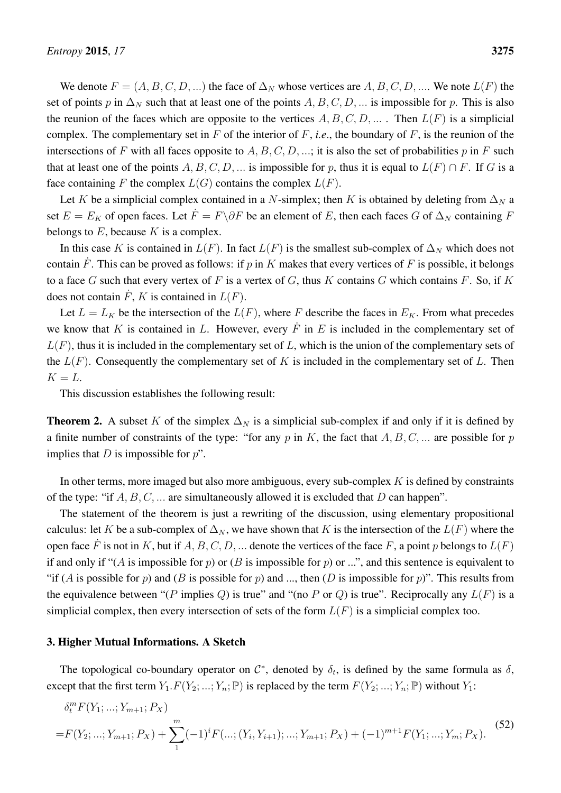We denote  $F = (A, B, C, D, ...)$  the face of  $\Delta_N$  whose vertices are  $A, B, C, D, ...$  We note  $L(F)$  the set of points p in  $\Delta_N$  such that at least one of the points  $A, B, C, D, \dots$  is impossible for p. This is also the reunion of the faces which are opposite to the vertices  $A, B, C, D, \ldots$ . Then  $L(F)$  is a simplicial complex. The complementary set in  $F$  of the interior of  $F$ , *i.e.*, the boundary of  $F$ , is the reunion of the intersections of F with all faces opposite to  $A, B, C, D, \dots$ ; it is also the set of probabilities p in F such that at least one of the points A, B, C, D, ... is impossible for p, thus it is equal to  $L(F) \cap F$ . If G is a face containing F the complex  $L(G)$  contains the complex  $L(F)$ .

Let K be a simplicial complex contained in a N-simplex; then K is obtained by deleting from  $\Delta_N$  a set  $E = E_K$  of open faces. Let  $\dot{F} = F\backslash \partial F$  be an element of E, then each faces G of  $\Delta_N$  containing F belongs to  $E$ , because  $K$  is a complex.

In this case K is contained in  $L(F)$ . In fact  $L(F)$  is the smallest sub-complex of  $\Delta_N$  which does not contain  $\dot{F}$ . This can be proved as follows: if p in K makes that every vertices of F is possible, it belongs to a face G such that every vertex of F is a vertex of G, thus K contains G which contains F. So, if K does not contain  $\dot{F}$ , K is contained in  $L(F)$ .

Let  $L = L_K$  be the intersection of the  $L(F)$ , where F describe the faces in  $E_K$ . From what precedes we know that K is contained in L. However, every  $\dot{F}$  in E is included in the complementary set of  $L(F)$ , thus it is included in the complementary set of L, which is the union of the complementary sets of the  $L(F)$ . Consequently the complementary set of K is included in the complementary set of L. Then  $K = L$ .

This discussion establishes the following result:

**Theorem 2.** A subset K of the simplex  $\Delta_N$  is a simplicial sub-complex if and only if it is defined by a finite number of constraints of the type: "for any p in K, the fact that  $A, B, C, \dots$  are possible for p implies that  $D$  is impossible for  $p$ ".

In other terms, more imaged but also more ambiguous, every sub-complex  $K$  is defined by constraints of the type: "if  $A, B, C, \dots$  are simultaneously allowed it is excluded that D can happen".

The statement of the theorem is just a rewriting of the discussion, using elementary propositional calculus: let K be a sub-complex of  $\Delta_N$ , we have shown that K is the intersection of the  $L(F)$  where the open face  $\dot{F}$  is not in K, but if A, B, C, D, ... denote the vertices of the face F, a point p belongs to  $L(F)$ if and only if "(A is impossible for p) or (B is impossible for p) or ...", and this sentence is equivalent to "if (A is possible for p) and (B is possible for p) and ..., then (D is impossible for p)". This results from the equivalence between "(P implies Q) is true" and "(no P or Q) is true". Reciprocally any  $L(F)$  is a simplicial complex, then every intersection of sets of the form  $L(F)$  is a simplicial complex too.

#### <span id="page-22-0"></span>3. Higher Mutual Informations. A Sketch

The topological co-boundary operator on  $\mathcal{C}^*$ , denoted by  $\delta_t$ , is defined by the same formula as  $\delta$ , except that the first term  $Y_1.F(Y_2; ...; Y_n; \mathbb{P})$  is replaced by the term  $F(Y_2; ...; Y_n; \mathbb{P})$  without  $Y_1$ :

$$
\delta_t^m F(Y_1; \dots; Y_{m+1}; P_X)
$$
\n
$$
= F(Y_2; \dots; Y_{m+1}; P_X) + \sum_{1}^{m} (-1)^i F(\dots; (Y_i, Y_{i+1}); \dots; Y_{m+1}; P_X) + (-1)^{m+1} F(Y_1; \dots; Y_m; P_X).
$$
\n
$$
(52)
$$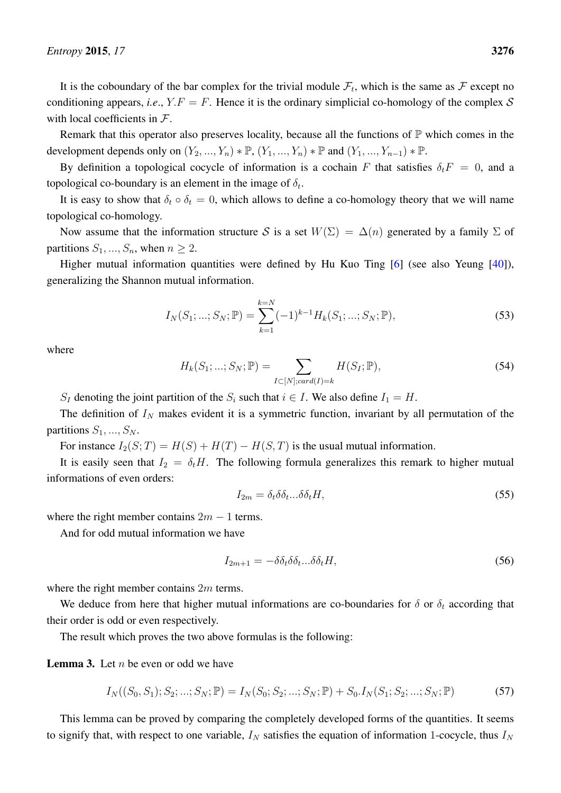It is the coboundary of the bar complex for the trivial module  $\mathcal{F}_t$ , which is the same as  $\mathcal F$  except no conditioning appears, *i.e.*,  $Y.F = F$ . Hence it is the ordinary simplicial co-homology of the complex S with local coefficients in  $F$ .

Remark that this operator also preserves locality, because all the functions of  $\mathbb P$  which comes in the development depends only on  $(Y_2, ..., Y_n) * \mathbb{P}, (Y_1, ..., Y_n) * \mathbb{P}$  and  $(Y_1, ..., Y_{n-1}) * \mathbb{P}$ .

By definition a topological cocycle of information is a cochain F that satisfies  $\delta_t F = 0$ , and a topological co-boundary is an element in the image of  $\delta_t$ .

It is easy to show that  $\delta_t \circ \delta_t = 0$ , which allows to define a co-homology theory that we will name topological co-homology.

Now assume that the information structure S is a set  $W(\Sigma) = \Delta(n)$  generated by a family  $\Sigma$  of partitions  $S_1, ..., S_n$ , when  $n \geq 2$ .

Higher mutual information quantities were defined by Hu Kuo Ting [\[6\]](#page-63-5) (see also Yeung [\[40\]](#page-64-21)), generalizing the Shannon mutual information.

$$
I_N(S_1; \dots; S_N; \mathbb{P}) = \sum_{k=1}^{k=N} (-1)^{k-1} H_k(S_1; \dots; S_N; \mathbb{P}), \tag{53}
$$

where

$$
H_k(S_1; ...; S_N; \mathbb{P}) = \sum_{I \subset [N]; card(I) = k} H(S_I; \mathbb{P}),
$$
\n(54)

 $S_I$  denoting the joint partition of the  $S_i$  such that  $i \in I$ . We also define  $I_1 = H$ .

The definition of  $I<sub>N</sub>$  makes evident it is a symmetric function, invariant by all permutation of the partitions  $S_1, ..., S_N$ .

For instance  $I_2(S;T) = H(S) + H(T) - H(S,T)$  is the usual mutual information.

It is easily seen that  $I_2 = \delta_t H$ . The following formula generalizes this remark to higher mutual informations of even orders:

<span id="page-23-0"></span>
$$
I_{2m} = \delta_t \delta \delta_t \dots \delta \delta_t H,\tag{55}
$$

where the right member contains  $2m - 1$  terms.

And for odd mutual information we have

<span id="page-23-1"></span>
$$
I_{2m+1} = -\delta \delta_t \delta \delta_t \dots \delta \delta_t H,\tag{56}
$$

where the right member contains 2m terms.

We deduce from here that higher mutual informations are co-boundaries for  $\delta$  or  $\delta_t$  according that their order is odd or even respectively.

The result which proves the two above formulas is the following:

**Lemma 3.** Let  $n$  be even or odd we have

$$
I_N((S_0, S_1); S_2; \dots; S_N; \mathbb{P}) = I_N(S_0; S_2; \dots; S_N; \mathbb{P}) + S_0 I_N(S_1; S_2; \dots; S_N; \mathbb{P})
$$
(57)

This lemma can be proved by comparing the completely developed forms of the quantities. It seems to signify that, with respect to one variable,  $I_N$  satisfies the equation of information 1-cocycle, thus  $I_N$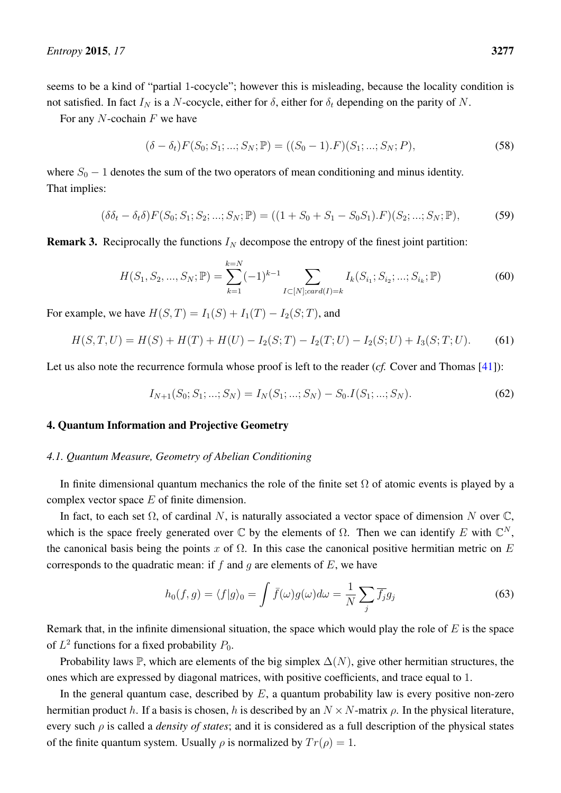seems to be a kind of "partial 1-cocycle"; however this is misleading, because the locality condition is not satisfied. In fact  $I_N$  is a N-cocycle, either for  $\delta$ , either for  $\delta_t$  depending on the parity of N.

For any  $N$ -cochain  $F$  we have

$$
(\delta - \delta_t) F(S_0; S_1; \dots; S_N; \mathbb{P}) = ((S_0 - 1).F)(S_1; \dots; S_N; P),
$$
\n(58)

where  $S_0 - 1$  denotes the sum of the two operators of mean conditioning and minus identity. That implies:

$$
(\delta \delta_t - \delta_t \delta) F(S_0; S_1; S_2; \dots; S_N; \mathbb{P}) = ((1 + S_0 + S_1 - S_0 S_1).F)(S_2; \dots; S_N; \mathbb{P}),
$$
(59)

**Remark 3.** Reciprocally the functions  $I_N$  decompose the entropy of the finest joint partition:

$$
H(S_1, S_2, ..., S_N; \mathbb{P}) = \sum_{k=1}^{k=N} (-1)^{k-1} \sum_{I \subset [N]; card(I) = k} I_k(S_{i_1}; S_{i_2}; ...; S_{i_k}; \mathbb{P})
$$
(60)

For example, we have  $H(S,T) = I_1(S) + I_1(T) - I_2(S;T)$ , and

$$
H(S,T,U) = H(S) + H(T) + H(U) - I_2(S;T) - I_2(T;U) - I_2(S;U) + I_3(S;T;U). \tag{61}
$$

Let us also note the recurrence formula whose proof is left to the reader (*cf.* Cover and Thomas [\[41\]](#page-64-22)):

$$
I_{N+1}(S_0; S_1; \dots; S_N) = I_N(S_1; \dots; S_N) - S_0 \cdot I(S_1; \dots; S_N). \tag{62}
$$

## <span id="page-24-0"></span>4. Quantum Information and Projective Geometry

#### <span id="page-24-1"></span>*4.1. Quantum Measure, Geometry of Abelian Conditioning*

In finite dimensional quantum mechanics the role of the finite set  $\Omega$  of atomic events is played by a complex vector space E of finite dimension.

In fact, to each set  $\Omega$ , of cardinal N, is naturally associated a vector space of dimension N over  $\mathbb{C}$ , which is the space freely generated over  $\mathbb C$  by the elements of  $\Omega$ . Then we can identify E with  $\mathbb C^N$ , the canonical basis being the points x of  $\Omega$ . In this case the canonical positive hermitian metric on E corresponds to the quadratic mean: if f and q are elements of  $E$ , we have

$$
h_0(f,g) = \langle f|g\rangle_0 = \int \bar{f}(\omega)g(\omega)d\omega = \frac{1}{N}\sum_j \overline{f_j}g_j
$$
\n(63)

Remark that, in the infinite dimensional situation, the space which would play the role of  $E$  is the space of  $L^2$  functions for a fixed probability  $P_0$ .

Probability laws P, which are elements of the big simplex  $\Delta(N)$ , give other hermitian structures, the ones which are expressed by diagonal matrices, with positive coefficients, and trace equal to 1.

In the general quantum case, described by  $E$ , a quantum probability law is every positive non-zero hermitian product h. If a basis is chosen, h is described by an  $N \times N$ -matrix  $\rho$ . In the physical literature, every such ρ is called a *density of states*; and it is considered as a full description of the physical states of the finite quantum system. Usually  $\rho$  is normalized by  $Tr(\rho) = 1$ .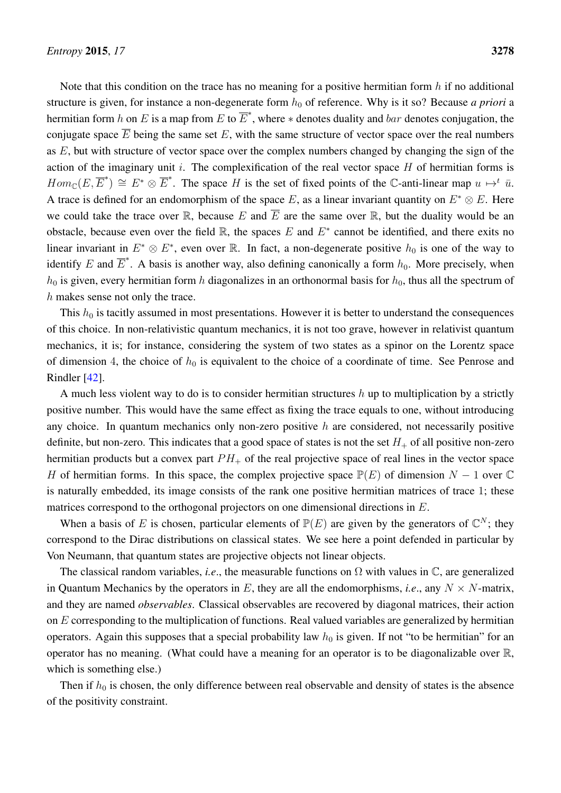Note that this condition on the trace has no meaning for a positive hermitian form  $h$  if no additional structure is given, for instance a non-degenerate form  $h_0$  of reference. Why is it so? Because *a priori* a hermitian form h on E is a map from E to  $\overline{E}^*$ , where  $*$  denotes duality and  $bar$  denotes conjugation, the conjugate space  $\overline{E}$  being the same set E, with the same structure of vector space over the real numbers as  $E$ , but with structure of vector space over the complex numbers changed by changing the sign of the action of the imaginary unit  $i$ . The complexification of the real vector space  $H$  of hermitian forms is  $Hom_{\mathbb{C}}(E, \overline{E}^*) \cong E^* \otimes \overline{E}^*$ . The space H is the set of fixed points of the C-anti-linear map  $u \mapsto^t \overline{u}$ . A trace is defined for an endomorphism of the space E, as a linear invariant quantity on  $E^* \otimes E$ . Here we could take the trace over  $\mathbb R$ , because E and  $\overline E$  are the same over  $\mathbb R$ , but the duality would be an obstacle, because even over the field  $\mathbb{R}$ , the spaces E and  $E^*$  cannot be identified, and there exits no linear invariant in  $E^* \otimes E^*$ , even over R. In fact, a non-degenerate positive  $h_0$  is one of the way to identify E and  $\overline{E}^*$ . A basis is another way, also defining canonically a form  $h_0$ . More precisely, when  $h_0$  is given, every hermitian form h diagonalizes in an orthonormal basis for  $h_0$ , thus all the spectrum of h makes sense not only the trace.

This  $h_0$  is tacitly assumed in most presentations. However it is better to understand the consequences of this choice. In non-relativistic quantum mechanics, it is not too grave, however in relativist quantum mechanics, it is; for instance, considering the system of two states as a spinor on the Lorentz space of dimension 4, the choice of  $h_0$  is equivalent to the choice of a coordinate of time. See Penrose and Rindler [\[42\]](#page-65-0).

A much less violent way to do is to consider hermitian structures  $h$  up to multiplication by a strictly positive number. This would have the same effect as fixing the trace equals to one, without introducing any choice. In quantum mechanics only non-zero positive  $h$  are considered, not necessarily positive definite, but non-zero. This indicates that a good space of states is not the set  $H_+$  of all positive non-zero hermitian products but a convex part  $PH_+$  of the real projective space of real lines in the vector space H of hermitian forms. In this space, the complex projective space  $\mathbb{P}(E)$  of dimension  $N - 1$  over  $\mathbb{C}$ is naturally embedded, its image consists of the rank one positive hermitian matrices of trace 1; these matrices correspond to the orthogonal projectors on one dimensional directions in E.

When a basis of E is chosen, particular elements of  $\mathbb{P}(E)$  are given by the generators of  $\mathbb{C}^N$ ; they correspond to the Dirac distributions on classical states. We see here a point defended in particular by Von Neumann, that quantum states are projective objects not linear objects.

The classical random variables, *i.e.*, the measurable functions on  $\Omega$  with values in  $\mathbb{C}$ , are generalized in Quantum Mechanics by the operators in E, they are all the endomorphisms, *i.e.*, any  $N \times N$ -matrix, and they are named *observables*. Classical observables are recovered by diagonal matrices, their action on  $E$  corresponding to the multiplication of functions. Real valued variables are generalized by hermitian operators. Again this supposes that a special probability law  $h_0$  is given. If not "to be hermitian" for an operator has no meaning. (What could have a meaning for an operator is to be diagonalizable over R, which is something else.)

Then if  $h_0$  is chosen, the only difference between real observable and density of states is the absence of the positivity constraint.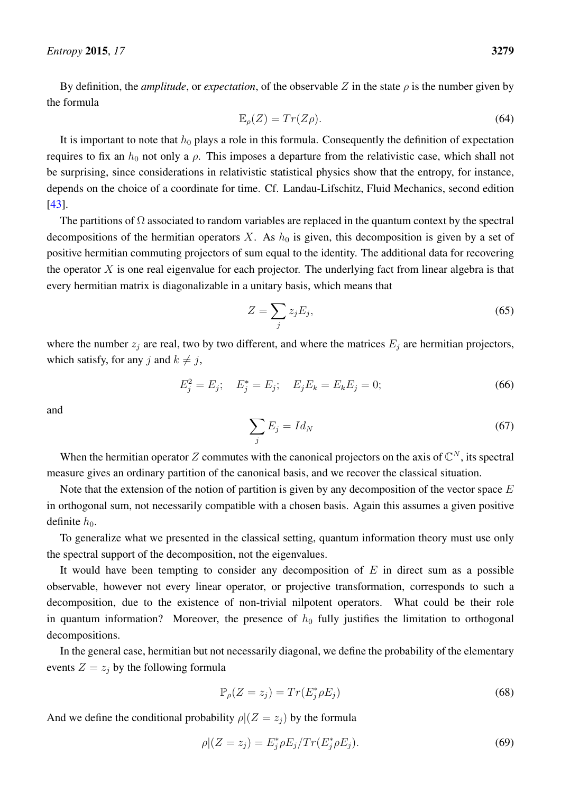By definition, the *amplitude*, or *expectation*, of the observable Z in the state  $\rho$  is the number given by the formula

$$
\mathbb{E}_{\rho}(Z) = Tr(Z\rho). \tag{64}
$$

It is important to note that  $h_0$  plays a role in this formula. Consequently the definition of expectation requires to fix an  $h_0$  not only a  $\rho$ . This imposes a departure from the relativistic case, which shall not be surprising, since considerations in relativistic statistical physics show that the entropy, for instance, depends on the choice of a coordinate for time. Cf. Landau-Lifschitz, Fluid Mechanics, second edition [\[43\]](#page-65-1).

The partitions of  $\Omega$  associated to random variables are replaced in the quantum context by the spectral decompositions of the hermitian operators  $X$ . As  $h_0$  is given, this decomposition is given by a set of positive hermitian commuting projectors of sum equal to the identity. The additional data for recovering the operator  $X$  is one real eigenvalue for each projector. The underlying fact from linear algebra is that every hermitian matrix is diagonalizable in a unitary basis, which means that

$$
Z = \sum_{j} z_j E_j,\tag{65}
$$

where the number  $z_i$  are real, two by two different, and where the matrices  $E_i$  are hermitian projectors, which satisfy, for any j and  $k \neq j$ ,

$$
E_j^2 = E_j; \quad E_j^* = E_j; \quad E_j E_k = E_k E_j = 0; \tag{66}
$$

and

$$
\sum_{j} E_j = Id_N \tag{67}
$$

When the hermitian operator Z commutes with the canonical projectors on the axis of  $\mathbb{C}^N$ , its spectral measure gives an ordinary partition of the canonical basis, and we recover the classical situation.

Note that the extension of the notion of partition is given by any decomposition of the vector space  $E$ in orthogonal sum, not necessarily compatible with a chosen basis. Again this assumes a given positive definite  $h_0$ .

To generalize what we presented in the classical setting, quantum information theory must use only the spectral support of the decomposition, not the eigenvalues.

It would have been tempting to consider any decomposition of  $E$  in direct sum as a possible observable, however not every linear operator, or projective transformation, corresponds to such a decomposition, due to the existence of non-trivial nilpotent operators. What could be their role in quantum information? Moreover, the presence of  $h_0$  fully justifies the limitation to orthogonal decompositions.

In the general case, hermitian but not necessarily diagonal, we define the probability of the elementary events  $Z = z_i$  by the following formula

$$
\mathbb{P}_{\rho}(Z=z_j) = Tr(E_j^* \rho E_j) \tag{68}
$$

And we define the conditional probability  $\rho|(Z=z_j)$  by the formula

$$
\rho|(Z=z_j) = E_j^* \rho E_j / Tr(E_j^* \rho E_j).
$$
\n(69)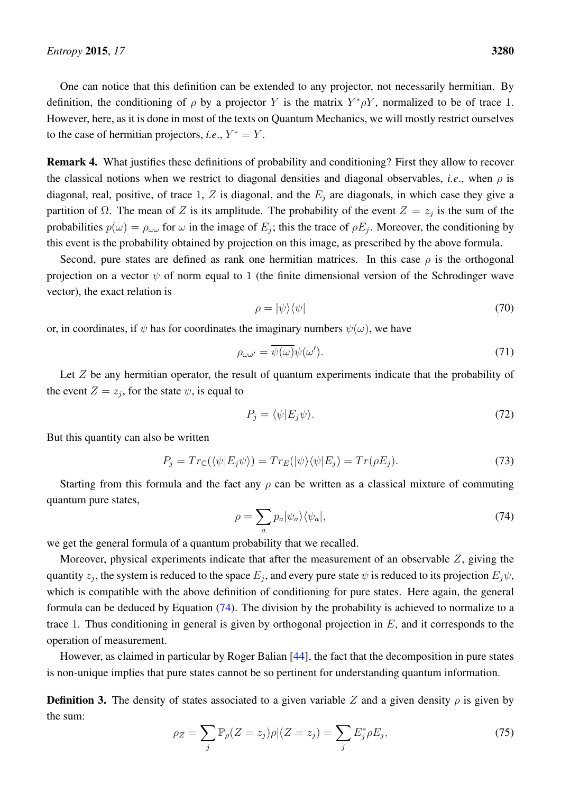One can notice that this definition can be extended to any projector, not necessarily hermitian. By definition, the conditioning of  $\rho$  by a projector Y is the matrix  $Y^*\rho Y$ , normalized to be of trace 1. However, here, as it is done in most of the texts on Quantum Mechanics, we will mostly restrict ourselves to the case of hermitian projectors, *i.e.*,  $Y^* = Y$ .

Remark 4. What justifies these definitions of probability and conditioning? First they allow to recover the classical notions when we restrict to diagonal densities and diagonal observables, *i.e.*, when  $\rho$  is diagonal, real, positive, of trace 1, Z is diagonal, and the  $E_j$  are diagonals, in which case they give a partition of  $\Omega$ . The mean of Z is its amplitude. The probability of the event  $Z = z_j$  is the sum of the probabilities  $p(\omega) = \rho_{\omega\omega}$  for  $\omega$  in the image of  $E_j$ ; this the trace of  $\rho E_j$ . Moreover, the conditioning by this event is the probability obtained by projection on this image, as prescribed by the above formula.

Second, pure states are defined as rank one hermitian matrices. In this case  $\rho$  is the orthogonal projection on a vector  $\psi$  of norm equal to 1 (the finite dimensional version of the Schrodinger wave vector), the exact relation is

$$
\rho = |\psi\rangle\langle\psi| \tag{70}
$$

or, in coordinates, if  $\psi$  has for coordinates the imaginary numbers  $\psi(\omega)$ , we have

$$
\rho_{\omega\omega'} = \overline{\psi(\omega)}\psi(\omega'). \tag{71}
$$

Let  $Z$  be any hermitian operator, the result of quantum experiments indicate that the probability of the event  $Z = z_j$ , for the state  $\psi$ , is equal to

$$
P_j = \langle \psi | E_j \psi \rangle. \tag{72}
$$

But this quantity can also be written

$$
P_j = Tr_{\mathbb{C}}(\langle \psi | E_j \psi \rangle) = Tr_E(|\psi\rangle \langle \psi | E_j) = Tr(\rho E_j). \tag{73}
$$

Starting from this formula and the fact any  $\rho$  can be written as a classical mixture of commuting quantum pure states,

<span id="page-27-0"></span>
$$
\rho = \sum_{a} p_a |\psi_a\rangle\langle\psi_a|,\tag{74}
$$

we get the general formula of a quantum probability that we recalled.

Moreover, physical experiments indicate that after the measurement of an observable Z, giving the quantity  $z_j$ , the system is reduced to the space  $E_j$ , and every pure state  $\psi$  is reduced to its projection  $E_j\psi$ , which is compatible with the above definition of conditioning for pure states. Here again, the general formula can be deduced by Equation [\(74\)](#page-27-0). The division by the probability is achieved to normalize to a trace 1. Thus conditioning in general is given by orthogonal projection in  $E$ , and it corresponds to the operation of measurement.

However, as claimed in particular by Roger Balian [\[44\]](#page-65-2), the fact that the decomposition in pure states is non-unique implies that pure states cannot be so pertinent for understanding quantum information.

**Definition 3.** The density of states associated to a given variable Z and a given density  $\rho$  is given by the sum:

$$
\rho_Z = \sum_j \mathbb{P}_\rho(Z = z_j) \rho | (Z = z_j) = \sum_j E_j^* \rho E_j,\tag{75}
$$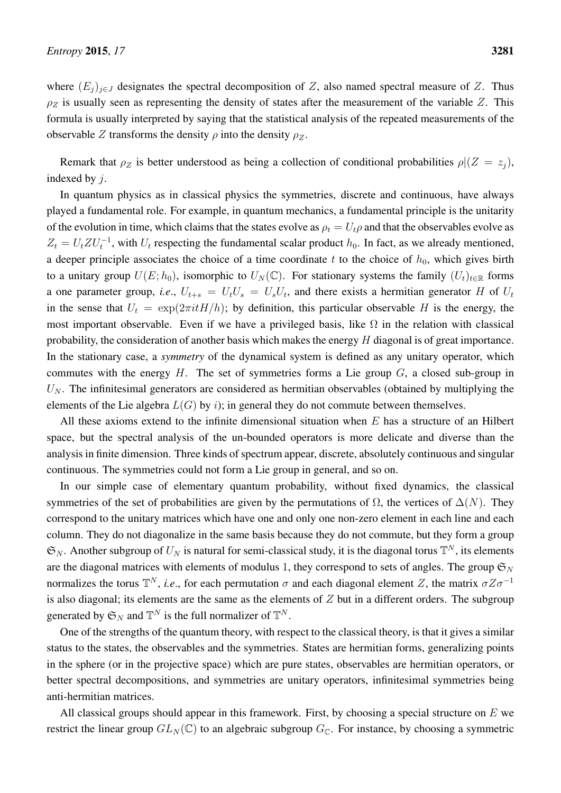where  $(E_j)_{j\in J}$  designates the spectral decomposition of Z, also named spectral measure of Z. Thus  $\rho_Z$  is usually seen as representing the density of states after the measurement of the variable Z. This formula is usually interpreted by saying that the statistical analysis of the repeated measurements of the observable Z transforms the density  $\rho$  into the density  $\rho_z$ .

Remark that  $\rho_Z$  is better understood as being a collection of conditional probabilities  $\rho|(Z = z_i)$ , indexed by j.

In quantum physics as in classical physics the symmetries, discrete and continuous, have always played a fundamental role. For example, in quantum mechanics, a fundamental principle is the unitarity of the evolution in time, which claims that the states evolve as  $\rho_t = U_t \rho$  and that the observables evolve as  $Z_t = U_t Z U_t^{-1}$ , with  $U_t$  respecting the fundamental scalar product  $h_0$ . In fact, as we already mentioned, a deeper principle associates the choice of a time coordinate t to the choice of  $h_0$ , which gives birth to a unitary group  $U(E; h_0)$ , isomorphic to  $U_N(\mathbb{C})$ . For stationary systems the family  $(U_t)_{t \in \mathbb{R}}$  forms a one parameter group, *i.e.*,  $U_{t+s} = U_t U_s = U_s U_t$ , and there exists a hermitian generator H of  $U_t$ in the sense that  $U_t = \exp(2\pi i t H/h)$ ; by definition, this particular observable H is the energy, the most important observable. Even if we have a privileged basis, like  $\Omega$  in the relation with classical probability, the consideration of another basis which makes the energy  $H$  diagonal is of great importance. In the stationary case, a *symmetry* of the dynamical system is defined as any unitary operator, which commutes with the energy  $H$ . The set of symmetries forms a Lie group  $G$ , a closed sub-group in  $U_N$ . The infinitesimal generators are considered as hermitian observables (obtained by multiplying the elements of the Lie algebra  $L(G)$  by i); in general they do not commute between themselves.

All these axioms extend to the infinite dimensional situation when  $E$  has a structure of an Hilbert space, but the spectral analysis of the un-bounded operators is more delicate and diverse than the analysis in finite dimension. Three kinds of spectrum appear, discrete, absolutely continuous and singular continuous. The symmetries could not form a Lie group in general, and so on.

In our simple case of elementary quantum probability, without fixed dynamics, the classical symmetries of the set of probabilities are given by the permutations of  $\Omega$ , the vertices of  $\Delta(N)$ . They correspond to the unitary matrices which have one and only one non-zero element in each line and each column. They do not diagonalize in the same basis because they do not commute, but they form a group  $\mathfrak{S}_N$ . Another subgroup of  $U_N$  is natural for semi-classical study, it is the diagonal torus  $\mathbb{T}^N$ , its elements are the diagonal matrices with elements of modulus 1, they correspond to sets of angles. The group  $\mathfrak{S}_N$ normalizes the torus  $\mathbb{T}^N$ , *i.e.*, for each permutation  $\sigma$  and each diagonal element Z, the matrix  $\sigma Z \sigma^{-1}$ is also diagonal; its elements are the same as the elements of  $Z$  but in a different orders. The subgroup generated by  $\mathfrak{S}_N$  and  $\mathbb{T}^N$  is the full normalizer of  $\mathbb{T}^N$ .

One of the strengths of the quantum theory, with respect to the classical theory, is that it gives a similar status to the states, the observables and the symmetries. States are hermitian forms, generalizing points in the sphere (or in the projective space) which are pure states, observables are hermitian operators, or better spectral decompositions, and symmetries are unitary operators, infinitesimal symmetries being anti-hermitian matrices.

All classical groups should appear in this framework. First, by choosing a special structure on  $E$  we restrict the linear group  $GL_N(\mathbb{C})$  to an algebraic subgroup  $G_{\mathbb{C}}$ . For instance, by choosing a symmetric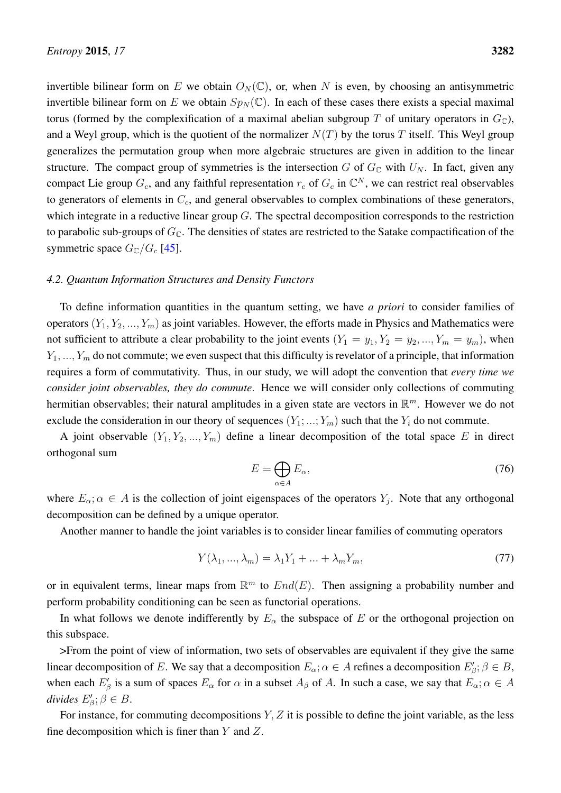invertible bilinear form on E we obtain  $O<sub>N</sub>(\mathbb{C})$ , or, when N is even, by choosing an antisymmetric invertible bilinear form on E we obtain  $Sp<sub>N</sub>(\mathbb{C})$ . In each of these cases there exists a special maximal torus (formed by the complexification of a maximal abelian subgroup T of unitary operators in  $G_{\mathbb{C}}$ ), and a Weyl group, which is the quotient of the normalizer  $N(T)$  by the torus T itself. This Weyl group generalizes the permutation group when more algebraic structures are given in addition to the linear structure. The compact group of symmetries is the intersection G of  $G_{\mathbb{C}}$  with  $U_N$ . In fact, given any compact Lie group  $G_c$ , and any faithful representation  $r_c$  of  $G_c$  in  $\mathbb{C}^N$ , we can restrict real observables to generators of elements in  $C_c$ , and general observables to complex combinations of these generators, which integrate in a reductive linear group  $G$ . The spectral decomposition corresponds to the restriction to parabolic sub-groups of  $G_{\mathbb{C}}$ . The densities of states are restricted to the Satake compactification of the symmetric space  $G_{\rm C}/G_{\rm c}$  [\[45\]](#page-65-3).

#### <span id="page-29-0"></span>*4.2. Quantum Information Structures and Density Functors*

To define information quantities in the quantum setting, we have *a priori* to consider families of operators  $(Y_1, Y_2, ..., Y_m)$  as joint variables. However, the efforts made in Physics and Mathematics were not sufficient to attribute a clear probability to the joint events  $(Y_1 = y_1, Y_2 = y_2, ..., Y_m = y_m)$ , when  $Y_1, ..., Y_m$  do not commute; we even suspect that this difficulty is revelator of a principle, that information requires a form of commutativity. Thus, in our study, we will adopt the convention that *every time we consider joint observables, they do commute*. Hence we will consider only collections of commuting hermitian observables; their natural amplitudes in a given state are vectors in  $\mathbb{R}^m$ . However we do not exclude the consideration in our theory of sequences  $(Y_1; ...; Y_m)$  such that the  $Y_i$  do not commute.

A joint observable  $(Y_1, Y_2, ..., Y_m)$  define a linear decomposition of the total space E in direct orthogonal sum

$$
E = \bigoplus_{\alpha \in A} E_{\alpha},\tag{76}
$$

where  $E_{\alpha}$ ;  $\alpha \in A$  is the collection of joint eigenspaces of the operators  $Y_j$ . Note that any orthogonal decomposition can be defined by a unique operator.

Another manner to handle the joint variables is to consider linear families of commuting operators

$$
Y(\lambda_1, \ldots, \lambda_m) = \lambda_1 Y_1 + \ldots + \lambda_m Y_m,\tag{77}
$$

or in equivalent terms, linear maps from  $\mathbb{R}^m$  to  $End(E)$ . Then assigning a probability number and perform probability conditioning can be seen as functorial operations.

In what follows we denote indifferently by  $E_{\alpha}$  the subspace of E or the orthogonal projection on this subspace.

>From the point of view of information, two sets of observables are equivalent if they give the same linear decomposition of E. We say that a decomposition  $E_{\alpha}$ ;  $\alpha \in A$  refines a decomposition  $E'_{\beta}$ ;  $\beta \in B$ , when each  $E'_\beta$  is a sum of spaces  $E_\alpha$  for  $\alpha$  in a subset  $A_\beta$  of A. In such a case, we say that  $E_\alpha$ ;  $\alpha \in A$  $divides E'_{\beta}; \beta \in B.$ 

For instance, for commuting decompositions  $Y, Z$  it is possible to define the joint variable, as the less fine decomposition which is finer than  $Y$  and  $Z$ .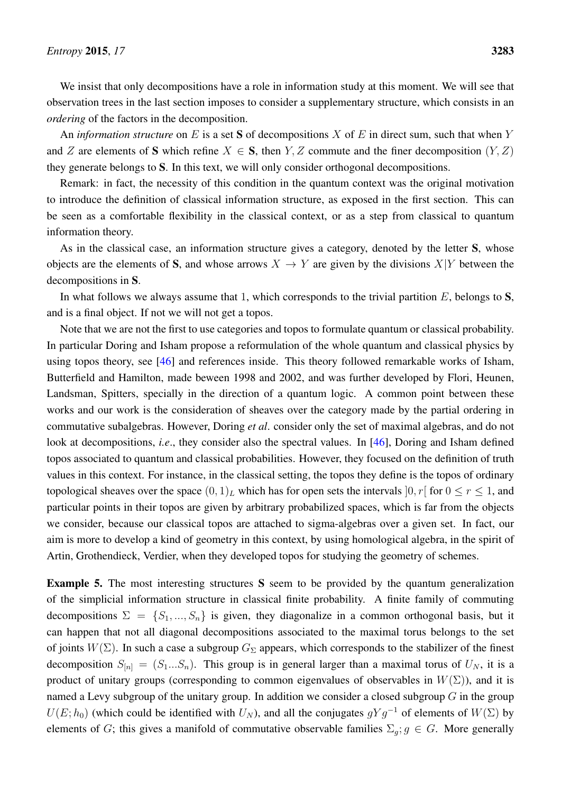We insist that only decompositions have a role in information study at this moment. We will see that observation trees in the last section imposes to consider a supplementary structure, which consists in an *ordering* of the factors in the decomposition.

An *information structure* on E is a set S of decompositions X of E in direct sum, such that when Y and Z are elements of S which refine  $X \in S$ , then Y, Z commute and the finer decomposition  $(Y, Z)$ they generate belongs to S. In this text, we will only consider orthogonal decompositions.

Remark: in fact, the necessity of this condition in the quantum context was the original motivation to introduce the definition of classical information structure, as exposed in the first section. This can be seen as a comfortable flexibility in the classical context, or as a step from classical to quantum information theory.

As in the classical case, an information structure gives a category, denoted by the letter S, whose objects are the elements of S, and whose arrows  $X \to Y$  are given by the divisions  $X|Y$  between the decompositions in S.

In what follows we always assume that 1, which corresponds to the trivial partition  $E$ , belongs to  $S$ , and is a final object. If not we will not get a topos.

Note that we are not the first to use categories and topos to formulate quantum or classical probability. In particular Doring and Isham propose a reformulation of the whole quantum and classical physics by using topos theory, see [\[46\]](#page-65-4) and references inside. This theory followed remarkable works of Isham, Butterfield and Hamilton, made beween 1998 and 2002, and was further developed by Flori, Heunen, Landsman, Spitters, specially in the direction of a quantum logic. A common point between these works and our work is the consideration of sheaves over the category made by the partial ordering in commutative subalgebras. However, Doring *et al*. consider only the set of maximal algebras, and do not look at decompositions, *i.e.*, they consider also the spectral values. In [\[46\]](#page-65-4), Doring and Isham defined topos associated to quantum and classical probabilities. However, they focused on the definition of truth values in this context. For instance, in the classical setting, the topos they define is the topos of ordinary topological sheaves over the space  $(0, 1)_L$  which has for open sets the intervals  $[0, r]$  for  $0 \le r \le 1$ , and particular points in their topos are given by arbitrary probabilized spaces, which is far from the objects we consider, because our classical topos are attached to sigma-algebras over a given set. In fact, our aim is more to develop a kind of geometry in this context, by using homological algebra, in the spirit of Artin, Grothendieck, Verdier, when they developed topos for studying the geometry of schemes.

Example 5. The most interesting structures S seem to be provided by the quantum generalization of the simplicial information structure in classical finite probability. A finite family of commuting decompositions  $\Sigma = \{S_1, ..., S_n\}$  is given, they diagonalize in a common orthogonal basis, but it can happen that not all diagonal decompositions associated to the maximal torus belongs to the set of joints  $W(\Sigma)$ . In such a case a subgroup  $G_{\Sigma}$  appears, which corresponds to the stabilizer of the finest decomposition  $S_{[n]} = (S_1...S_n)$ . This group is in general larger than a maximal torus of  $U_N$ , it is a product of unitary groups (corresponding to common eigenvalues of observables in  $W(\Sigma)$ ), and it is named a Levy subgroup of the unitary group. In addition we consider a closed subgroup  $G$  in the group  $U(E; h_0)$  (which could be identified with  $U_N$ ), and all the conjugates  $gYg^{-1}$  of elements of  $W(\Sigma)$  by elements of G; this gives a manifold of commutative observable families  $\Sigma_q$ ;  $g \in G$ . More generally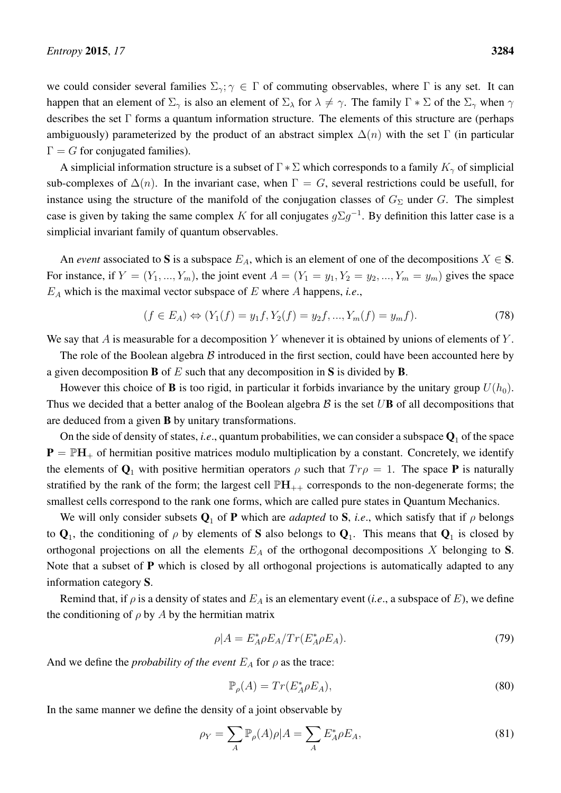we could consider several families  $\Sigma_{\gamma}$ ;  $\gamma \in \Gamma$  of commuting observables, where  $\Gamma$  is any set. It can happen that an element of  $\Sigma_{\gamma}$  is also an element of  $\Sigma_{\lambda}$  for  $\lambda \neq \gamma$ . The family  $\Gamma * \Sigma$  of the  $\Sigma_{\gamma}$  when  $\gamma$ describes the set Γ forms a quantum information structure. The elements of this structure are (perhaps ambiguously) parameterized by the product of an abstract simplex  $\Delta(n)$  with the set Γ (in particular  $\Gamma = G$  for conjugated families).

A simplicial information structure is a subset of  $\Gamma * \Sigma$  which corresponds to a family  $K_{\gamma}$  of simplicial sub-complexes of  $\Delta(n)$ . In the invariant case, when  $\Gamma = G$ , several restrictions could be usefull, for instance using the structure of the manifold of the conjugation classes of  $G_{\Sigma}$  under G. The simplest case is given by taking the same complex K for all conjugates  $g\Sigma g^{-1}$ . By definition this latter case is a simplicial invariant family of quantum observables.

An *event* associated to S is a subspace  $E_A$ , which is an element of one of the decompositions  $X \in S$ . For instance, if  $Y = (Y_1, ..., Y_m)$ , the joint event  $A = (Y_1 = y_1, Y_2 = y_2, ..., Y_m = y_m)$  gives the space  $E_A$  which is the maximal vector subspace of  $E$  where  $A$  happens, *i.e.*,

$$
(f \in E_A) \Leftrightarrow (Y_1(f) = y_1 f, Y_2(f) = y_2 f, ..., Y_m(f) = y_m f). \tag{78}
$$

We say that  $A$  is measurable for a decomposition  $Y$  whenever it is obtained by unions of elements of  $Y$ .

The role of the Boolean algebra  $\beta$  introduced in the first section, could have been accounted here by a given decomposition **B** of E such that any decomposition in S is divided by **B**.

However this choice of **B** is too rigid, in particular it forbids invariance by the unitary group  $U(h_0)$ . Thus we decided that a better analog of the Boolean algebra  $\beta$  is the set UB of all decompositions that are deduced from a given B by unitary transformations.

On the side of density of states, *i.e.*, quantum probabilities, we can consider a subspace  $Q_1$  of the space  $P = PH<sub>+</sub>$  of hermitian positive matrices modulo multiplication by a constant. Concretely, we identify the elements of  $\mathbf{Q}_1$  with positive hermitian operators  $\rho$  such that  $Tr \rho = 1$ . The space **P** is naturally stratified by the rank of the form; the largest cell  $\mathbb{P}H_{++}$  corresponds to the non-degenerate forms; the smallest cells correspond to the rank one forms, which are called pure states in Quantum Mechanics.

We will only consider subsets  $Q_1$  of P which are *adapted* to S, *i.e.*, which satisfy that if  $\rho$  belongs to  $Q_1$ , the conditioning of  $\rho$  by elements of S also belongs to  $Q_1$ . This means that  $Q_1$  is closed by orthogonal projections on all the elements  $E_A$  of the orthogonal decompositions X belonging to S. Note that a subset of **P** which is closed by all orthogonal projections is automatically adapted to any information category S.

Remind that, if  $\rho$  is a density of states and  $E_A$  is an elementary event (*i.e.*, a subspace of E), we define the conditioning of  $\rho$  by A by the hermitian matrix

$$
\rho|A = E_A^* \rho E_A / Tr(E_A^* \rho E_A). \tag{79}
$$

And we define the *probability of the event*  $E_A$  for  $\rho$  as the trace:

$$
\mathbb{P}_{\rho}(A) = Tr(E_A^* \rho E_A),\tag{80}
$$

In the same manner we define the density of a joint observable by

$$
\rho_Y = \sum_A \mathbb{P}_\rho(A)\rho|A = \sum_A E_A^* \rho E_A,\tag{81}
$$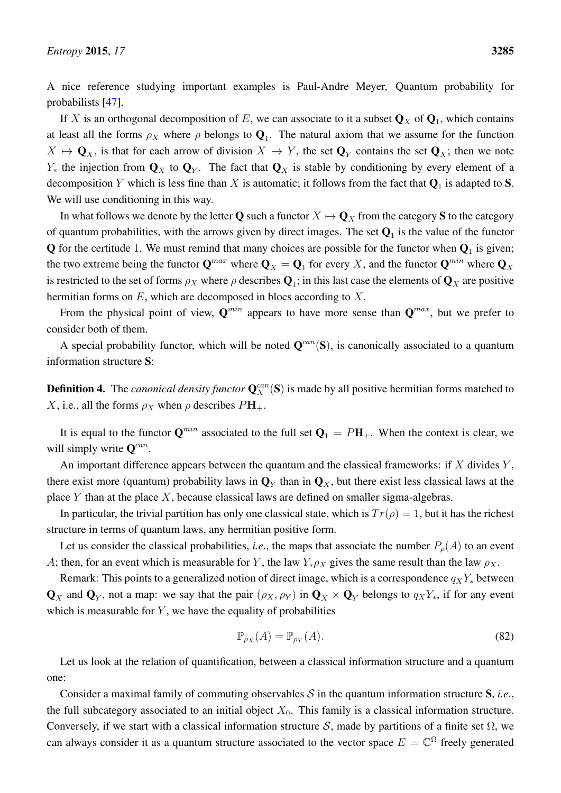A nice reference studying important examples is Paul-Andre Meyer, Quantum probability for probabilists [\[47\]](#page-65-5).

If X is an orthogonal decomposition of E, we can associate to it a subset  $\mathbf{Q}_X$  of  $\mathbf{Q}_1$ , which contains at least all the forms  $\rho_X$  where  $\rho$  belongs to  $\mathbf{Q}_1$ . The natural axiom that we assume for the function  $X \mapsto \mathbf{Q}_X$ , is that for each arrow of division  $X \to Y$ , the set  $\mathbf{Q}_Y$  contains the set  $\mathbf{Q}_X$ ; then we note  $Y_*$  the injection from  $\mathbf{Q}_X$  to  $\mathbf{Q}_Y$ . The fact that  $\mathbf{Q}_X$  is stable by conditioning by every element of a decomposition Y which is less fine than X is automatic; it follows from the fact that  $\mathbf{Q}_1$  is adapted to  $\mathbf{S}$ . We will use conditioning in this way.

In what follows we denote by the letter Q such a functor  $X \mapsto \mathbf{Q}_X$  from the category S to the category of quantum probabilities, with the arrows given by direct images. The set  $Q_1$  is the value of the functor  $Q$  for the certitude 1. We must remind that many choices are possible for the functor when  $Q_1$  is given; the two extreme being the functor  $\mathbf{Q}^{max}$  where  $\mathbf{Q}_X = \mathbf{Q}_1$  for every  $X$ , and the functor  $\mathbf{Q}^{min}$  where  $\mathbf{Q}_X$ is restricted to the set of forms  $\rho_X$  where  $\rho$  describes  ${\bf Q}_1;$  in this last case the elements of  ${\bf Q}_X$  are positive hermitian forms on  $E$ , which are decomposed in blocs according to  $X$ .

From the physical point of view,  $\mathbf{Q}^{min}$  appears to have more sense than  $\mathbf{Q}^{max}$ , but we prefer to consider both of them.

A special probability functor, which will be noted  $Q^{can}(S)$ , is canonically associated to a quantum information structure S:

**Definition 4.** The *canonical density functor*  $Q_X^{can}(S)$  is made by all positive hermitian forms matched to X, i.e., all the forms  $\rho_X$  when  $\rho$  describes  $P\mathbf{H}_+$ .

It is equal to the functor  $\mathbf{Q}^{min}$  associated to the full set  $\mathbf{Q}_1 = P\mathbf{H}_+$ . When the context is clear, we will simply write  $\mathbf{Q}^{can}$ .

An important difference appears between the quantum and the classical frameworks: if  $X$  divides  $Y$ , there exist more (quantum) probability laws in  $\mathbf{Q}_Y$  than in  $\mathbf{Q}_X$ , but there exist less classical laws at the place  $Y$  than at the place  $X$ , because classical laws are defined on smaller sigma-algebras.

In particular, the trivial partition has only one classical state, which is  $Tr(\rho) = 1$ , but it has the richest structure in terms of quantum laws, any hermitian positive form.

Let us consider the classical probabilities, *i.e.*, the maps that associate the number  $P_{\rho}(A)$  to an event A; then, for an event which is measurable for Y, the law  $Y_*\rho_X$  gives the same result than the law  $\rho_X$ .

Remark: This points to a generalized notion of direct image, which is a correspondence  $q_XY_*$  between  $\mathbf{Q}_X$  and  $\mathbf{Q}_Y$ , not a map: we say that the pair  $(\rho_X, \rho_Y)$  in  $\mathbf{Q}_X \times \mathbf{Q}_Y$  belongs to  $q_X Y_*$ , if for any event which is measurable for  $Y$ , we have the equality of probabilities

$$
\mathbb{P}_{\rho_X}(A) = \mathbb{P}_{\rho_Y}(A). \tag{82}
$$

Let us look at the relation of quantification, between a classical information structure and a quantum one:

Consider a maximal family of commuting observables  $S$  in the quantum information structure  $S$ , *i.e.*, the full subcategory associated to an initial object  $X_0$ . This family is a classical information structure. Conversely, if we start with a classical information structure S, made by partitions of a finite set  $\Omega$ , we can always consider it as a quantum structure associated to the vector space  $E = \mathbb{C}^{\Omega}$  freely generated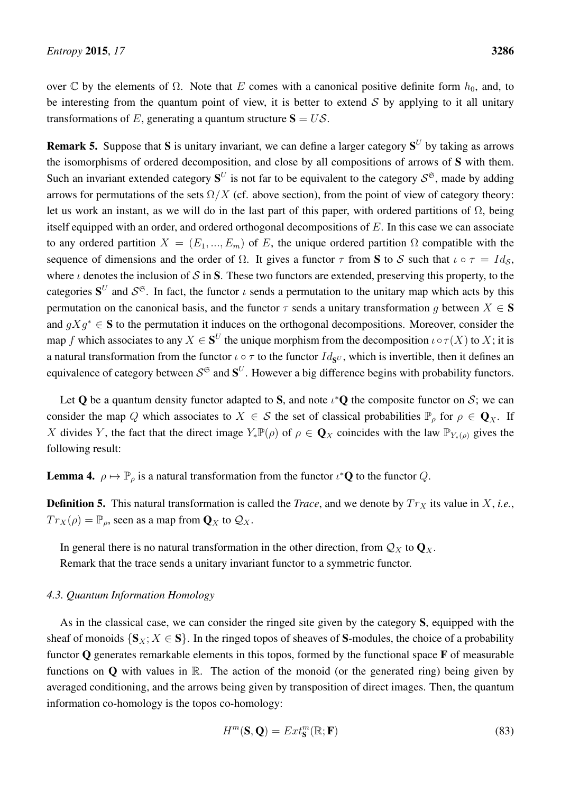over  $\mathbb C$  by the elements of  $\Omega$ . Note that E comes with a canonical positive definite form  $h_0$ , and, to be interesting from the quantum point of view, it is better to extend  $S$  by applying to it all unitary transformations of E, generating a quantum structure  $S = US$ .

**Remark 5.** Suppose that S is unitary invariant, we can define a larger category  $S^U$  by taking as arrows the isomorphisms of ordered decomposition, and close by all compositions of arrows of S with them. Such an invariant extended category  $S^U$  is not far to be equivalent to the category  $S^{\mathfrak{S}}$ , made by adding arrows for permutations of the sets  $\Omega/X$  (cf. above section), from the point of view of category theory: let us work an instant, as we will do in the last part of this paper, with ordered partitions of  $\Omega$ , being itself equipped with an order, and ordered orthogonal decompositions of  $E$ . In this case we can associate to any ordered partition  $X = (E_1, ..., E_m)$  of E, the unique ordered partition  $\Omega$  compatible with the sequence of dimensions and the order of  $\Omega$ . It gives a functor  $\tau$  from **S** to S such that  $\iota \circ \tau = Id_S$ , where  $\iota$  denotes the inclusion of S in S. These two functors are extended, preserving this property, to the categories  $S^U$  and  $S^{\mathfrak{S}}$ . In fact, the functor  $\iota$  sends a permutation to the unitary map which acts by this permutation on the canonical basis, and the functor  $\tau$  sends a unitary transformation q between  $X \in S$ and  $qXq^* \in S$  to the permutation it induces on the orthogonal decompositions. Moreover, consider the map f which associates to any  $X \in S^U$  the unique morphism from the decomposition  $\iota \circ \tau(X)$  to X; it is a natural transformation from the functor  $\iota \circ \tau$  to the functor  $Id_{S^U}$ , which is invertible, then it defines an equivalence of category between  $S^{\mathfrak{S}}$  and  $\mathbf{S}^{U}$ . However a big difference begins with probability functors.

Let Q be a quantum density functor adapted to S, and note  $\iota^*Q$  the composite functor on S; we can consider the map Q which associates to  $X \in S$  the set of classical probabilities  $\mathbb{P}_{\rho}$  for  $\rho \in \mathbf{Q}_X$ . If X divides Y, the fact that the direct image  $Y_*\mathbb{P}(\rho)$  of  $\rho \in \mathbf{Q}_X$  coincides with the law  $\mathbb{P}_{Y_*(\rho)}$  gives the following result:

<span id="page-33-1"></span>**Lemma 4.**  $\rho \mapsto \mathbb{P}_{\rho}$  is a natural transformation from the functor  $\iota^* \mathbf{Q}$  to the functor  $Q$ .

**Definition 5.** This natural transformation is called the *Trace*, and we denote by  $Tr_X$  its value in X, *i.e.*,  $Tr_X(\rho) = \mathbb{P}_{\rho}$ , seen as a map from  $\mathbf{Q}_X$  to  $\mathcal{Q}_X$ .

In general there is no natural transformation in the other direction, from  $\mathcal{Q}_X$  to  $\mathbf{Q}_X$ . Remark that the trace sends a unitary invariant functor to a symmetric functor.

## <span id="page-33-0"></span>*4.3. Quantum Information Homology*

As in the classical case, we can consider the ringed site given by the category S, equipped with the sheaf of monoids  $\{S_X; X \in S\}$ . In the ringed topos of sheaves of S-modules, the choice of a probability functor  $\bf{Q}$  generates remarkable elements in this topos, formed by the functional space  $\bf{F}$  of measurable functions on  $\bf{O}$  with values in  $\mathbb{R}$ . The action of the monoid (or the generated ring) being given by averaged conditioning, and the arrows being given by transposition of direct images. Then, the quantum information co-homology is the topos co-homology:

$$
H^m(\mathbf{S}, \mathbf{Q}) = Ext^m_{\mathbf{S}}(\mathbb{R}; \mathbf{F})
$$
\n(83)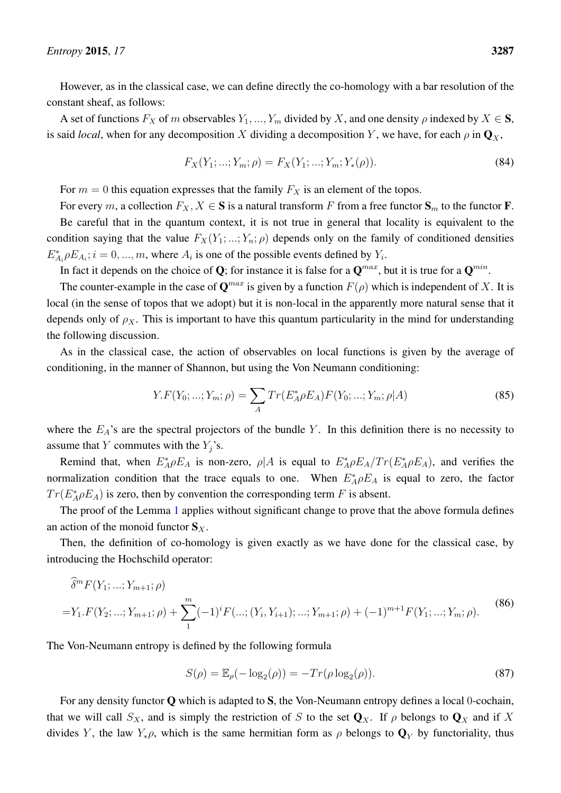However, as in the classical case, we can define directly the co-homology with a bar resolution of the constant sheaf, as follows:

A set of functions  $F_X$  of m observables  $Y_1, ..., Y_m$  divided by X, and one density  $\rho$  indexed by  $X \in S$ , is said *local*, when for any decomposition X dividing a decomposition Y, we have, for each  $\rho$  in  $\mathbf{Q}_X$ ,

$$
F_X(Y_1; \ldots; Y_m; \rho) = F_X(Y_1; \ldots; Y_m; Y_*(\rho)). \tag{84}
$$

For  $m = 0$  this equation expresses that the family  $F_X$  is an element of the topos.

For every m, a collection  $F_X, X \in \mathbf{S}$  is a natural transform F from a free functor  $\mathbf{S}_m$  to the functor **F**. Be careful that in the quantum context, it is not true in general that locality is equivalent to the condition saying that the value  $F_X(Y_1; \ldots; Y_n; \rho)$  depends only on the family of conditioned densities  $E_{A_i}^* \rho E_{A_i}$ ;  $i = 0, ..., m$ , where  $A_i$  is one of the possible events defined by  $Y_i$ .

In fact it depends on the choice of Q; for instance it is false for a  $\mathbf{Q}^{max}$ , but it is true for a  $\mathbf{Q}^{min}$ .

The counter-example in the case of  $\mathbf{Q}^{max}$  is given by a function  $F(\rho)$  which is independent of X. It is local (in the sense of topos that we adopt) but it is non-local in the apparently more natural sense that it depends only of  $\rho_X$ . This is important to have this quantum particularity in the mind for understanding the following discussion.

As in the classical case, the action of observables on local functions is given by the average of conditioning, in the manner of Shannon, but using the Von Neumann conditioning:

$$
Y.F(Y_0; ...; Y_m; \rho) = \sum_{A} Tr(E_A^* \rho E_A) F(Y_0; ...; Y_m; \rho | A)
$$
\n(85)

where the  $E_A$ 's are the spectral projectors of the bundle Y. In this definition there is no necessity to assume that Y commutes with the  $Y_j$ 's.

Remind that, when  $E_A^* \rho E_A$  is non-zero,  $\rho |A$  is equal to  $E_A^* \rho E_A / Tr(E_A^* \rho E_A)$ , and verifies the normalization condition that the trace equals to one. When  $E_A^* \rho E_A$  is equal to zero, the factor  $Tr(E_A^* \rho E_A)$  is zero, then by convention the corresponding term F is absent.

The proof of the Lemma [1](#page-13-0) applies without significant change to prove that the above formula defines an action of the monoid functor  $S_X$ .

Then, the definition of co-homology is given exactly as we have done for the classical case, by introducing the Hochschild operator:

$$
\widehat{\delta}^m F(Y_1; \dots; Y_{m+1}; \rho)
$$
\n
$$
= Y_1. F(Y_2; \dots; Y_{m+1}; \rho) + \sum_{1}^{m} (-1)^i F(\dots; (Y_i, Y_{i+1}); \dots; Y_{m+1}; \rho) + (-1)^{m+1} F(Y_1; \dots; Y_m; \rho). \tag{86}
$$

The Von-Neumann entropy is defined by the following formula

$$
S(\rho) = \mathbb{E}_{\rho}(-\log_2(\rho)) = -Tr(\rho \log_2(\rho)).
$$
\n(87)

For any density functor  $Q$  which is adapted to  $S$ , the Von-Neumann entropy defines a local 0-cochain, that we will call  $S_X$ , and is simply the restriction of S to the set  $\mathbf{Q}_X$ . If  $\rho$  belongs to  $\mathbf{Q}_X$  and if X divides Y, the law  $Y_*\rho$ , which is the same hermitian form as  $\rho$  belongs to  $\mathbf{Q}_Y$  by functoriality, thus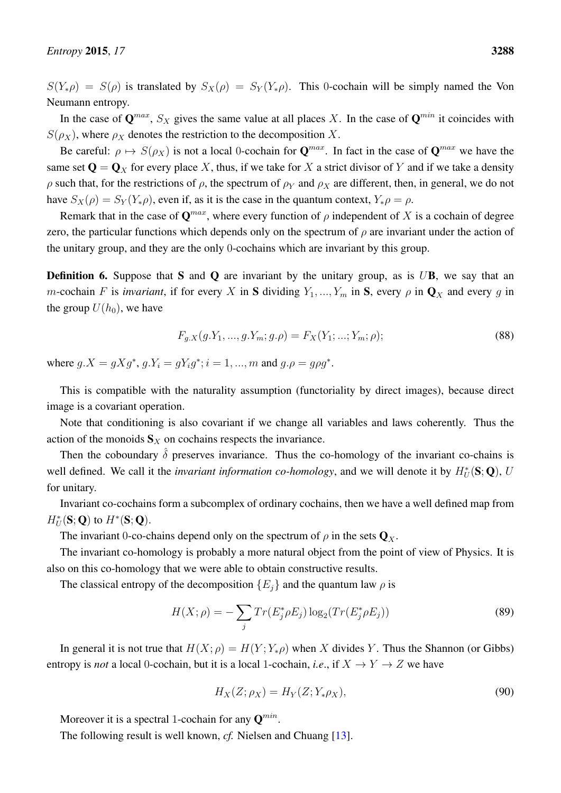$S(Y_*\rho) = S(\rho)$  is translated by  $S_X(\rho) = S_Y(Y_*\rho)$ . This 0-cochain will be simply named the Von Neumann entropy.

In the case of  $\mathbf{Q}^{max}$ ,  $S_X$  gives the same value at all places X. In the case of  $\mathbf{Q}^{min}$  it coincides with  $S(\rho_X)$ , where  $\rho_X$  denotes the restriction to the decomposition X.

Be careful:  $\rho \mapsto S(\rho_X)$  is not a local 0-cochain for  $\mathbf{Q}^{max}$ . In fact in the case of  $\mathbf{Q}^{max}$  we have the same set  $\mathbf{Q} = \mathbf{Q}_X$  for every place X, thus, if we take for X a strict divisor of Y and if we take a density  $ρ$  such that, for the restrictions of  $ρ$ , the spectrum of  $ρ<sub>Y</sub>$  and  $ρ<sub>X</sub>$  are different, then, in general, we do not have  $S_X(\rho) = S_Y(Y_*\rho)$ , even if, as it is the case in the quantum context,  $Y_*\rho = \rho$ .

Remark that in the case of  $\mathbf{Q}^{max}$ , where every function of  $\rho$  independent of X is a cochain of degree zero, the particular functions which depends only on the spectrum of  $\rho$  are invariant under the action of the unitary group, and they are the only 0-cochains which are invariant by this group.

**Definition 6.** Suppose that S and Q are invariant by the unitary group, as is  $U\mathbf{B}$ , we say that an m-cochain F is *invariant*, if for every X in S dividing  $Y_1, ..., Y_m$  in S, every  $\rho$  in  $\mathbf{Q}_X$  and every g in the group  $U(h_0)$ , we have

$$
F_{g.X}(g.Y_1, ..., g.Y_m; g.\rho) = F_X(Y_1; ...; Y_m; \rho); \tag{88}
$$

where  $g.X = gXg^*$ ,  $g.Y_i = gY_ig^*$ ;  $i = 1, ..., m$  and  $g.\rho = g\rho g^*$ .

This is compatible with the naturality assumption (functoriality by direct images), because direct image is a covariant operation.

Note that conditioning is also covariant if we change all variables and laws coherently. Thus the action of the monoids  $S_X$  on cochains respects the invariance.

Then the coboundary  $\hat{\delta}$  preserves invariance. Thus the co-homology of the invariant co-chains is well defined. We call it the *invariant information co-homology*, and we will denote it by  $H^*_U(S; Q)$ , U for unitary.

Invariant co-cochains form a subcomplex of ordinary cochains, then we have a well defined map from  $H_U^*(\mathbf{S};\mathbf{Q})$  to  $H^*(\mathbf{S};\mathbf{Q})$ .

The invariant 0-co-chains depend only on the spectrum of  $\rho$  in the sets  $\mathbf{Q}_x$ .

The invariant co-homology is probably a more natural object from the point of view of Physics. It is also on this co-homology that we were able to obtain constructive results.

The classical entropy of the decomposition  ${E_i}$  and the quantum law  $\rho$  is

$$
H(X; \rho) = -\sum_{j} Tr(E_j^* \rho E_j) \log_2(Tr(E_j^* \rho E_j))
$$
\n(89)

In general it is not true that  $H(X; \rho) = H(Y; Y_*\rho)$  when X divides Y. Thus the Shannon (or Gibbs) entropy is *not* a local 0-cochain, but it is a local 1-cochain, *i.e.*, if  $X \to Y \to Z$  we have

$$
H_X(Z; \rho_X) = H_Y(Z; Y_*\rho_X),\tag{90}
$$

Moreover it is a spectral 1-cochain for any  $\mathbf{Q}^{min}$ .

The following result is well known, *cf.* Nielsen and Chuang [\[13\]](#page-63-12).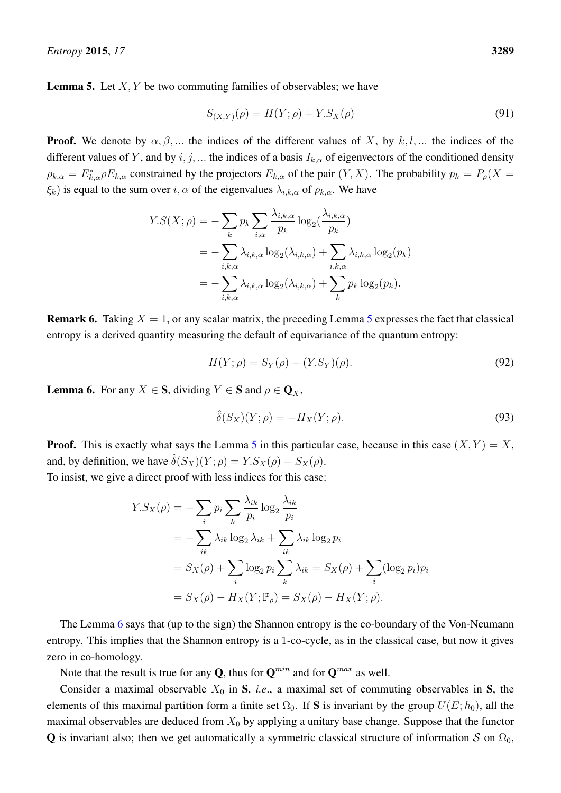<span id="page-36-0"></span>**Lemma 5.** Let  $X, Y$  be two commuting families of observables; we have

$$
S_{(X,Y)}(\rho) = H(Y; \rho) + Y.S_X(\rho)
$$
\n(91)

**Proof.** We denote by  $\alpha, \beta, ...$  the indices of the different values of X, by k, l, ... the indices of the different values of Y, and by i, j, ... the indices of a basis  $I_{k,\alpha}$  of eigenvectors of the conditioned density  $\rho_{k,\alpha} = E_{k,\alpha}^* \rho E_{k,\alpha}$  constrained by the projectors  $E_{k,\alpha}$  of the pair  $(Y, X)$ . The probability  $p_k = P_\rho(X =$  $\xi_k$ ) is equal to the sum over  $i, \alpha$  of the eigenvalues  $\lambda_{i,k,\alpha}$  of  $\rho_{k,\alpha}$ . We have

$$
Y.S(X; \rho) = -\sum_{k} p_k \sum_{i,\alpha} \frac{\lambda_{i,k,\alpha}}{p_k} \log_2(\frac{\lambda_{i,k,\alpha}}{p_k})
$$
  
= 
$$
-\sum_{i,k,\alpha} \lambda_{i,k,\alpha} \log_2(\lambda_{i,k,\alpha}) + \sum_{i,k,\alpha} \lambda_{i,k,\alpha} \log_2(p_k)
$$
  
= 
$$
-\sum_{i,k,\alpha} \lambda_{i,k,\alpha} \log_2(\lambda_{i,k,\alpha}) + \sum_{k} p_k \log_2(p_k).
$$

**Remark 6.** Taking  $X = 1$ , or any scalar matrix, the preceding Lemma [5](#page-36-0) expresses the fact that classical entropy is a derived quantity measuring the default of equivariance of the quantum entropy:

$$
H(Y; \rho) = S_Y(\rho) - (Y.S_Y)(\rho).
$$
\n(92)

<span id="page-36-1"></span>**Lemma 6.** For any  $X \in \mathbf{S}$ , dividing  $Y \in \mathbf{S}$  and  $\rho \in \mathbf{Q}_X$ ,

$$
\hat{\delta}(S_X)(Y;\rho) = -H_X(Y;\rho). \tag{93}
$$

**Proof.** This is exactly what says the Lemma [5](#page-36-0) in this particular case, because in this case  $(X, Y) = X$ , and, by definition, we have  $\hat{\delta}(S_X)(Y; \rho) = Y.S_X(\rho) - S_X(\rho)$ .

To insist, we give a direct proof with less indices for this case:

$$
Y.S_X(\rho) = -\sum_i p_i \sum_k \frac{\lambda_{ik}}{p_i} \log_2 \frac{\lambda_{ik}}{p_i}
$$
  
= 
$$
-\sum_{ik} \lambda_{ik} \log_2 \lambda_{ik} + \sum_{ik} \lambda_{ik} \log_2 p_i
$$
  
= 
$$
S_X(\rho) + \sum_i \log_2 p_i \sum_k \lambda_{ik} = S_X(\rho) + \sum_i (\log_2 p_i) p_i
$$
  
= 
$$
S_X(\rho) - H_X(Y; \mathbb{P}_\rho) = S_X(\rho) - H_X(Y; \rho).
$$

The Lemma [6](#page-36-1) says that (up to the sign) the Shannon entropy is the co-boundary of the Von-Neumann entropy. This implies that the Shannon entropy is a 1-co-cycle, as in the classical case, but now it gives zero in co-homology.

Note that the result is true for any **Q**, thus for  $\mathbf{Q}^{min}$  and for  $\mathbf{Q}^{max}$  as well.

Consider a maximal observable  $X_0$  in S, *i.e.*, a maximal set of commuting observables in S, the elements of this maximal partition form a finite set  $\Omega_0$ . If S is invariant by the group  $U(E; h_0)$ , all the maximal observables are deduced from  $X_0$  by applying a unitary base change. Suppose that the functor Q is invariant also; then we get automatically a symmetric classical structure of information S on  $\Omega_0$ ,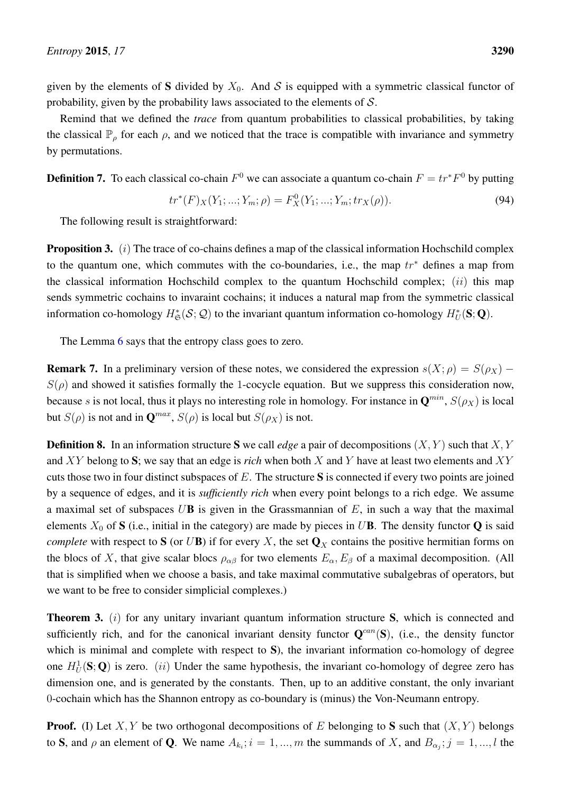given by the elements of S divided by  $X_0$ . And S is equipped with a symmetric classical functor of probability, given by the probability laws associated to the elements of  $S$ .

Remind that we defined the *trace* from quantum probabilities to classical probabilities, by taking the classical  $\mathbb{P}_{\rho}$  for each  $\rho$ , and we noticed that the trace is compatible with invariance and symmetry by permutations.

**Definition 7.** To each classical co-chain  $F^0$  we can associate a quantum co-chain  $F = tr^*F^0$  by putting

$$
tr^*(F)_X(Y_1; \dots; Y_m; \rho) = F_X^0(Y_1; \dots; Y_m; tr_X(\rho)).
$$
\n(94)

The following result is straightforward:

<span id="page-37-1"></span>**Proposition 3.** ( $i$ ) The trace of co-chains defines a map of the classical information Hochschild complex to the quantum one, which commutes with the co-boundaries, i.e., the map  $tr^*$  defines a map from the classical information Hochschild complex to the quantum Hochschild complex;  $(ii)$  this map sends symmetric cochains to invaraint cochains; it induces a natural map from the symmetric classical information co-homology  $H^*_{\mathfrak{S}}(\mathcal{S};\mathcal{Q})$  to the invariant quantum information co-homology  $H^*_U(\mathbf{S};\mathbf{Q})$ .

The Lemma [6](#page-36-1) says that the entropy class goes to zero.

**Remark 7.** In a preliminary version of these notes, we considered the expression  $s(X; \rho) = S(\rho_X)$  –  $S(\rho)$  and showed it satisfies formally the 1-cocycle equation. But we suppress this consideration now, because s is not local, thus it plays no interesting role in homology. For instance in  $\mathbf{Q}^{min}$ ,  $S(\rho_X)$  is local but  $S(\rho)$  is not and in  $\mathbf{Q}^{max}$ ,  $S(\rho)$  is local but  $S(\rho_X)$  is not.

**Definition 8.** In an information structure S we call *edge* a pair of decompositions  $(X, Y)$  such that  $X, Y$ and XY belong to S; we say that an edge is *rich* when both X and Y have at least two elements and XY cuts those two in four distinct subspaces of E. The structure S is connected if every two points are joined by a sequence of edges, and it is *sufficiently rich* when every point belongs to a rich edge. We assume a maximal set of subspaces  $U\mathbf{B}$  is given in the Grassmannian of  $E$ , in such a way that the maximal elements  $X_0$  of S (i.e., initial in the category) are made by pieces in UB. The density functor Q is said *complete* with respect to S (or UB) if for every X, the set  $\mathbf{Q}_X$  contains the positive hermitian forms on the blocs of X, that give scalar blocs  $\rho_{\alpha\beta}$  for two elements  $E_{\alpha}$ ,  $E_{\beta}$  of a maximal decomposition. (All that is simplified when we choose a basis, and take maximal commutative subalgebras of operators, but we want to be free to consider simplicial complexes.)

<span id="page-37-0"></span>**Theorem 3.** (i) for any unitary invariant quantum information structure S, which is connected and sufficiently rich, and for the canonical invariant density functor  $Q^{can}(S)$ , (i.e., the density functor which is minimal and complete with respect to S), the invariant information co-homology of degree one  $H_U^1(S; Q)$  is zero. (ii) Under the same hypothesis, the invariant co-homology of degree zero has dimension one, and is generated by the constants. Then, up to an additive constant, the only invariant 0-cochain which has the Shannon entropy as co-boundary is (minus) the Von-Neumann entropy.

**Proof.** (I) Let X, Y be two orthogonal decompositions of E belonging to S such that  $(X, Y)$  belongs to S, and  $\rho$  an element of Q. We name  $A_{k_i}$ ;  $i = 1, ..., m$  the summands of X, and  $B_{\alpha_j}$ ;  $j = 1, ..., l$  the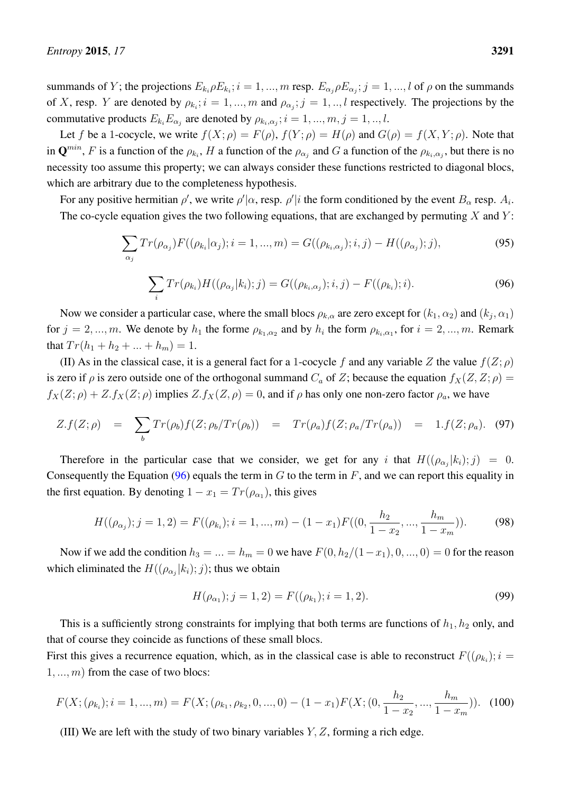summands of Y; the projections  $E_{k_i} \rho E_{k_i}$ ;  $i = 1, ..., m$  resp.  $E_{\alpha_j} \rho E_{\alpha_j}$ ;  $j = 1, ..., l$  of  $\rho$  on the summands of X, resp. Y are denoted by  $\rho_{k_i}$ ;  $i = 1, ..., m$  and  $\rho_{\alpha_j}$ ;  $j = 1, ..., l$  respectively. The projections by the commutative products  $E_{k_i} E_{\alpha_j}$  are denoted by  $\rho_{k_i,\alpha_j}$ ;  $i = 1, ..., m, j = 1, ..., l$ .

Let f be a 1-cocycle, we write  $f(X; \rho) = F(\rho)$ ,  $f(Y; \rho) = H(\rho)$  and  $G(\rho) = f(X, Y; \rho)$ . Note that in  $\mathbf{Q}^{min}$ , F is a function of the  $\rho_{k_i}$ , H a function of the  $\rho_{\alpha_j}$  and G a function of the  $\rho_{k_i,\alpha_j}$ , but there is no necessity too assume this property; we can always consider these functions restricted to diagonal blocs, which are arbitrary due to the completeness hypothesis.

For any positive hermitian  $\rho'$ , we write  $\rho'|\alpha$ , resp.  $\rho'|i$  the form conditioned by the event  $B_\alpha$  resp.  $A_i$ . The co-cycle equation gives the two following equations, that are exchanged by permuting  $X$  and  $Y$ :

$$
\sum_{\alpha_j} Tr(\rho_{\alpha_j}) F((\rho_{k_i} | \alpha_j); i = 1, ..., m) = G((\rho_{k_i, \alpha_j}); i, j) - H((\rho_{\alpha_j}); j),
$$
\n(95)

<span id="page-38-1"></span>
$$
\sum_{i} Tr(\rho_{k_i}) H((\rho_{\alpha_j}|k_i);j) = G((\rho_{k_i,\alpha_j});i,j) - F((\rho_{k_i});i).
$$
\n(96)

Now we consider a particular case, where the small blocs  $\rho_{k,\alpha}$  are zero except for  $(k_1,\alpha_2)$  and  $(k_j,\alpha_1)$ for  $j = 2, ..., m$ . We denote by  $h_1$  the forme  $\rho_{k_1, \alpha_2}$  and by  $h_i$  the form  $\rho_{k_i, \alpha_1}$ , for  $i = 2, ..., m$ . Remark that  $Tr(h_1 + h_2 + \ldots + h_m) = 1$ .

(II) As in the classical case, it is a general fact for a 1-cocycle f and any variable Z the value  $f(Z; \rho)$ is zero if  $\rho$  is zero outside one of the orthogonal summand  $C_a$  of Z; because the equation  $f_X(Z, Z; \rho) =$  $f_X(Z; \rho) + Z.f_X(Z; \rho)$  implies  $Z.f_X(Z; \rho) = 0$ , and if  $\rho$  has only one non-zero factor  $\rho_a$ , we have

$$
Z.f(Z;\rho) = \sum_{b} Tr(\rho_b) f(Z;\rho_b/Tr(\rho_b)) = Tr(\rho_a) f(Z;\rho_a/Tr(\rho_a)) = 1.f(Z;\rho_a). \quad (97)
$$

Therefore in the particular case that we consider, we get for any i that  $H((\rho_{\alpha_j}|k_i); j) = 0$ . Consequently the Equation [\(96\)](#page-38-1) equals the term in  $G$  to the term in  $F$ , and we can report this equality in the first equation. By denoting  $1 - x_1 = Tr(\rho_{\alpha_1})$ , this gives

$$
H((\rho_{\alpha_j}); j = 1, 2) = F((\rho_{k_i}); i = 1, ..., m) - (1 - x_1)F((0, \frac{h_2}{1 - x_2}, ..., \frac{h_m}{1 - x_m})).
$$
 (98)

Now if we add the condition  $h_3 = ... = h_m = 0$  we have  $F(0, h_2/(1-x_1), 0, ..., 0) = 0$  for the reason which eliminated the  $H((\rho_{\alpha_j}|k_i); j)$ ; thus we obtain

$$
H(\rho_{\alpha_1}); j = 1, 2) = F((\rho_{k_1}); i = 1, 2). \tag{99}
$$

This is a sufficiently strong constraints for implying that both terms are functions of  $h_1$ ,  $h_2$  only, and that of course they coincide as functions of these small blocs.

First this gives a recurrence equation, which, as in the classical case is able to reconstruct  $F((\rho_{k_i}); i =$  $1, \ldots, m$  from the case of two blocs:

<span id="page-38-0"></span>
$$
F(X; (\rho_{k_i}); i = 1, ..., m) = F(X; (\rho_{k_1}, \rho_{k_2}, 0, ..., 0) - (1 - x_1)F(X; (0, \frac{h_2}{1 - x_2}, ..., \frac{h_m}{1 - x_m})).
$$
 (100)

(III) We are left with the study of two binary variables  $Y, Z$ , forming a rich edge.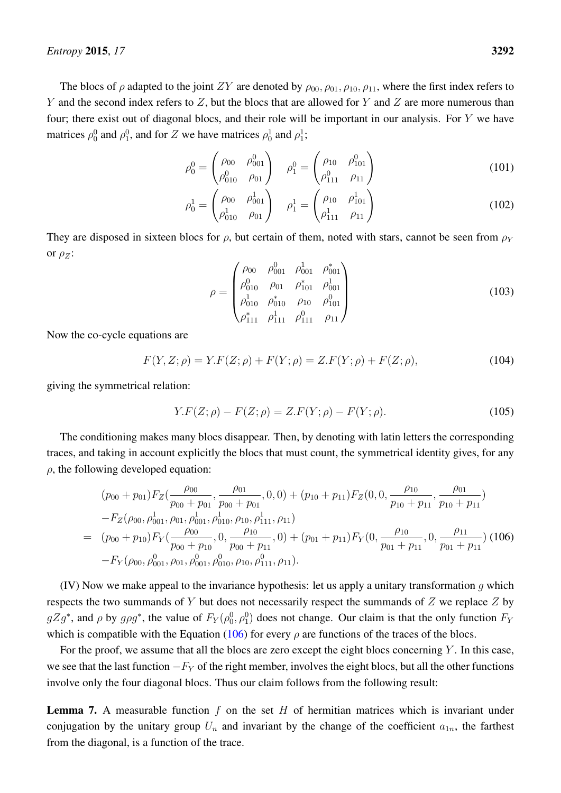The blocs of  $\rho$  adapted to the joint ZY are denoted by  $\rho_{00}, \rho_{01}, \rho_{10}, \rho_{11}$ , where the first index refers to Y and the second index refers to  $Z$ , but the blocs that are allowed for Y and  $Z$  are more numerous than four; there exist out of diagonal blocs, and their role will be important in our analysis. For  $Y$  we have matrices  $\rho_0^0$  and  $\rho_1^0$ , and for Z we have matrices  $\rho_0^1$  and  $\rho_1^1$ ;

$$
\rho_0^0 = \begin{pmatrix} \rho_{00} & \rho_{001}^0 \\ \rho_{010}^0 & \rho_{01} \end{pmatrix} \quad \rho_1^0 = \begin{pmatrix} \rho_{10} & \rho_{101}^0 \\ \rho_{111}^0 & \rho_{11} \end{pmatrix} \tag{101}
$$

$$
\rho_0^1 = \begin{pmatrix} \rho_{00} & \rho_{001}^1 \\ \rho_{010}^1 & \rho_{01} \end{pmatrix} \quad \rho_1^1 = \begin{pmatrix} \rho_{10} & \rho_{101}^1 \\ \rho_{111}^1 & \rho_{11} \end{pmatrix} \tag{102}
$$

They are disposed in sixteen blocs for  $\rho$ , but certain of them, noted with stars, cannot be seen from  $\rho_Y$ or  $\rho_Z$ :

$$
\rho = \begin{pmatrix}\n\rho_{00} & \rho_{001}^0 & \rho_{001}^1 & \rho_{001}^* \\
\rho_{010}^0 & \rho_{01} & \rho_{101}^* & \rho_{001}^1 \\
\rho_{010}^1 & \rho_{010}^* & \rho_{10} & \rho_{101}^0 \\
\rho_{111}^* & \rho_{111}^1 & \rho_{111}^0 & \rho_{11}\n\end{pmatrix}
$$
\n(103)

Now the co-cycle equations are

$$
F(Y, Z; \rho) = Y.F(Z; \rho) + F(Y; \rho) = Z.F(Y; \rho) + F(Z; \rho),
$$
\n(104)

giving the symmetrical relation:

$$
Y.F(Z; \rho) - F(Z; \rho) = Z.F(Y; \rho) - F(Y; \rho).
$$
\n(105)

The conditioning makes many blocs disappear. Then, by denoting with latin letters the corresponding traces, and taking in account explicitly the blocs that must count, the symmetrical identity gives, for any  $\rho$ , the following developed equation:

<span id="page-39-0"></span>
$$
(p_{00} + p_{01})F_Z(\frac{\rho_{00}}{p_{00} + p_{01}}, \frac{\rho_{01}}{p_{00} + p_{01}}, 0, 0) + (p_{10} + p_{11})F_Z(0, 0, \frac{\rho_{10}}{p_{10} + p_{11}}, \frac{\rho_{01}}{p_{10} + p_{11}})
$$
  
\n
$$
-F_Z(\rho_{00}, \rho_{001}^1, \rho_{01}, \rho_{001}^1, \rho_{010}^1, \rho_{100}^1, \rho_{111}^1, \rho_{11})
$$
  
\n
$$
= (p_{00} + p_{10})F_Y(\frac{\rho_{00}}{p_{00} + p_{10}}, 0, \frac{\rho_{10}}{p_{00} + p_{11}}, 0) + (p_{01} + p_{11})F_Y(0, \frac{\rho_{10}}{p_{01} + p_{11}}, 0, \frac{\rho_{11}}{p_{01} + p_{11}}) (106)
$$
  
\n
$$
-F_Y(\rho_{00}, \rho_{001}^0, \rho_{01}, \rho_{001}^0, \rho_{010}^0, \rho_{110}, \rho_{111}^1, \rho_{11}).
$$

(IV) Now we make appeal to the invariance hypothesis: let us apply a unitary transformation q which respects the two summands of Y but does not necessarily respect the summands of  $Z$  we replace  $Z$  by  $gZg^*$ , and  $\rho$  by  $g\rho g^*$ , the value of  $F_Y(\rho_0^0, \rho_1^0)$  does not change. Our claim is that the only function  $F_Y$ which is compatible with the Equation [\(106\)](#page-39-0) for every  $\rho$  are functions of the traces of the blocs.

For the proof, we assume that all the blocs are zero except the eight blocs concerning  $Y$ . In this case, we see that the last function  $-F_Y$  of the right member, involves the eight blocs, but all the other functions involve only the four diagonal blocs. Thus our claim follows from the following result:

**Lemma 7.** A measurable function  $f$  on the set  $H$  of hermitian matrices which is invariant under conjugation by the unitary group  $U_n$  and invariant by the change of the coefficient  $a_{1n}$ , the farthest from the diagonal, is a function of the trace.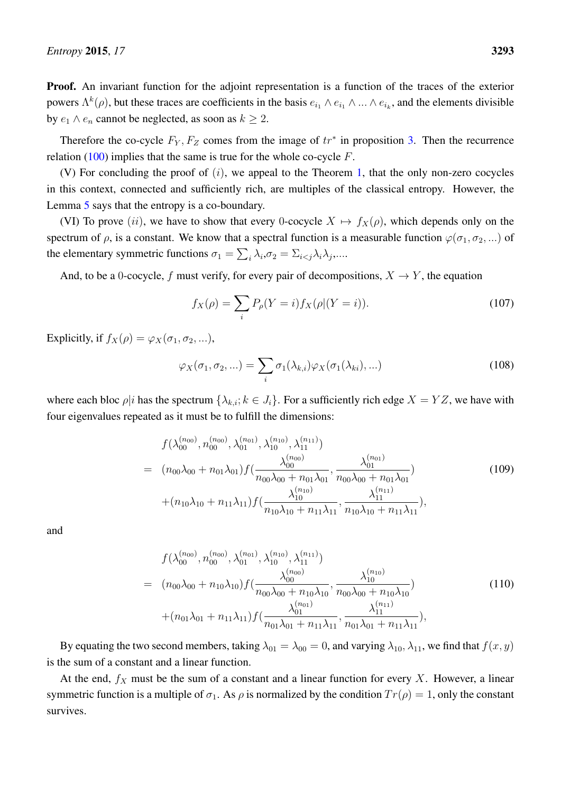Proof. An invariant function for the adjoint representation is a function of the traces of the exterior powers  $\Lambda^k(\rho)$ , but these traces are coefficients in the basis  $e_{i_1} \wedge e_{i_1} \wedge ... \wedge e_{i_k}$ , and the elements divisible by  $e_1 \wedge e_n$  cannot be neglected, as soon as  $k \geq 2$ .

Therefore the co-cycle  $F_Y, F_Z$  comes from the image of  $tr^*$  in proposition [3.](#page-37-1) Then the recurrence relation [\(100\)](#page-38-0) implies that the same is true for the whole co-cycle  $F$ .

(V) For concluding the proof of  $(i)$ , we appeal to the Theorem [1,](#page-20-0) that the only non-zero cocycles in this context, connected and sufficiently rich, are multiples of the classical entropy. However, the Lemma [5](#page-36-0) says that the entropy is a co-boundary.

(VI) To prove (ii), we have to show that every 0-cocycle  $X \mapsto f_X(\rho)$ , which depends only on the spectrum of  $\rho$ , is a constant. We know that a spectral function is a measurable function  $\varphi(\sigma_1, \sigma_2, ...)$  of the elementary symmetric functions  $\sigma_1 = \sum_i \lambda_i, \sigma_2 = \sum_{i < j} \lambda_i \lambda_j, \dots$ 

And, to be a 0-cocycle, f must verify, for every pair of decompositions,  $X \to Y$ , the equation

$$
f_X(\rho) = \sum_i P_\rho(Y = i) f_X(\rho | (Y = i)).
$$
\n(107)

Explicitly, if  $f_X(\rho) = \varphi_X(\sigma_1, \sigma_2, \ldots),$ 

$$
\varphi_X(\sigma_1, \sigma_2, \ldots) = \sum_i \sigma_1(\lambda_{k,i}) \varphi_X(\sigma_1(\lambda_{ki}), \ldots)
$$
\n(108)

where each bloc  $\rho|i$  has the spectrum  $\{\lambda_{k,i}; k \in J_i\}$ . For a sufficiently rich edge  $X = YZ$ , we have with four eigenvalues repeated as it must be to fulfill the dimensions:

$$
f(\lambda_{00}^{(n_{00})}, n_{00}^{(n_{00})}, \lambda_{01}^{(n_{01})}, \lambda_{10}^{(n_{10})}, \lambda_{11}^{(n_{11})})
$$
\n
$$
= (n_{00}\lambda_{00} + n_{01}\lambda_{01})f(\frac{\lambda_{00}^{(n_{00})}}{n_{00}\lambda_{00} + n_{01}\lambda_{01}}, \frac{\lambda_{01}^{(n_{01})}}{n_{00}\lambda_{00} + n_{01}\lambda_{01}}) + (n_{10}\lambda_{10} + n_{11}\lambda_{11})f(\frac{\lambda_{10}^{(n_{10})}}{n_{10}\lambda_{10} + n_{11}\lambda_{11}}, \frac{\lambda_{11}^{(n_{11})}}{n_{10}\lambda_{10} + n_{11}\lambda_{11}}),
$$
\n(109)

and

$$
f(\lambda_{00}^{(n_{00})}, n_{00}^{(n_{00})}, \lambda_{01}^{(n_{01})}, \lambda_{10}^{(n_{10})}, \lambda_{11}^{(n_{11})})
$$
\n
$$
= (n_{00}\lambda_{00} + n_{10}\lambda_{10})f(\frac{\lambda_{00}^{(n_{00})}}{n_{00}\lambda_{00} + n_{10}\lambda_{10}}, \frac{\lambda_{10}^{(n_{10})}}{n_{00}\lambda_{00} + n_{10}\lambda_{10}})
$$
\n
$$
+ (n_{01}\lambda_{01} + n_{11}\lambda_{11})f(\frac{\lambda_{01}^{(n_{01})}}{n_{01}\lambda_{01} + n_{11}\lambda_{11}}, \frac{\lambda_{11}^{(n_{11})}}{n_{01}\lambda_{01} + n_{11}\lambda_{11}}),
$$
\n(110)

By equating the two second members, taking  $\lambda_{01} = \lambda_{00} = 0$ , and varying  $\lambda_{10}$ ,  $\lambda_{11}$ , we find that  $f(x, y)$ is the sum of a constant and a linear function.

At the end,  $f_X$  must be the sum of a constant and a linear function for every X. However, a linear symmetric function is a multiple of  $\sigma_1$ . As  $\rho$  is normalized by the condition  $Tr(\rho) = 1$ , only the constant survives.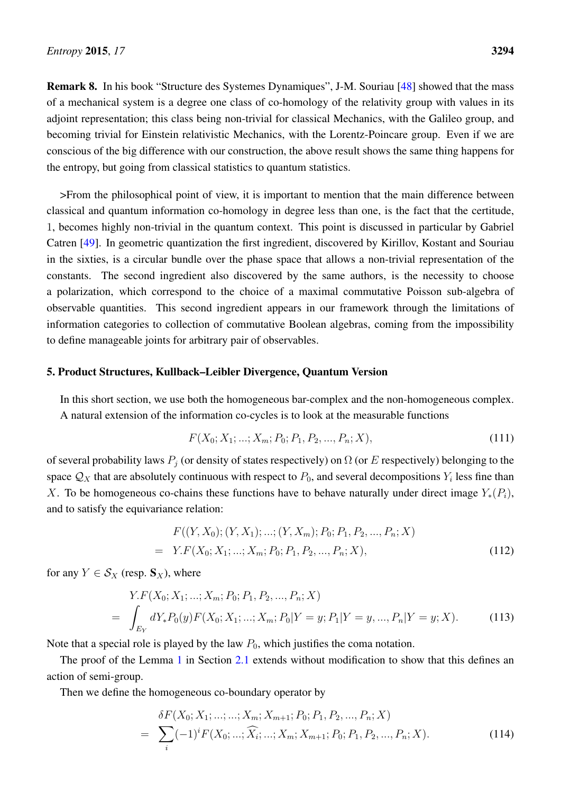Remark 8. In his book "Structure des Systemes Dynamiques", J-M. Souriau [\[48\]](#page-65-6) showed that the mass of a mechanical system is a degree one class of co-homology of the relativity group with values in its adjoint representation; this class being non-trivial for classical Mechanics, with the Galileo group, and becoming trivial for Einstein relativistic Mechanics, with the Lorentz-Poincare group. Even if we are conscious of the big difference with our construction, the above result shows the same thing happens for the entropy, but going from classical statistics to quantum statistics.

>From the philosophical point of view, it is important to mention that the main difference between classical and quantum information co-homology in degree less than one, is the fact that the certitude, 1, becomes highly non-trivial in the quantum context. This point is discussed in particular by Gabriel Catren [\[49\]](#page-65-7). In geometric quantization the first ingredient, discovered by Kirillov, Kostant and Souriau in the sixties, is a circular bundle over the phase space that allows a non-trivial representation of the constants. The second ingredient also discovered by the same authors, is the necessity to choose a polarization, which correspond to the choice of a maximal commutative Poisson sub-algebra of observable quantities. This second ingredient appears in our framework through the limitations of information categories to collection of commutative Boolean algebras, coming from the impossibility to define manageable joints for arbitrary pair of observables.

## <span id="page-41-0"></span>5. Product Structures, Kullback–Leibler Divergence, Quantum Version

In this short section, we use both the homogeneous bar-complex and the non-homogeneous complex. A natural extension of the information co-cycles is to look at the measurable functions

$$
F(X_0; X_1; \ldots; X_m; P_0; P_1, P_2, \ldots, P_n; X), \tag{111}
$$

of several probability laws  $P_i$  (or density of states respectively) on  $\Omega$  (or E respectively) belonging to the space  $\mathcal{Q}_X$  that are absolutely continuous with respect to  $P_0$ , and several decompositions  $Y_i$  less fine than X. To be homogeneous co-chains these functions have to behave naturally under direct image  $Y_*(P_i)$ , and to satisfy the equivariance relation:

$$
F((Y, X_0); (Y, X_1); \dots; (Y, X_m); P_0; P_1, P_2, \dots, P_n; X)
$$
  
= Y.F(X<sub>0</sub>; X<sub>1</sub>; \dots; X<sub>m</sub>; P<sub>0</sub>; P<sub>1</sub>, P<sub>2</sub>, \dots, P<sub>n</sub>; X), (112)

for any  $Y \in S_X$  (resp.  $S_X$ ), where

$$
Y.F(X_0; X_1; ...; X_m; P_0; P_1, P_2, ..., P_n; X)
$$
  
= 
$$
\int_{E_Y} dY_* P_0(y) F(X_0; X_1; ...; X_m; P_0|Y = y; P_1|Y = y, ..., P_n|Y = y; X).
$$
 (113)

Note that a special role is played by the law  $P_0$ , which justifies the coma notation.

The proof of the Lemma [1](#page-13-0) in Section [2.1](#page-9-2) extends without modification to show that this defines an action of semi-group.

Then we define the homogeneous co-boundary operator by

$$
\delta F(X_0; X_1; \dots; \dots; X_m; X_{m+1}; P_0; P_1, P_2, \dots, P_n; X) = \sum_i (-1)^i F(X_0; \dots; \widehat{X_i}; \dots; X_m; X_{m+1}; P_0; P_1, P_2, \dots, P_n; X).
$$
\n(114)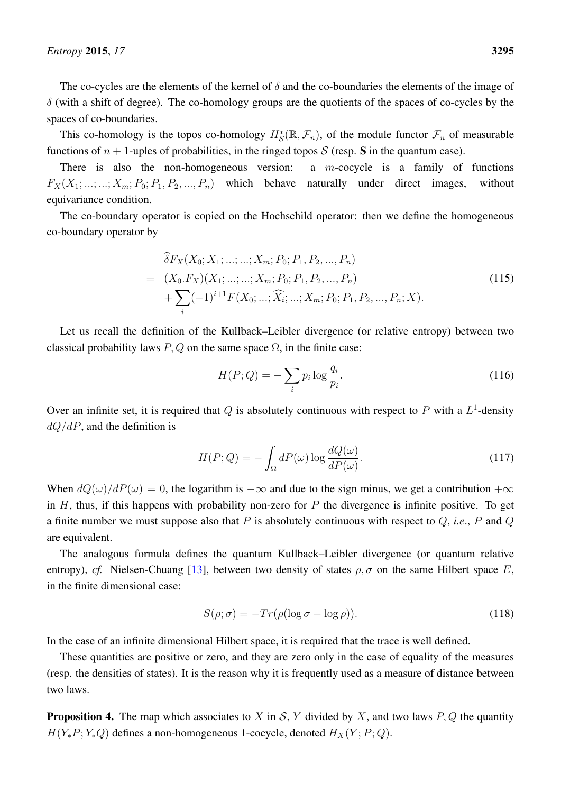The co-cycles are the elements of the kernel of  $\delta$  and the co-boundaries the elements of the image of  $\delta$  (with a shift of degree). The co-homology groups are the quotients of the spaces of co-cycles by the spaces of co-boundaries.

This co-homology is the topos co-homology  $H^*_{\mathcal{S}}(\mathbb{R}, \mathcal{F}_n)$ , of the module functor  $\mathcal{F}_n$  of measurable functions of  $n + 1$ -uples of probabilities, in the ringed topos S (resp. S in the quantum case).

There is also the non-homogeneous version: a  $m$ -cocycle is a family of functions  $F_X(X_1; \ldots; \ldots; X_m; P_0; P_1, P_2, \ldots, P_n)$  which behave naturally under direct images, without equivariance condition.

The co-boundary operator is copied on the Hochschild operator: then we define the homogeneous co-boundary operator by

$$
\begin{split} \n\widehat{\delta}F_X(X_0; X_1; \dots; \dots; X_m; P_0; P_1, P_2, \dots, P_n) \\ &= (X_0. F_X)(X_1; \dots; \dots; X_m; P_0; P_1, P_2, \dots, P_n) \\ \n&+ \sum_i (-1)^{i+1} F(X_0; \dots; \widehat{X}_i; \dots; X_m; P_0; P_1, P_2, \dots, P_n; X). \n\end{split} \tag{115}
$$

Let us recall the definition of the Kullback–Leibler divergence (or relative entropy) between two classical probability laws  $P, Q$  on the same space  $\Omega$ , in the finite case:

$$
H(P;Q) = -\sum_{i} p_i \log \frac{q_i}{p_i}.
$$
\n(116)

Over an infinite set, it is required that Q is absolutely continuous with respect to P with a  $L^1$ -density  $dQ/dP$ , and the definition is

$$
H(P;Q) = -\int_{\Omega} dP(\omega) \log \frac{dQ(\omega)}{dP(\omega)}.
$$
\n(117)

When  $dQ(\omega)/dP(\omega) = 0$ , the logarithm is  $-\infty$  and due to the sign minus, we get a contribution  $+\infty$ in  $H$ , thus, if this happens with probability non-zero for  $P$  the divergence is infinite positive. To get a finite number we must suppose also that P is absolutely continuous with respect to Q, *i.e*., P and Q are equivalent.

The analogous formula defines the quantum Kullback–Leibler divergence (or quantum relative entropy), *cf.* Nielsen-Chuang [\[13\]](#page-63-12), between two density of states  $\rho$ ,  $\sigma$  on the same Hilbert space E, in the finite dimensional case:

$$
S(\rho; \sigma) = -Tr(\rho(\log \sigma - \log \rho)).
$$
\n(118)

In the case of an infinite dimensional Hilbert space, it is required that the trace is well defined.

These quantities are positive or zero, and they are zero only in the case of equality of the measures (resp. the densities of states). It is the reason why it is frequently used as a measure of distance between two laws.

**Proposition 4.** The map which associates to X in S, Y divided by X, and two laws  $P, Q$  the quantity  $H(Y_*P; Y_*Q)$  defines a non-homogeneous 1-cocycle, denoted  $H_X(Y; P; Q)$ .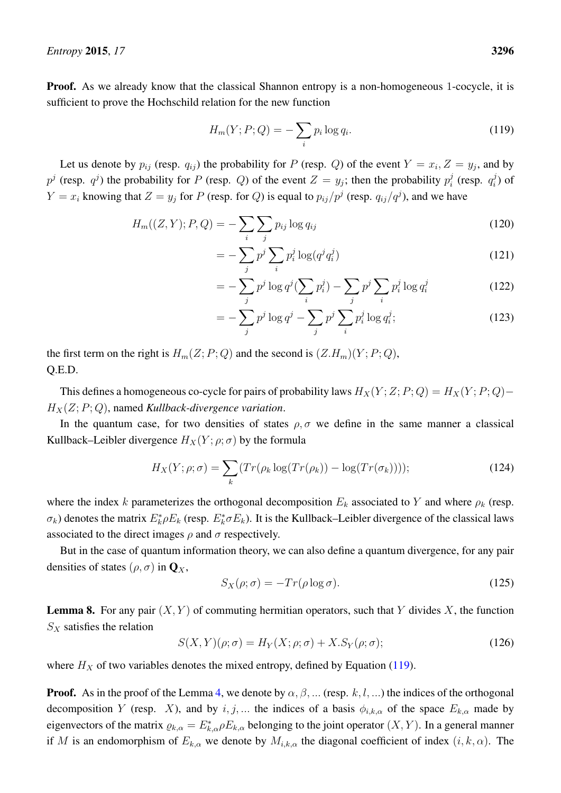Proof. As we already know that the classical Shannon entropy is a non-homogeneous 1-cocycle, it is sufficient to prove the Hochschild relation for the new function

<span id="page-43-0"></span>
$$
H_m(Y; P; Q) = -\sum_i p_i \log q_i. \tag{119}
$$

Let us denote by  $p_{ij}$  (resp.  $q_{ij}$ ) the probability for P (resp. Q) of the event  $Y = x_i, Z = y_j$ , and by  $p^j$  (resp.  $q^j$ ) the probability for P (resp. Q) of the event  $Z = y_j$ ; then the probability  $p_i^j$  $i$  (resp.  $q_i^j$  $\eta_i^j$ ) of  $Y = x_i$  knowing that  $Z = y_j$  for P (resp. for Q) is equal to  $p_{ij}/p^j$  (resp.  $q_{ij}/q^j$ ), and we have

$$
H_m((Z, Y); P, Q) = -\sum_{i} \sum_{j} p_{ij} \log q_{ij}
$$
\n(120)

$$
= -\sum_{j} p^{j} \sum_{i} p_{i}^{j} \log(q^{j} q_{i}^{j}) \tag{121}
$$

$$
= -\sum_{j} p^{j} \log q^{j} (\sum_{i} p_{i}^{j}) - \sum_{j} p^{j} \sum_{i} p_{i}^{j} \log q_{i}^{j}
$$
(122)

$$
= -\sum_{j}^{j} p^{j} \log q^{j} - \sum_{j} p^{j} \sum_{i}^{j} p_{i}^{j} \log q_{i}^{j};
$$
\n(123)

the first term on the right is  $H_m(Z; P; Q)$  and the second is  $(Z,H_m)(Y; P; Q)$ , Q.E.D.

This defines a homogeneous co-cycle for pairs of probability laws  $H_X(Y;Z; P; Q) = H_X(Y; P; Q) H_X(Z; P; Q)$ , named *Kullback-divergence variation*.

In the quantum case, for two densities of states  $\rho, \sigma$  we define in the same manner a classical Kullback–Leibler divergence  $H_X(Y; \rho; \sigma)$  by the formula

$$
H_X(Y; \rho; \sigma) = \sum_k \left( Tr(\rho_k \log(Tr(\rho_k)) - \log(Tr(\sigma_k))) \right); \tag{124}
$$

where the index k parameterizes the orthogonal decomposition  $E_k$  associated to Y and where  $\rho_k$  (resp.  $\sigma_k$ ) denotes the matrix  $E_k^* \rho E_k$  (resp.  $E_k^* \sigma E_k$ ). It is the Kullback–Leibler divergence of the classical laws associated to the direct images  $\rho$  and  $\sigma$  respectively.

But in the case of quantum information theory, we can also define a quantum divergence, for any pair densities of states  $(\rho, \sigma)$  in  $\mathbf{Q}_X$ ,

$$
S_X(\rho;\sigma) = -Tr(\rho \log \sigma). \tag{125}
$$

**Lemma 8.** For any pair  $(X, Y)$  of commuting hermitian operators, such that Y divides X, the function  $S_X$  satisfies the relation

$$
S(X,Y)(\rho;\sigma) = H_Y(X;\rho;\sigma) + X.S_Y(\rho;\sigma); \qquad (126)
$$

where  $H_X$  of two variables denotes the mixed entropy, defined by Equation [\(119\)](#page-43-0).

**Proof.** As in the proof of the Lemma [4,](#page-33-1) we denote by  $\alpha, \beta, ...$  (resp. k, l, ...) the indices of the orthogonal decomposition Y (resp. X), and by i, j,... the indices of a basis  $\phi_{i,k,\alpha}$  of the space  $E_{k,\alpha}$  made by eigenvectors of the matrix  $\varrho_{k,\alpha} = E_{k,\alpha}^* \rho E_{k,\alpha}$  belonging to the joint operator  $(X, Y)$ . In a general manner if M is an endomorphism of  $E_{k,\alpha}$  we denote by  $M_{i,k,\alpha}$  the diagonal coefficient of index  $(i, k, \alpha)$ . The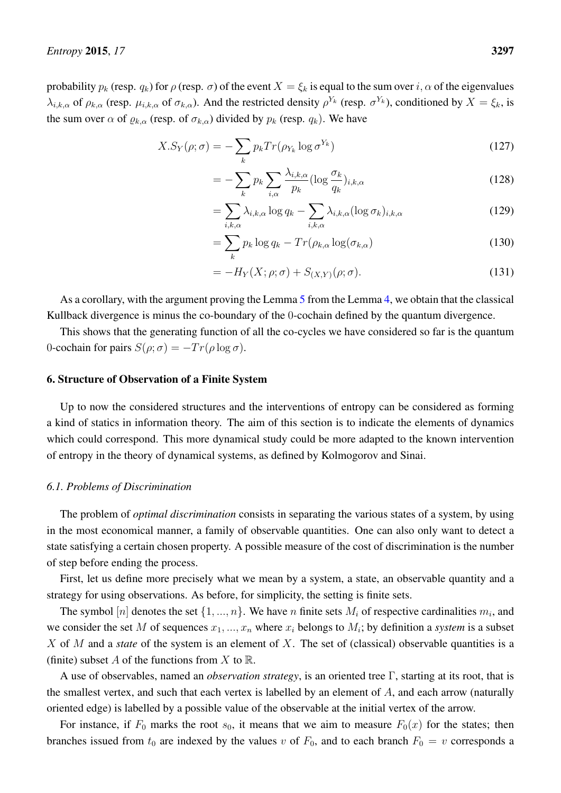probability  $p_k$  (resp.  $q_k$ ) for  $\rho$  (resp.  $\sigma$ ) of the event  $X = \xi_k$  is equal to the sum over  $i, \alpha$  of the eigenvalues  $\lambda_{i,k,\alpha}$  of  $\rho_{k,\alpha}$  (resp.  $\mu_{i,k,\alpha}$  of  $\sigma_{k,\alpha}$ ). And the restricted density  $\rho^{Y_k}$  (resp.  $\sigma^{Y_k}$ ), conditioned by  $X = \xi_k$ , is the sum over  $\alpha$  of  $\varrho_{k,\alpha}$  (resp. of  $\sigma_{k,\alpha}$ ) divided by  $p_k$  (resp.  $q_k$ ). We have

$$
X.S_Y(\rho;\sigma) = -\sum_k p_k Tr(\rho_{Y_k} \log \sigma^{Y_k})
$$
\n(127)

$$
= -\sum_{k} p_k \sum_{i,\alpha} \frac{\lambda_{i,k,\alpha}}{p_k} (\log \frac{\sigma_k}{q_k})_{i,k,\alpha} \tag{128}
$$

$$
= \sum_{i,k,\alpha} \lambda_{i,k,\alpha} \log q_k - \sum_{i,k,\alpha} \lambda_{i,k,\alpha} (\log \sigma_k)_{i,k,\alpha} \tag{129}
$$

$$
= \sum_{k} p_k \log q_k - Tr(\rho_{k,\alpha} \log(\sigma_{k,\alpha}) \tag{130}
$$

$$
=-H_Y(X;\rho;\sigma)+S_{(X,Y)}(\rho;\sigma).
$$
\n(131)

As a corollary, with the argument proving the Lemma [5](#page-36-0) from the Lemma [4,](#page-33-1) we obtain that the classical Kullback divergence is minus the co-boundary of the 0-cochain defined by the quantum divergence.

This shows that the generating function of all the co-cycles we have considered so far is the quantum 0-cochain for pairs  $S(\rho; \sigma) = -Tr(\rho \log \sigma)$ .

## <span id="page-44-0"></span>6. Structure of Observation of a Finite System

Up to now the considered structures and the interventions of entropy can be considered as forming a kind of statics in information theory. The aim of this section is to indicate the elements of dynamics which could correspond. This more dynamical study could be more adapted to the known intervention of entropy in the theory of dynamical systems, as defined by Kolmogorov and Sinai.

#### <span id="page-44-1"></span>*6.1. Problems of Discrimination*

The problem of *optimal discrimination* consists in separating the various states of a system, by using in the most economical manner, a family of observable quantities. One can also only want to detect a state satisfying a certain chosen property. A possible measure of the cost of discrimination is the number of step before ending the process.

First, let us define more precisely what we mean by a system, a state, an observable quantity and a strategy for using observations. As before, for simplicity, the setting is finite sets.

The symbol  $[n]$  denotes the set  $\{1, ..., n\}$ . We have n finite sets  $M_i$  of respective cardinalities  $m_i$ , and we consider the set M of sequences  $x_1, ..., x_n$  where  $x_i$  belongs to  $M_i$ ; by definition a *system* is a subset X of M and a *state* of the system is an element of X. The set of (classical) observable quantities is a (finite) subset A of the functions from X to  $\mathbb R$ .

A use of observables, named an *observation strategy*, is an oriented tree Γ, starting at its root, that is the smallest vertex, and such that each vertex is labelled by an element of  $A$ , and each arrow (naturally oriented edge) is labelled by a possible value of the observable at the initial vertex of the arrow.

For instance, if  $F_0$  marks the root  $s_0$ , it means that we aim to measure  $F_0(x)$  for the states; then branches issued from  $t_0$  are indexed by the values v of  $F_0$ , and to each branch  $F_0 = v$  corresponds a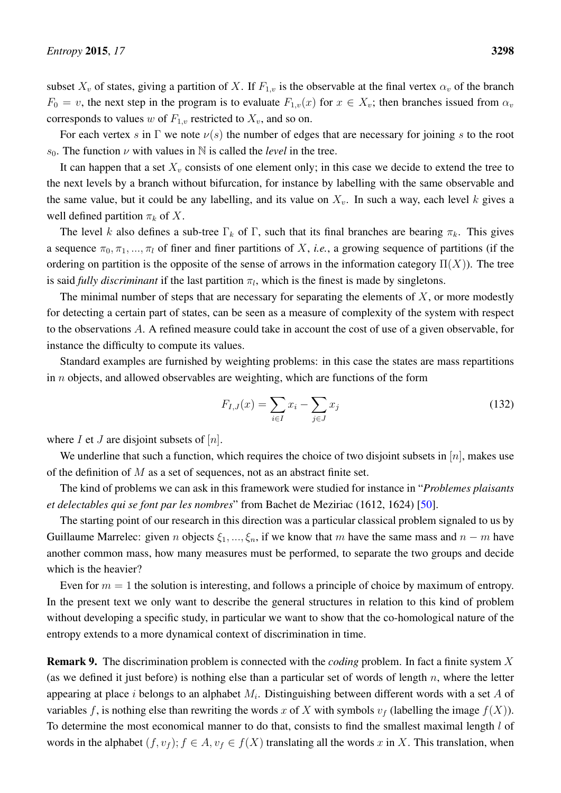subset  $X_v$  of states, giving a partition of X. If  $F_{1,v}$  is the observable at the final vertex  $\alpha_v$  of the branch  $F_0 = v$ , the next step in the program is to evaluate  $F_{1,v}(x)$  for  $x \in X_v$ ; then branches issued from  $\alpha_v$ corresponds to values w of  $F_{1,v}$  restricted to  $X_v$ , and so on.

For each vertex s in  $\Gamma$  we note  $\nu(s)$  the number of edges that are necessary for joining s to the root s<sub>0</sub>. The function  $\nu$  with values in N is called the *level* in the tree.

It can happen that a set  $X_v$  consists of one element only; in this case we decide to extend the tree to the next levels by a branch without bifurcation, for instance by labelling with the same observable and the same value, but it could be any labelling, and its value on  $X_v$ . In such a way, each level k gives a well defined partition  $\pi_k$  of X.

The level k also defines a sub-tree  $\Gamma_k$  of  $\Gamma$ , such that its final branches are bearing  $\pi_k$ . This gives a sequence  $\pi_0, \pi_1, ..., \pi_l$  of finer and finer partitions of X, *i.e.*, a growing sequence of partitions (if the ordering on partition is the opposite of the sense of arrows in the information category  $\Pi(X)$ ). The tree is said *fully discriminant* if the last partition  $\pi_l$ , which is the finest is made by singletons.

The minimal number of steps that are necessary for separating the elements of  $X$ , or more modestly for detecting a certain part of states, can be seen as a measure of complexity of the system with respect to the observations A. A refined measure could take in account the cost of use of a given observable, for instance the difficulty to compute its values.

Standard examples are furnished by weighting problems: in this case the states are mass repartitions in  $n$  objects, and allowed observables are weighting, which are functions of the form

<span id="page-45-0"></span>
$$
F_{I,J}(x) = \sum_{i \in I} x_i - \sum_{j \in J} x_j \tag{132}
$$

where  $I$  et  $J$  are disjoint subsets of  $[n]$ .

We underline that such a function, which requires the choice of two disjoint subsets in  $[n]$ , makes use of the definition of  $M$  as a set of sequences, not as an abstract finite set.

The kind of problems we can ask in this framework were studied for instance in "*Problemes plaisants et delectables qui se font par les nombres*" from Bachet de Meziriac (1612, 1624) [\[50\]](#page-65-8).

The starting point of our research in this direction was a particular classical problem signaled to us by Guillaume Marrelec: given n objects  $\xi_1, ..., \xi_n$ , if we know that m have the same mass and  $n - m$  have another common mass, how many measures must be performed, to separate the two groups and decide which is the heavier?

Even for  $m = 1$  the solution is interesting, and follows a principle of choice by maximum of entropy. In the present text we only want to describe the general structures in relation to this kind of problem without developing a specific study, in particular we want to show that the co-homological nature of the entropy extends to a more dynamical context of discrimination in time.

Remark 9. The discrimination problem is connected with the *coding* problem. In fact a finite system X (as we defined it just before) is nothing else than a particular set of words of length  $n$ , where the letter appearing at place i belongs to an alphabet  $M_i$ . Distinguishing between different words with a set A of variables f, is nothing else than rewriting the words x of X with symbols  $v_f$  (labelling the image  $f(X)$ ). To determine the most economical manner to do that, consists to find the smallest maximal length l of words in the alphabet  $(f, v_f)$ ;  $f \in A$ ,  $v_f \in f(X)$  translating all the words x in X. This translation, when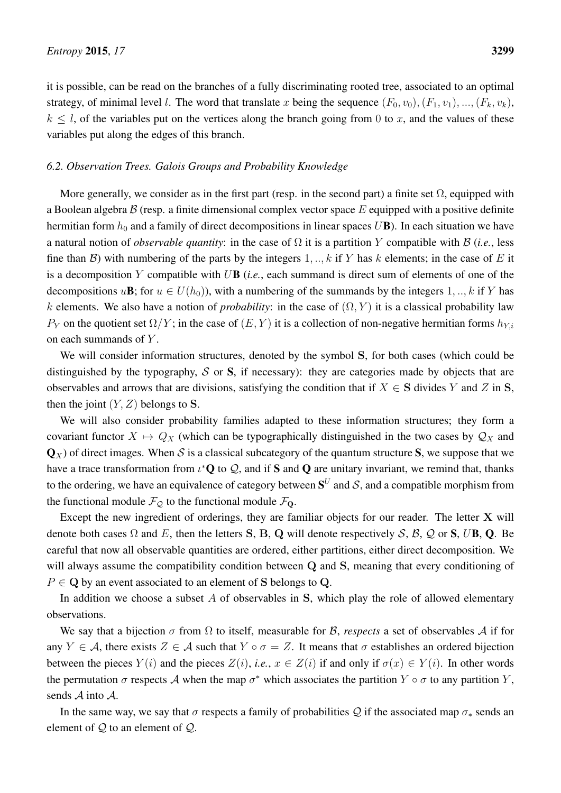it is possible, can be read on the branches of a fully discriminating rooted tree, associated to an optimal strategy, of minimal level l. The word that translate x being the sequence  $(F_0, v_0), (F_1, v_1), ..., (F_k, v_k)$ ,  $k \leq l$ , of the variables put on the vertices along the branch going from 0 to x, and the values of these variables put along the edges of this branch.

## <span id="page-46-0"></span>*6.2. Observation Trees. Galois Groups and Probability Knowledge*

More generally, we consider as in the first part (resp. in the second part) a finite set  $\Omega$ , equipped with a Boolean algebra  $\beta$  (resp. a finite dimensional complex vector space E equipped with a positive definite hermitian form  $h_0$  and a family of direct decompositions in linear spaces UB). In each situation we have a natural notion of *observable quantity*: in the case of Ω it is a partition Y compatible with B (*i.e.*, less fine than B) with numbering of the parts by the integers  $1, \ldots, k$  if Y has k elements; in the case of E it is a decomposition Y compatible with UB (*i.e.*, each summand is direct sum of elements of one of the decompositions u**B**; for  $u \in U(h_0)$ ), with a numbering of the summands by the integers 1, .., k if Y has k elements. We also have a notion of *probability*: in the case of  $(\Omega, Y)$  it is a classical probability law  $P_Y$  on the quotient set  $\Omega/Y$ ; in the case of  $(E, Y)$  it is a collection of non-negative hermitian forms  $h_{Y,i}$ on each summands of  $Y$ .

We will consider information structures, denoted by the symbol S, for both cases (which could be distinguished by the typography,  $S$  or  $S$ , if necessary): they are categories made by objects that are observables and arrows that are divisions, satisfying the condition that if  $X \in S$  divides Y and Z in S, then the joint  $(Y, Z)$  belongs to S.

We will also consider probability families adapted to these information structures; they form a covariant functor  $X \mapsto Q_X$  (which can be typographically distinguished in the two cases by  $\mathcal{Q}_X$  and  $\mathbf{Q}_x$ ) of direct images. When S is a classical subcategory of the quantum structure S, we suppose that we have a trace transformation from  $\iota^*\mathbf{Q}$  to  $\mathcal{Q}$ , and if S and  $\mathbf{Q}$  are unitary invariant, we remind that, thanks to the ordering, we have an equivalence of category between  $\mathbf{S}^U$  and  $\mathcal{S}$ , and a compatible morphism from the functional module  $\mathcal{F}_{\mathcal{Q}}$  to the functional module  $\mathcal{F}_{\mathbf{Q}}$ .

Except the new ingredient of orderings, they are familiar objects for our reader. The letter X will denote both cases  $\Omega$  and E, then the letters S, B, Q will denote respectively S, B, Q or S, UB, Q. Be careful that now all observable quantities are ordered, either partitions, either direct decomposition. We will always assume the compatibility condition between Q and S, meaning that every conditioning of  $P \in \mathbb{Q}$  by an event associated to an element of S belongs to Q.

In addition we choose a subset  $A$  of observables in  $S$ , which play the role of allowed elementary observations.

We say that a bijection  $\sigma$  from  $\Omega$  to itself, measurable for B, *respects* a set of observables A if for any  $Y \in \mathcal{A}$ , there exists  $Z \in \mathcal{A}$  such that  $Y \circ \sigma = Z$ . It means that  $\sigma$  establishes an ordered bijection between the pieces  $Y(i)$  and the pieces  $Z(i)$ , *i.e.*,  $x \in Z(i)$  if and only if  $\sigma(x) \in Y(i)$ . In other words the permutation  $\sigma$  respects A when the map  $\sigma^*$  which associates the partition  $Y \circ \sigma$  to any partition Y, sends A into A.

In the same way, we say that  $\sigma$  respects a family of probabilities Q if the associated map  $\sigma_*$  sends an element of  $Q$  to an element of  $Q$ .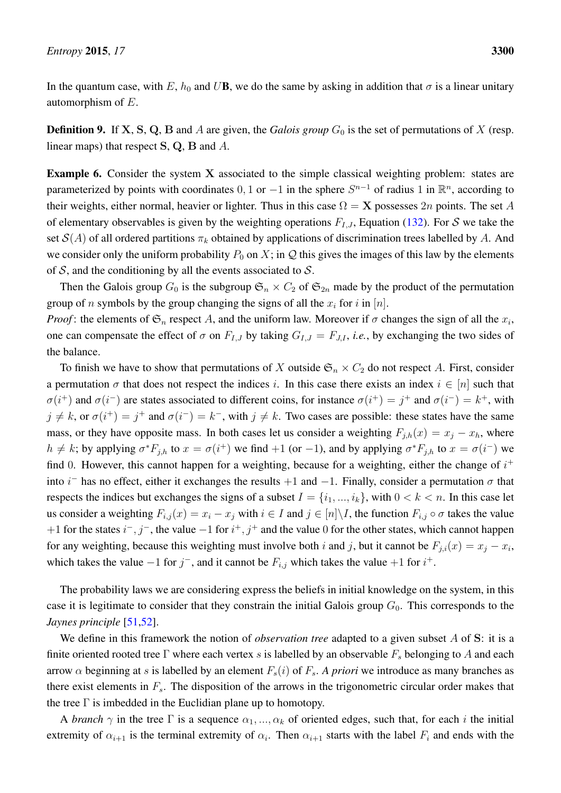In the quantum case, with E,  $h_0$  and UB, we do the same by asking in addition that  $\sigma$  is a linear unitary automorphism of E.

**Definition 9.** If X, S, Q, B and A are given, the *Galois group*  $G_0$  is the set of permutations of X (resp. linear maps) that respect S, Q, B and A.

Example 6. Consider the system X associated to the simple classical weighting problem: states are parameterized by points with coordinates 0, 1 or  $-1$  in the sphere  $S^{n-1}$  of radius 1 in  $\mathbb{R}^n$ , according to their weights, either normal, heavier or lighter. Thus in this case  $\Omega = X$  possesses  $2n$  points. The set A of elementary observables is given by the weighting operations  $F_{I,J}$ , Equation [\(132\)](#page-45-0). For S we take the set  $\mathcal{S}(A)$  of all ordered partitions  $\pi_k$  obtained by applications of discrimination trees labelled by A. And we consider only the uniform probability  $P_0$  on X; in Q this gives the images of this law by the elements of  $S$ , and the conditioning by all the events associated to  $S$ .

Then the Galois group  $G_0$  is the subgroup  $\mathfrak{S}_n \times C_2$  of  $\mathfrak{S}_{2n}$  made by the product of the permutation group of n symbols by the group changing the signs of all the  $x_i$  for i in [n].

*Proof*: the elements of  $\mathfrak{S}_n$  respect A, and the uniform law. Moreover if  $\sigma$  changes the sign of all the  $x_i$ , one can compensate the effect of  $\sigma$  on  $F_{I,J}$  by taking  $G_{I,J} = F_{J,I}$ , *i.e.*, by exchanging the two sides of the balance.

To finish we have to show that permutations of X outside  $\mathfrak{S}_n \times C_2$  do not respect A. First, consider a permutation  $\sigma$  that does not respect the indices i. In this case there exists an index  $i \in [n]$  such that  $\sigma(i^+)$  and  $\sigma(i^-)$  are states associated to different coins, for instance  $\sigma(i^+) = j^+$  and  $\sigma(i^-) = k^+$ , with  $j \neq k$ , or  $\sigma(i^+) = j^+$  and  $\sigma(i^-) = k^-$ , with  $j \neq k$ . Two cases are possible: these states have the same mass, or they have opposite mass. In both cases let us consider a weighting  $F_{j,h}(x) = x_j - x_h$ , where  $h \neq k$ ; by applying  $\sigma^*F_{j,h}$  to  $x = \sigma(i^+)$  we find  $+1$  (or  $-1$ ), and by applying  $\sigma^*F_{j,h}$  to  $x = \sigma(i^-)$  we find 0. However, this cannot happen for a weighting, because for a weighting, either the change of  $i^+$ into i<sup>-</sup> has no effect, either it exchanges the results  $+1$  and  $-1$ . Finally, consider a permutation  $\sigma$  that respects the indices but exchanges the signs of a subset  $I = \{i_1, ..., i_k\}$ , with  $0 < k < n$ . In this case let us consider a weighting  $F_{i,j}(x) = x_i - x_j$  with  $i \in I$  and  $j \in [n] \backslash I$ , the function  $F_{i,j} \circ \sigma$  takes the value +1 for the states  $i^-, j^-,$  the value  $-1$  for  $i^+, j^+$  and the value 0 for the other states, which cannot happen for any weighting, because this weighting must involve both i and j, but it cannot be  $F_{j,i}(x) = x_j - x_i$ , which takes the value  $-1$  for  $j^-$ , and it cannot be  $F_{i,j}$  which takes the value  $+1$  for  $i^+$ .

The probability laws we are considering express the beliefs in initial knowledge on the system, in this case it is legitimate to consider that they constrain the initial Galois group  $G_0$ . This corresponds to the *Jaynes principle* [\[51,](#page-65-9)[52\]](#page-65-10).

We define in this framework the notion of *observation tree* adapted to a given subset A of S: it is a finite oriented rooted tree Γ where each vertex s is labelled by an observable  $F_s$  belonging to A and each arrow  $\alpha$  beginning at s is labelled by an element  $F_s(i)$  of  $F_s$ . A priori we introduce as many branches as there exist elements in  $F_s$ . The disposition of the arrows in the trigonometric circular order makes that the tree  $\Gamma$  is imbedded in the Euclidian plane up to homotopy.

A *branch*  $\gamma$  in the tree  $\Gamma$  is a sequence  $\alpha_1, ..., \alpha_k$  of oriented edges, such that, for each i the initial extremity of  $\alpha_{i+1}$  is the terminal extremity of  $\alpha_i$ . Then  $\alpha_{i+1}$  starts with the label  $F_i$  and ends with the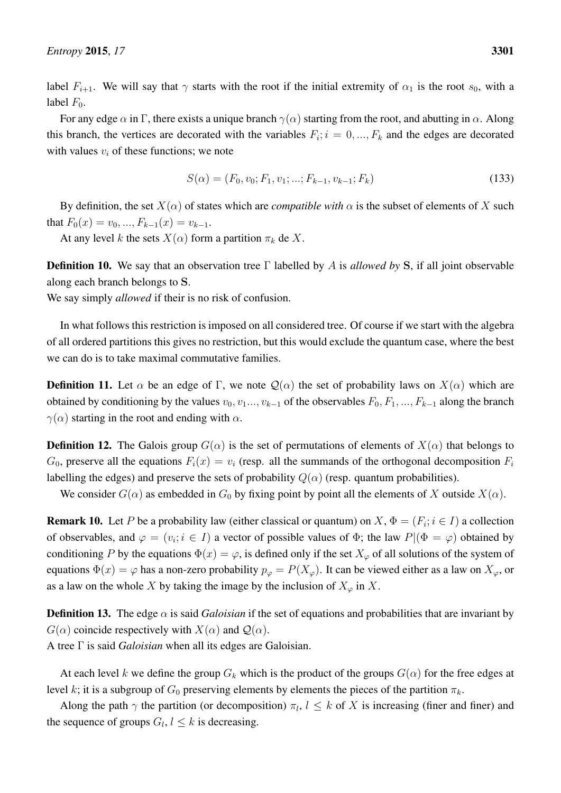label  $F_{i+1}$ . We will say that  $\gamma$  starts with the root if the initial extremity of  $\alpha_1$  is the root  $s_0$ , with a label  $F_0$ .

For any edge  $\alpha$  in Γ, there exists a unique branch  $\gamma(\alpha)$  starting from the root, and abutting in  $\alpha$ . Along this branch, the vertices are decorated with the variables  $F_i$ ;  $i = 0, ..., F_k$  and the edges are decorated with values  $v_i$  of these functions; we note

$$
S(\alpha) = (F_0, v_0; F_1, v_1; \dots; F_{k-1}, v_{k-1}; F_k)
$$
\n(133)

By definition, the set  $X(\alpha)$  of states which are *compatible with*  $\alpha$  is the subset of elements of X such that  $F_0(x) = v_0, ..., F_{k-1}(x) = v_{k-1}$ .

At any level k the sets  $X(\alpha)$  form a partition  $\pi_k$  de X.

Definition 10. We say that an observation tree Γ labelled by A is *allowed by* S, if all joint observable along each branch belongs to S.

We say simply *allowed* if their is no risk of confusion.

In what follows this restriction is imposed on all considered tree. Of course if we start with the algebra of all ordered partitions this gives no restriction, but this would exclude the quantum case, where the best we can do is to take maximal commutative families.

**Definition 11.** Let  $\alpha$  be an edge of Γ, we note  $\mathcal{Q}(\alpha)$  the set of probability laws on  $X(\alpha)$  which are obtained by conditioning by the values  $v_0, v_1, \ldots, v_{k-1}$  of the observables  $F_0, F_1, \ldots, F_{k-1}$  along the branch  $\gamma(\alpha)$  starting in the root and ending with  $\alpha$ .

**Definition 12.** The Galois group  $G(\alpha)$  is the set of permutations of elements of  $X(\alpha)$  that belongs to  $G_0$ , preserve all the equations  $F_i(x) = v_i$  (resp. all the summands of the orthogonal decomposition  $F_i$ labelling the edges) and preserve the sets of probability  $Q(\alpha)$  (resp. quantum probabilities).

We consider  $G(\alpha)$  as embedded in  $G_0$  by fixing point by point all the elements of X outside  $X(\alpha)$ .

**Remark 10.** Let P be a probability law (either classical or quantum) on  $X$ ,  $\Phi = (F_i; i \in I)$  a collection of observables, and  $\varphi = (v_i; i \in I)$  a vector of possible values of  $\Phi$ ; the law  $P|(\Phi = \varphi)$  obtained by conditioning P by the equations  $\Phi(x) = \varphi$ , is defined only if the set  $X_{\varphi}$  of all solutions of the system of equations  $\Phi(x) = \varphi$  has a non-zero probability  $p_{\varphi} = P(X_{\varphi})$ . It can be viewed either as a law on  $X_{\varphi}$ , or as a law on the whole X by taking the image by the inclusion of  $X_{\varphi}$  in X.

**Definition 13.** The edge  $\alpha$  is said *Galoisian* if the set of equations and probabilities that are invariant by  $G(\alpha)$  coincide respectively with  $X(\alpha)$  and  $\mathcal{Q}(\alpha)$ . A tree Γ is said *Galoisian* when all its edges are Galoisian.

At each level k we define the group  $G_k$  which is the product of the groups  $G(\alpha)$  for the free edges at level k; it is a subgroup of  $G_0$  preserving elements by elements the pieces of the partition  $\pi_k$ .

Along the path  $\gamma$  the partition (or decomposition)  $\pi_l$ ,  $l \leq k$  of X is increasing (finer and finer) and the sequence of groups  $G_l, l \leq k$  is decreasing.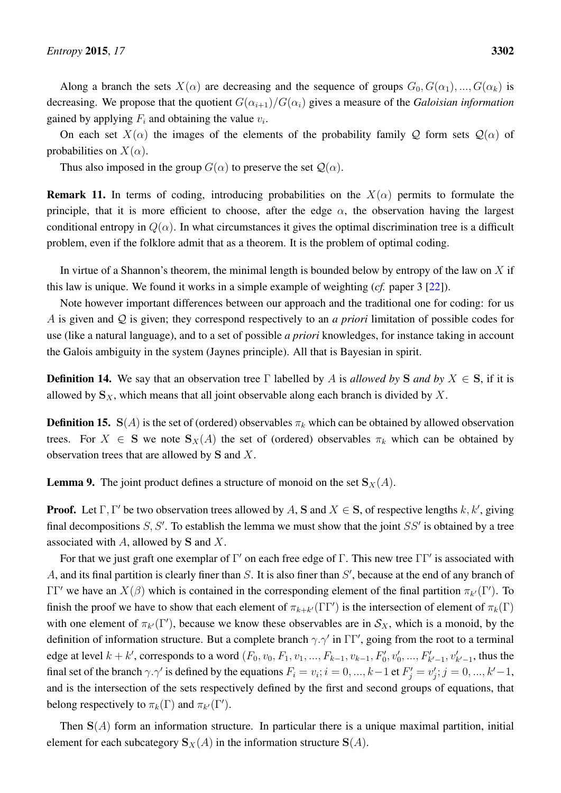Along a branch the sets  $X(\alpha)$  are decreasing and the sequence of groups  $G_0, G(\alpha_1), ..., G(\alpha_k)$  is decreasing. We propose that the quotient  $G(\alpha_{i+1})/G(\alpha_i)$  gives a measure of the *Galoisian information* gained by applying  $F_i$  and obtaining the value  $v_i$ .

On each set  $X(\alpha)$  the images of the elements of the probability family Q form sets  $\mathcal{Q}(\alpha)$  of probabilities on  $X(\alpha)$ .

Thus also imposed in the group  $G(\alpha)$  to preserve the set  $\mathcal{Q}(\alpha)$ .

**Remark 11.** In terms of coding, introducing probabilities on the  $X(\alpha)$  permits to formulate the principle, that it is more efficient to choose, after the edge  $\alpha$ , the observation having the largest conditional entropy in  $Q(\alpha)$ . In what circumstances it gives the optimal discrimination tree is a difficult problem, even if the folklore admit that as a theorem. It is the problem of optimal coding.

In virtue of a Shannon's theorem, the minimal length is bounded below by entropy of the law on  $X$  if this law is unique. We found it works in a simple example of weighting (*cf.* paper 3 [\[22\]](#page-64-3)).

Note however important differences between our approach and the traditional one for coding: for us A is given and Q is given; they correspond respectively to an *a priori* limitation of possible codes for use (like a natural language), and to a set of possible *a priori* knowledges, for instance taking in account the Galois ambiguity in the system (Jaynes principle). All that is Bayesian in spirit.

**Definition 14.** We say that an observation tree Γ labelled by A is allowed by S and by  $X \in S$ , if it is allowed by  $S_X$ , which means that all joint observable along each branch is divided by X.

**Definition 15.** S(A) is the set of (ordered) observables  $\pi_k$  which can be obtained by allowed observation trees. For  $X \in S$  we note  $S_X(A)$  the set of (ordered) observables  $\pi_k$  which can be obtained by observation trees that are allowed by S and X.

<span id="page-49-0"></span>**Lemma 9.** The joint product defines a structure of monoid on the set  $S_X(A)$ .

**Proof.** Let  $\Gamma$ ,  $\Gamma'$  be two observation trees allowed by A, S and  $X \in S$ , of respective lengths k, k', giving final decompositions  $S, S'$ . To establish the lemma we must show that the joint  $SS'$  is obtained by a tree associated with  $A$ , allowed by S and  $X$ .

For that we just graft one exemplar of  $\Gamma'$  on each free edge of  $\Gamma$ . This new tree  $\Gamma\Gamma'$  is associated with A, and its final partition is clearly finer than  $S$ . It is also finer than  $S'$ , because at the end of any branch of  $\Gamma\Gamma'$  we have an  $X(\beta)$  which is contained in the corresponding element of the final partition  $\pi_{k'}(\Gamma')$ . To finish the proof we have to show that each element of  $\pi_{k+k'}(\Gamma\Gamma')$  is the intersection of element of  $\pi_k(\Gamma)$ with one element of  $\pi_{k'}(\Gamma')$ , because we know these observables are in  $\mathcal{S}_X$ , which is a monoid, by the definition of information structure. But a complete branch  $\gamma \cdot \gamma'$  in  $\Gamma \Gamma'$ , going from the root to a terminal edge at level  $k + k'$ , corresponds to a word  $(F_0, v_0, F_1, v_1, ..., F_{k-1}, v_{k-1}, F'_0, v'_0, ..., F'_{k'-1}, v'_{k'-1}$ , thus the final set of the branch  $\gamma.\gamma'$  is defined by the equations  $F_i = v_i; i = 0, ..., k-1$  et  $F'_j = v'_j; j = 0, ..., k'-1$ , and is the intersection of the sets respectively defined by the first and second groups of equations, that belong respectively to  $\pi_k(\Gamma)$  and  $\pi_{k'}(\Gamma').$ 

Then  $S(A)$  form an information structure. In particular there is a unique maximal partition, initial element for each subcategory  $S_X(A)$  in the information structure  $S(A)$ .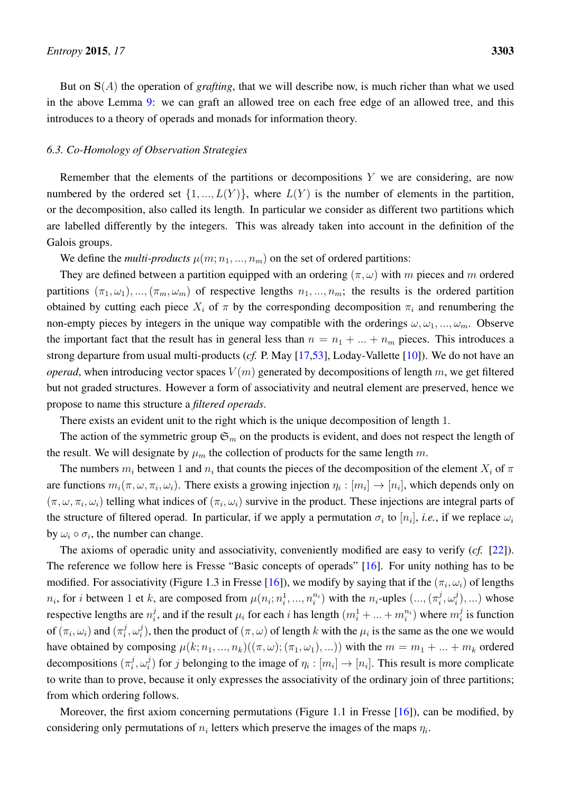But on  $S(A)$  the operation of *grafting*, that we will describe now, is much richer than what we used in the above Lemma [9:](#page-49-0) we can graft an allowed tree on each free edge of an allowed tree, and this introduces to a theory of operads and monads for information theory.

## <span id="page-50-0"></span>*6.3. Co-Homology of Observation Strategies*

Remember that the elements of the partitions or decompositions  $Y$  we are considering, are now numbered by the ordered set  $\{1, ..., L(Y)\}\$ , where  $L(Y)$  is the number of elements in the partition, or the decomposition, also called its length. In particular we consider as different two partitions which are labelled differently by the integers. This was already taken into account in the definition of the Galois groups.

We define the *multi-products*  $\mu(m; n_1, ..., n_m)$  on the set of ordered partitions:

They are defined between a partition equipped with an ordering  $(\pi, \omega)$  with m pieces and m ordered partitions  $(\pi_1,\omega_1),...$ ,  $(\pi_m,\omega_m)$  of respective lengths  $n_1,...,n_m$ ; the results is the ordered partition obtained by cutting each piece  $X_i$  of  $\pi$  by the corresponding decomposition  $\pi_i$  and renumbering the non-empty pieces by integers in the unique way compatible with the orderings  $\omega, \omega_1, ..., \omega_m$ . Observe the important fact that the result has in general less than  $n = n_1 + ... + n_m$  pieces. This introduces a strong departure from usual multi-products (*cf.* P. May [\[17,](#page-63-17)[53\]](#page-65-11), Loday-Vallette [\[10\]](#page-63-9)). We do not have an *operad*, when introducing vector spaces  $V(m)$  generated by decompositions of length m, we get filtered but not graded structures. However a form of associativity and neutral element are preserved, hence we propose to name this structure a *filtered operads*.

There exists an evident unit to the right which is the unique decomposition of length 1.

The action of the symmetric group  $\mathfrak{S}_m$  on the products is evident, and does not respect the length of the result. We will designate by  $\mu_m$  the collection of products for the same length m.

The numbers  $m_i$  between 1 and  $n_i$  that counts the pieces of the decomposition of the element  $X_i$  of  $\pi$ are functions  $m_i(\pi,\omega,\pi_i,\omega_i)$ . There exists a growing injection  $\eta_i : [m_i] \to [n_i]$ , which depends only on  $(\pi, \omega, \pi_i, \omega_i)$  telling what indices of  $(\pi_i, \omega_i)$  survive in the product. These injections are integral parts of the structure of filtered operad. In particular, if we apply a permutation  $\sigma_i$  to  $[n_i]$ , *i.e.*, if we replace  $\omega_i$ by  $\omega_i \circ \sigma_i$ , the number can change.

The axioms of operadic unity and associativity, conveniently modified are easy to verify (*cf.* [\[22\]](#page-64-3)). The reference we follow here is Fresse "Basic concepts of operads" [\[16\]](#page-63-15). For unity nothing has to be modified. For associativity (Figure 1.3 in Fresse [\[16\]](#page-63-15)), we modify by saying that if the  $(\pi_i, \omega_i)$  of lengths  $n_i$ , for *i* between 1 et *k*, are composed from  $\mu(n_i; n_i^1, ..., n_i^{n_i})$  with the  $n_i$ -uples  $(..., (\pi_i^j)$  $\frac{j}{i}, \omega_i^j$  $\binom{J}{i}, \ldots$  whose respective lengths are  $n_i^j$  $i_j^j$ , and if the result  $\mu_i$  for each  $i$  has length  $(m_i^1 + ... + m_i^{n_i})$  where  $m_i^j$  $i<sub>i</sub><sup>j</sup>$  is function of  $(\pi_i, \omega_i)$  and  $(\pi_i^j)$  $_i^j,\omega_i^j$  $\mu_i^j$ ), then the product of  $(\pi, \omega)$  of length k with the  $\mu_i$  is the same as the one we would have obtained by composing  $\mu(k; n_1, ..., n_k)((\pi, \omega); (\pi_1, \omega_1), ...)$  with the  $m = m_1 + ... + m_k$  ordered decompositions  $(\pi_i^j)$  $_i^j,\omega_i^j$  $i_j$ ) for j belonging to the image of  $\eta_i : [m_i] \to [n_i]$ . This result is more complicate to write than to prove, because it only expresses the associativity of the ordinary join of three partitions; from which ordering follows.

Moreover, the first axiom concerning permutations (Figure 1.1 in Fresse [\[16\]](#page-63-15)), can be modified, by considering only permutations of  $n_i$  letters which preserve the images of the maps  $\eta_i$ .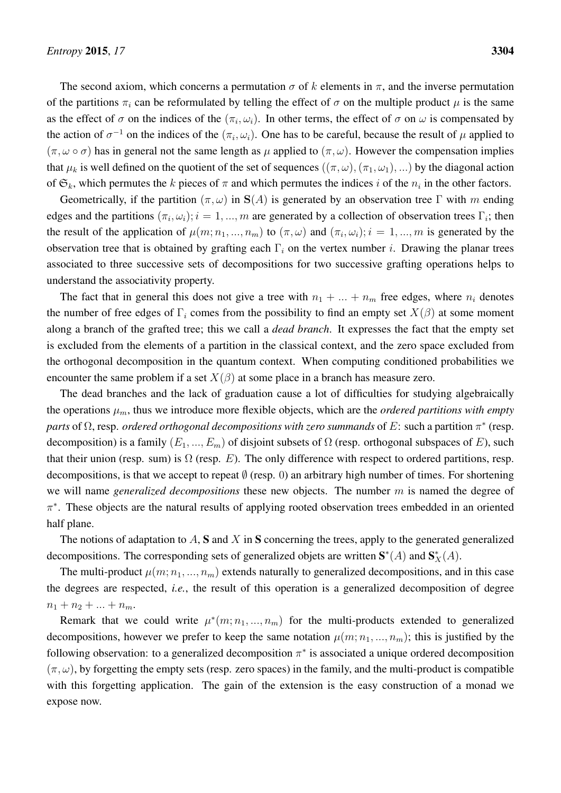The second axiom, which concerns a permutation  $\sigma$  of k elements in  $\pi$ , and the inverse permutation of the partitions  $\pi_i$  can be reformulated by telling the effect of  $\sigma$  on the multiple product  $\mu$  is the same as the effect of  $\sigma$  on the indices of the  $(\pi_i, \omega_i)$ . In other terms, the effect of  $\sigma$  on  $\omega$  is compensated by the action of  $\sigma^{-1}$  on the indices of the  $(\pi_i, \omega_i)$ . One has to be careful, because the result of  $\mu$  applied to  $(\pi, \omega \circ \sigma)$  has in general not the same length as  $\mu$  applied to  $(\pi, \omega)$ . However the compensation implies that  $\mu_k$  is well defined on the quotient of the set of sequences  $((\pi,\omega),(\pi_1,\omega_1),\ldots)$  by the diagonal action of  $\mathfrak{S}_k$ , which permutes the k pieces of  $\pi$  and which permutes the indices i of the  $n_i$  in the other factors.

Geometrically, if the partition  $(\pi, \omega)$  in  $S(A)$  is generated by an observation tree Γ with m ending edges and the partitions  $(\pi_i, \omega_i); i = 1, ..., m$  are generated by a collection of observation trees  $\Gamma_i$ ; then the result of the application of  $\mu(m; n_1, ..., n_m)$  to  $(\pi, \omega)$  and  $(\pi_i, \omega_i); i = 1, ..., m$  is generated by the observation tree that is obtained by grafting each  $\Gamma_i$  on the vertex number i. Drawing the planar trees associated to three successive sets of decompositions for two successive grafting operations helps to understand the associativity property.

The fact that in general this does not give a tree with  $n_1 + ... + n_m$  free edges, where  $n_i$  denotes the number of free edges of  $\Gamma_i$  comes from the possibility to find an empty set  $X(\beta)$  at some moment along a branch of the grafted tree; this we call a *dead branch*. It expresses the fact that the empty set is excluded from the elements of a partition in the classical context, and the zero space excluded from the orthogonal decomposition in the quantum context. When computing conditioned probabilities we encounter the same problem if a set  $X(\beta)$  at some place in a branch has measure zero.

The dead branches and the lack of graduation cause a lot of difficulties for studying algebraically the operations  $\mu_m$ , thus we introduce more flexible objects, which are the *ordered partitions with empty parts* of  $\Omega$ , resp. *ordered orthogonal decompositions with zero summands* of E: such a partition  $\pi^*$  (resp. decomposition) is a family  $(E_1, ..., E_m)$  of disjoint subsets of  $\Omega$  (resp. orthogonal subspaces of E), such that their union (resp. sum) is  $\Omega$  (resp. E). The only difference with respect to ordered partitions, resp. decompositions, is that we accept to repeat  $\emptyset$  (resp. 0) an arbitrary high number of times. For shortening we will name *generalized decompositions* these new objects. The number m is named the degree of π ∗ . These objects are the natural results of applying rooted observation trees embedded in an oriented half plane.

The notions of adaptation to  $A$ ,  $S$  and  $X$  in  $S$  concerning the trees, apply to the generated generalized decompositions. The corresponding sets of generalized objets are written  $S^*(A)$  and  $S_X^*(A)$ .

The multi-product  $\mu(m; n_1, ..., n_m)$  extends naturally to generalized decompositions, and in this case the degrees are respected, *i.e.*, the result of this operation is a generalized decomposition of degree  $n_1 + n_2 + \ldots + n_m$ .

Remark that we could write  $\mu^*(m; n_1, ..., n_m)$  for the multi-products extended to generalized decompositions, however we prefer to keep the same notation  $\mu(m; n_1, ..., n_m)$ ; this is justified by the following observation: to a generalized decomposition  $\pi^*$  is associated a unique ordered decomposition  $(\pi, \omega)$ , by forgetting the empty sets (resp. zero spaces) in the family, and the multi-product is compatible with this forgetting application. The gain of the extension is the easy construction of a monad we expose now.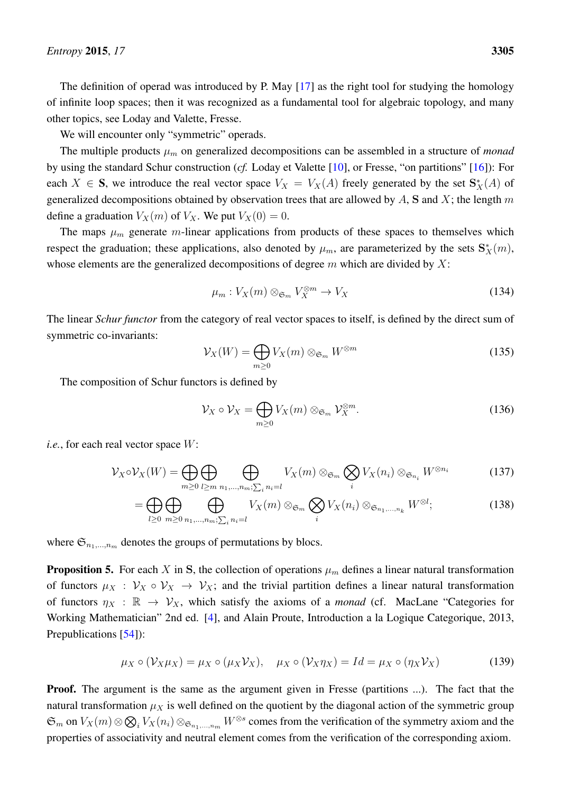The definition of operad was introduced by P. May [\[17\]](#page-63-17) as the right tool for studying the homology of infinite loop spaces; then it was recognized as a fundamental tool for algebraic topology, and many other topics, see Loday and Valette, Fresse.

We will encounter only "symmetric" operads.

The multiple products  $\mu_m$  on generalized decompositions can be assembled in a structure of *monad* by using the standard Schur construction (*cf.* Loday et Valette [\[10\]](#page-63-9), or Fresse, "on partitions" [\[16\]](#page-63-15)): For each  $X \in S$ , we introduce the real vector space  $V_X = V_X(A)$  freely generated by the set  $S_X^*(A)$  of generalized decompositions obtained by observation trees that are allowed by  $A$ ,  $S$  and  $X$ ; the length  $m$ define a graduation  $V_X(m)$  of  $V_X$ . We put  $V_X(0) = 0$ .

The maps  $\mu_m$  generate m-linear applications from products of these spaces to themselves which respect the graduation; these applications, also denoted by  $\mu_m$ , are parameterized by the sets  $\mathbf{S}_X^*(m)$ , whose elements are the generalized decompositions of degree  $m$  which are divided by  $X$ :

$$
\mu_m: V_X(m) \otimes_{\mathfrak{S}_m} V_X^{\otimes m} \to V_X \tag{134}
$$

The linear *Schur functor* from the category of real vector spaces to itself, is defined by the direct sum of symmetric co-invariants:

$$
\mathcal{V}_X(W) = \bigoplus_{m \ge 0} V_X(m) \otimes_{\mathfrak{S}_m} W^{\otimes m}
$$
 (135)

The composition of Schur functors is defined by

$$
\mathcal{V}_X \circ \mathcal{V}_X = \bigoplus_{m \ge 0} V_X(m) \otimes_{\mathfrak{S}_m} \mathcal{V}_X^{\otimes m}.
$$
 (136)

*i.e.*, for each real vector space  $W$ :

$$
\mathcal{V}_X \circ \mathcal{V}_X(W) = \bigoplus_{m \geq 0} \bigoplus_{l \geq m} \bigoplus_{n_1, \dots, n_m; \sum_i n_i = l} V_X(m) \otimes_{\mathfrak{S}_m} \bigotimes_i V_X(n_i) \otimes_{\mathfrak{S}_{n_i}} W^{\otimes n_i}
$$
(137)

$$
= \bigoplus_{l\geq 0} \bigoplus_{m\geq 0} \bigoplus_{n_1,\dots,n_m;\sum_i n_i=l} V_X(m) \otimes_{\mathfrak{S}_m} \bigotimes_i V_X(n_i) \otimes_{\mathfrak{S}_{n_1,\dots,n_k}} W^{\otimes l};\tag{138}
$$

where  $\mathfrak{S}_{n_1,\dots,n_m}$  denotes the groups of permutations by blocs.

<span id="page-52-0"></span>**Proposition 5.** For each X in S, the collection of operations  $\mu_m$  defines a linear natural transformation of functors  $\mu_X : \mathcal{V}_X \circ \mathcal{V}_X \to \mathcal{V}_X$ ; and the trivial partition defines a linear natural transformation of functors  $\eta_X : \mathbb{R} \to V_X$ , which satisfy the axioms of a *monad* (cf. MacLane "Categories for Working Mathematician" 2nd ed. [\[4\]](#page-63-3), and Alain Proute, Introduction a la Logique Categorique, 2013, Prepublications [\[54\]](#page-65-12)):

$$
\mu_X \circ (\mathcal{V}_X \mu_X) = \mu_X \circ (\mu_X \mathcal{V}_X), \quad \mu_X \circ (\mathcal{V}_X \eta_X) = Id = \mu_X \circ (\eta_X \mathcal{V}_X)
$$
(139)

Proof. The argument is the same as the argument given in Fresse (partitions ...). The fact that the natural transformation  $\mu_X$  is well defined on the quotient by the diagonal action of the symmetric group  $\mathfrak{S}_m$  on  $V_X(m) \otimes \mathfrak{S}_i V_X(n_i) \otimes_{\mathfrak{S}_{n_1,\dots,n_m}} W^{\otimes s}$  comes from the verification of the symmetry axiom and the properties of associativity and neutral element comes from the verification of the corresponding axiom.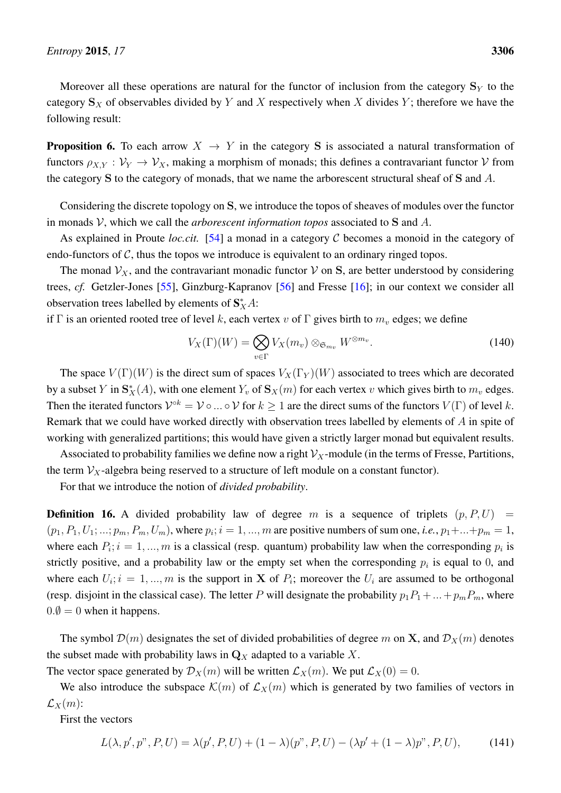Moreover all these operations are natural for the functor of inclusion from the category  $\mathbf{S}_Y$  to the category  $S_X$  of observables divided by Y and X respectively when X divides Y; therefore we have the following result:

**Proposition 6.** To each arrow  $X \rightarrow Y$  in the category S is associated a natural transformation of functors  $\rho_{X,Y} : \mathcal{V}_Y \to \mathcal{V}_X$ , making a morphism of monads; this defines a contravariant functor V from the category  $S$  to the category of monads, that we name the arborescent structural sheaf of  $S$  and  $A$ .

Considering the discrete topology on S, we introduce the topos of sheaves of modules over the functor in monads V, which we call the *arborescent information topos* associated to S and A.

As explained in Proute *loc.cit.* [\[54\]](#page-65-12) a monad in a category C becomes a monoid in the category of endo-functors of  $C$ , thus the topos we introduce is equivalent to an ordinary ringed topos.

The monad  $V_X$ , and the contravariant monadic functor V on S, are better understood by considering trees, *cf.* Getzler-Jones [\[55\]](#page-65-13), Ginzburg-Kapranov [\[56\]](#page-65-14) and Fresse [\[16\]](#page-63-15); in our context we consider all observation trees labelled by elements of  $S_X^*A$ :

if Γ is an oriented rooted tree of level k, each vertex v of Γ gives birth to  $m<sub>v</sub>$  edges; we define

$$
V_X(\Gamma)(W) = \bigotimes_{v \in \Gamma} V_X(m_v) \otimes_{\mathfrak{S}_{m_v}} W^{\otimes m_v}.
$$
 (140)

The space  $V(\Gamma)(W)$  is the direct sum of spaces  $V_X(\Gamma_Y)(W)$  associated to trees which are decorated by a subset Y in  $S_X^*(A)$ , with one element  $Y_v$  of  $S_X(m)$  for each vertex v which gives birth to  $m_v$  edges. Then the iterated functors  $\mathcal{V}^{\circ k} = \mathcal{V} \circ ... \circ \mathcal{V}$  for  $k \ge 1$  are the direct sums of the functors  $V(\Gamma)$  of level k. Remark that we could have worked directly with observation trees labelled by elements of A in spite of working with generalized partitions; this would have given a strictly larger monad but equivalent results.

Associated to probability families we define now a right  $\mathcal{V}_X$ -module (in the terms of Fresse, Partitions, the term  $V_X$ -algebra being reserved to a structure of left module on a constant functor).

For that we introduce the notion of *divided probability*.

**Definition 16.** A divided probability law of degree m is a sequence of triplets  $(p, P, U)$  =  $(p_1, P_1, U_1; ...; p_m, P_m, U_m)$ , where  $p_i; i = 1, ..., m$  are positive numbers of sum one, *i.e.*,  $p_1 + ... + p_m = 1$ , where each  $P_i$ ;  $i = 1, ..., m$  is a classical (resp. quantum) probability law when the corresponding  $p_i$  is strictly positive, and a probability law or the empty set when the corresponding  $p_i$  is equal to 0, and where each  $U_i$ ;  $i = 1, ..., m$  is the support in **X** of  $P_i$ ; moreover the  $U_i$  are assumed to be orthogonal (resp. disjoint in the classical case). The letter P will designate the probability  $p_1P_1 + ... + p_mP_m$ , where  $0.\emptyset = 0$  when it happens.

The symbol  $\mathcal{D}(m)$  designates the set of divided probabilities of degree m on X, and  $\mathcal{D}_X(m)$  denotes the subset made with probability laws in  $\mathbf{Q}_X$  adapted to a variable X.

The vector space generated by  $\mathcal{D}_X(m)$  will be written  $\mathcal{L}_X(m)$ . We put  $\mathcal{L}_X(0) = 0$ .

We also introduce the subspace  $\mathcal{K}(m)$  of  $\mathcal{L}_X(m)$  which is generated by two families of vectors in  $\mathcal{L}_X(m)$ :

First the vectors

$$
L(\lambda, p', p'', P, U) = \lambda(p', P, U) + (1 - \lambda)(p'', P, U) - (\lambda p' + (1 - \lambda)p'', P, U),
$$
\n(141)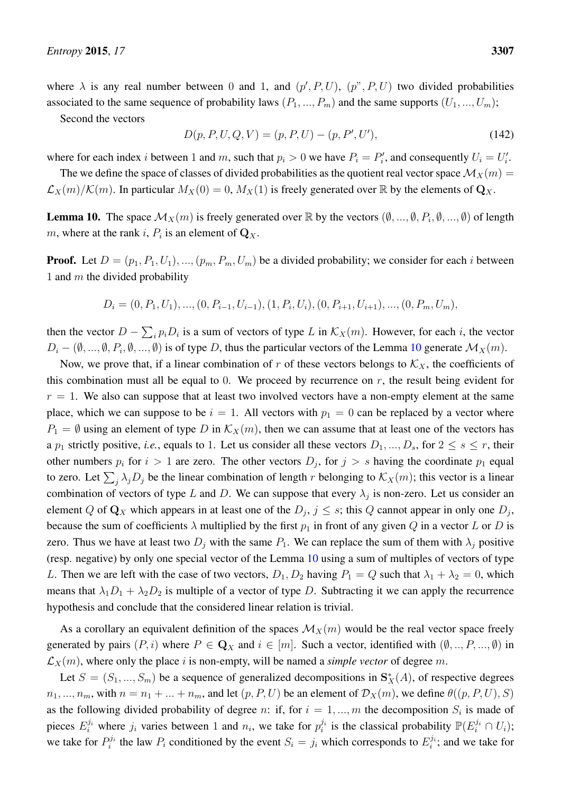where  $\lambda$  is any real number between 0 and 1, and  $(p', P, U)$ ,  $(p'', P, U)$  two divided probabilities associated to the same sequence of probability laws  $(P_1, ..., P_m)$  and the same supports  $(U_1, ..., U_m)$ ;

Second the vectors

$$
D(p, P, U, Q, V) = (p, P, U) - (p, P', U'),
$$
\n(142)

where for each index *i* between 1 and *m*, such that  $p_i > 0$  we have  $P_i = P'_i$ , and consequently  $U_i = U'_i$ .

The we define the space of classes of divided probabilities as the quotient real vector space  $\mathcal{M}_X(m)$  =  $\mathcal{L}_X(m)/\mathcal{K}(m)$ . In particular  $M_X(0) = 0$ ,  $M_X(1)$  is freely generated over  $\mathbb R$  by the elements of  $\mathbf{Q}_X$ .

<span id="page-54-0"></span>**Lemma 10.** The space  $\mathcal{M}_X(m)$  is freely generated over  $\mathbb{R}$  by the vectors  $(\emptyset, ..., \emptyset, P_i, \emptyset, ..., \emptyset)$  of length m, where at the rank i,  $P_i$  is an element of  $\mathbf{Q}_X$ .

**Proof.** Let  $D = (p_1, P_1, U_1), ..., (p_m, P_m, U_m)$  be a divided probability; we consider for each i between 1 and  $m$  the divided probability

$$
D_i = (0, P_1, U_1), \dots, (0, P_{i-1}, U_{i-1}), (1, P_i, U_i), (0, P_{i+1}, U_{i+1}), \dots, (0, P_m, U_m),
$$

then the vector  $D - \sum_i p_i D_i$  is a sum of vectors of type L in  $\mathcal{K}_X(m)$ . However, for each i, the vector  $D_i - (\emptyset, ..., \emptyset, P_i, \emptyset, ..., \emptyset)$  is of type D, thus the particular vectors of the Lemma [10](#page-54-0) generate  $\mathcal{M}_X(m)$ .

Now, we prove that, if a linear combination of r of these vectors belongs to  $\mathcal{K}_X$ , the coefficients of this combination must all be equal to 0. We proceed by recurrence on  $r$ , the result being evident for  $r = 1$ . We also can suppose that at least two involved vectors have a non-empty element at the same place, which we can suppose to be  $i = 1$ . All vectors with  $p_1 = 0$  can be replaced by a vector where  $P_1 = \emptyset$  using an element of type D in  $\mathcal{K}_X(m)$ , then we can assume that at least one of the vectors has a  $p_1$  strictly positive, *i.e.*, equals to 1. Let us consider all these vectors  $D_1, ..., D_s$ , for  $2 \leq s \leq r$ , their other numbers  $p_i$  for  $i > 1$  are zero. The other vectors  $D_j$ , for  $j > s$  having the coordinate  $p_1$  equal to zero. Let  $\sum_j \lambda_j D_j$  be the linear combination of length r belonging to  $\mathcal{K}_X(m)$ ; this vector is a linear combination of vectors of type L and D. We can suppose that every  $\lambda_j$  is non-zero. Let us consider an element Q of  $\mathbf{Q}_X$  which appears in at least one of the  $D_j$ ,  $j \leq s$ ; this Q cannot appear in only one  $D_j$ , because the sum of coefficients  $\lambda$  multiplied by the first  $p_1$  in front of any given Q in a vector L or D is zero. Thus we have at least two  $D_i$  with the same  $P_1$ . We can replace the sum of them with  $\lambda_i$  positive (resp. negative) by only one special vector of the Lemma [10](#page-54-0) using a sum of multiples of vectors of type L. Then we are left with the case of two vectors,  $D_1, D_2$  having  $P_1 = Q$  such that  $\lambda_1 + \lambda_2 = 0$ , which means that  $\lambda_1D_1 + \lambda_2D_2$  is multiple of a vector of type D. Subtracting it we can apply the recurrence hypothesis and conclude that the considered linear relation is trivial.

As a corollary an equivalent definition of the spaces  $\mathcal{M}_X(m)$  would be the real vector space freely generated by pairs  $(P, i)$  where  $P \in \mathbf{Q}_X$  and  $i \in [m]$ . Such a vector, identified with  $(\emptyset, ..., P, ..., \emptyset)$  in  $\mathcal{L}_X(m)$ , where only the place i is non-empty, will be named a *simple vector* of degree m.

Let  $S = (S_1, ..., S_m)$  be a sequence of generalized decompositions in  $S_X^*(A)$ , of respective degrees  $n_1, ..., n_m$ , with  $n = n_1 + ... + n_m$ , and let  $(p, P, U)$  be an element of  $\mathcal{D}_X(m)$ , we define  $\theta((p, P, U), S)$ as the following divided probability of degree n: if, for  $i = 1, ..., m$  the decomposition  $S_i$  is made of pieces  $E_i^{j_i}$  where  $j_i$  varies between 1 and  $n_i$ , we take for  $p_i^{j_i}$  is the classical probability  $\mathbb{P}(E_i^{j_i} \cap U_i)$ ; we take for  $P_i^{j_i}$  the law  $P_i$  conditioned by the event  $S_i = j_i$  which corresponds to  $E_i^{j_i}$ ; and we take for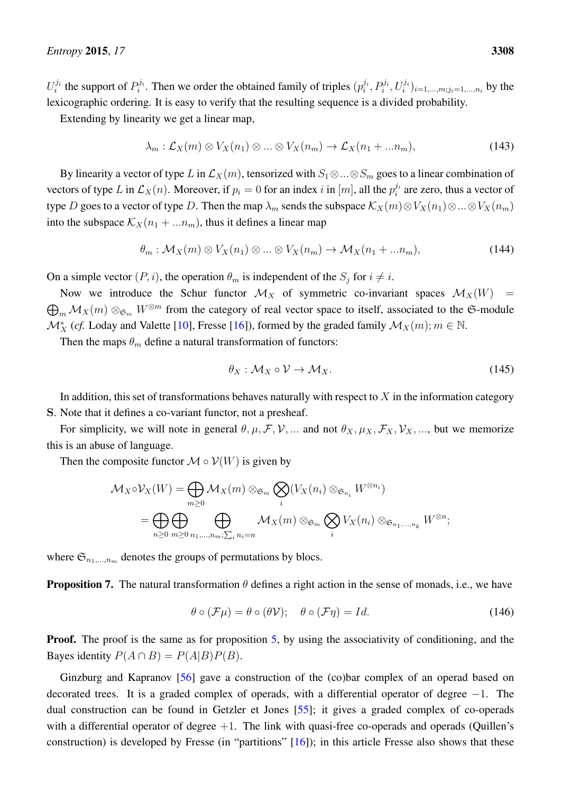$U_i^{j_i}$  the support of  $P_i^{j_i}$ . Then we order the obtained family of triples  $(p_i^{j_i}, P_i^{j_i}, U_i^{j_i})_{i=1,...,m; j_i=1,...,n_i}$  by the lexicographic ordering. It is easy to verify that the resulting sequence is a divided probability.

Extending by linearity we get a linear map,

$$
\lambda_m: \mathcal{L}_X(m) \otimes V_X(n_1) \otimes \ldots \otimes V_X(n_m) \to \mathcal{L}_X(n_1 + \ldots n_m),
$$
\n(143)

By linearity a vector of type L in  $\mathcal{L}_X(m)$ , tensorized with  $S_1 \otimes ... \otimes S_m$  goes to a linear combination of vectors of type L in  $\mathcal{L}_X(n)$ . Moreover, if  $p_i = 0$  for an index i in  $[m]$ , all the  $p_i^{j_i}$  are zero, thus a vector of type D goes to a vector of type D. Then the map  $\lambda_m$  sends the subspace  $\mathcal{K}_X(m) \otimes V_X(n_1) \otimes ... \otimes V_X(n_m)$ into the subspace  $\mathcal{K}_X(n_1 + ... n_m)$ , thus it defines a linear map

$$
\theta_m: \mathcal{M}_X(m) \otimes V_X(n_1) \otimes \ldots \otimes V_X(n_m) \to \mathcal{M}_X(n_1 + \ldots n_m),
$$
\n(144)

On a simple vector  $(P, i)$ , the operation  $\theta_m$  is independent of the  $S_i$  for  $i \neq i$ .

Now we introduce the Schur functor  $\mathcal{M}_X$  of symmetric co-invariant spaces  $\mathcal{M}_X(W)$  =  $\bigoplus_m \mathcal{M}_X(m) \otimes_{\mathfrak{S}_m} W^{\otimes m}$  from the category of real vector space to itself, associated to the G-module  $\mathcal{M}_{X}^{*}$  (*cf.* Loday and Valette [\[10\]](#page-63-9), Fresse [\[16\]](#page-63-15)), formed by the graded family  $\mathcal{M}_{X}(m)$ ;  $m \in \mathbb{N}$ .

Then the maps  $\theta_m$  define a natural transformation of functors:

$$
\theta_X : \mathcal{M}_X \circ \mathcal{V} \to \mathcal{M}_X. \tag{145}
$$

In addition, this set of transformations behaves naturally with respect to  $X$  in the information category S. Note that it defines a co-variant functor, not a presheaf.

For simplicity, we will note in general  $\theta, \mu, \mathcal{F}, \mathcal{V}, \dots$  and not  $\theta_X, \mu_X, \mathcal{F}_X, \mathcal{V}_X, \dots$ , but we memorize this is an abuse of language.

Then the composite functor  $\mathcal{M} \circ \mathcal{V}(W)$  is given by

$$
\mathcal{M}_X \circ \mathcal{V}_X(W) = \bigoplus_{m \geq 0} \mathcal{M}_X(m) \otimes_{\mathfrak{S}_m} \bigotimes_i (V_X(n_i) \otimes_{\mathfrak{S}_{n_i}} W^{\otimes n_i})
$$
  
= 
$$
\bigoplus_{n \geq 0} \bigoplus_{m \geq 0} \bigoplus_{n_1, \dots, n_m; \sum_i n_i = n} \mathcal{M}_X(m) \otimes_{\mathfrak{S}_m} \bigotimes_i V_X(n_i) \otimes_{\mathfrak{S}_{n_1, \dots, n_k}} W^{\otimes n};
$$

where  $\mathfrak{S}_{n_1,\dots,n_m}$  denotes the groups of permutations by blocs.

**Proposition 7.** The natural transformation  $\theta$  defines a right action in the sense of monads, i.e., we have

$$
\theta \circ (\mathcal{F}\mu) = \theta \circ (\theta \mathcal{V}); \quad \theta \circ (\mathcal{F}\eta) = Id. \tag{146}
$$

**Proof.** The proof is the same as for proposition [5,](#page-52-0) by using the associativity of conditioning, and the Bayes identity  $P(A \cap B) = P(A|B)P(B)$ .

Ginzburg and Kapranov [\[56\]](#page-65-14) gave a construction of the (co)bar complex of an operad based on decorated trees. It is a graded complex of operads, with a differential operator of degree −1. The dual construction can be found in Getzler et Jones [\[55\]](#page-65-13); it gives a graded complex of co-operads with a differential operator of degree  $+1$ . The link with quasi-free co-operads and operads (Quillen's construction) is developed by Fresse (in "partitions" [\[16\]](#page-63-15)); in this article Fresse also shows that these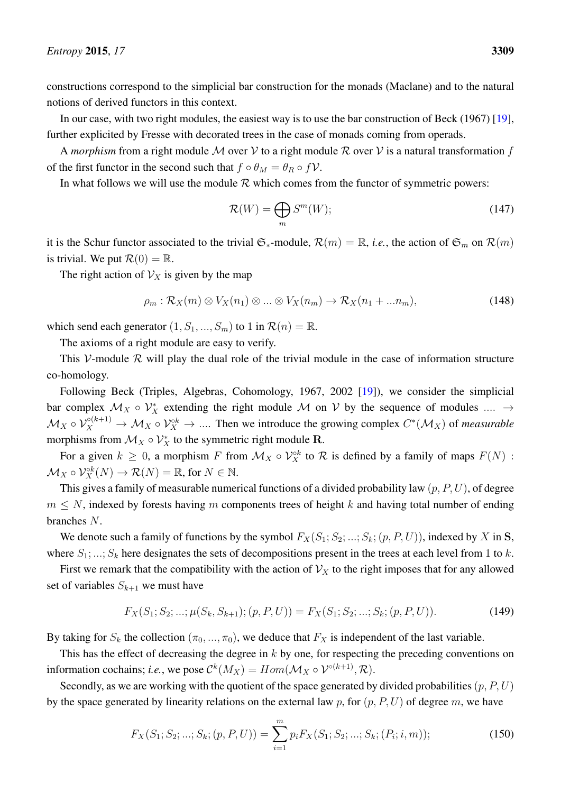constructions correspond to the simplicial bar construction for the monads (Maclane) and to the natural notions of derived functors in this context.

In our case, with two right modules, the easiest way is to use the bar construction of Beck (1967) [\[19\]](#page-64-0), further explicited by Fresse with decorated trees in the case of monads coming from operads.

A *morphism* from a right module M over V to a right module R over V is a natural transformation f of the first functor in the second such that  $f \circ \theta_M = \theta_R \circ f \mathcal{V}$ .

In what follows we will use the module  $R$  which comes from the functor of symmetric powers:

$$
\mathcal{R}(W) = \bigoplus_{m} S^{m}(W); \tag{147}
$$

it is the Schur functor associated to the trivial  $\mathfrak{S}_{*}$ -module,  $\mathcal{R}(m) = \mathbb{R}$ , *i.e.*, the action of  $\mathfrak{S}_{m}$  on  $\mathcal{R}(m)$ is trivial. We put  $\mathcal{R}(0) = \mathbb{R}$ .

The right action of  $\mathcal{V}_X$  is given by the map

$$
\rho_m: \mathcal{R}_X(m) \otimes V_X(n_1) \otimes \ldots \otimes V_X(n_m) \to \mathcal{R}_X(n_1 + \ldots n_m),
$$
\n(148)

which send each generator  $(1, S_1, ..., S_m)$  to 1 in  $\mathcal{R}(n) = \mathbb{R}$ .

The axioms of a right module are easy to verify.

This V-module  $R$  will play the dual role of the trivial module in the case of information structure co-homology.

Following Beck (Triples, Algebras, Cohomology, 1967, 2002 [\[19\]](#page-64-0)), we consider the simplicial bar complex  $\mathcal{M}_X \circ \mathcal{V}_X^*$  extending the right module  $\mathcal M$  on  $\mathcal V$  by the sequence of modules ....  $\to$  $\mathcal{M}_X \circ \mathcal{V}_X^{\circ(k+1)} \to \mathcal{M}_X \circ \mathcal{V}_X^{\circ k} \to \dots$  Then we introduce the growing complex  $C^*(\mathcal{M}_X)$  of *measurable* morphisms from  $\mathcal{M}_X \circ \mathcal{V}_X^*$  to the symmetric right module R.

For a given  $k \geq 0$ , a morphism F from  $\mathcal{M}_X \circ \mathcal{V}_X^{\circ k}$  to R is defined by a family of maps  $F(N)$ :  $\mathcal{M}_X \circ \mathcal{V}_X^{\circ k}(N) \to \mathcal{R}(N) = \mathbb{R}$ , for  $N \in \mathbb{N}$ .

This gives a family of measurable numerical functions of a divided probability law  $(p, P, U)$ , of degree  $m \leq N$ , indexed by forests having m components trees of height k and having total number of ending branches N.

We denote such a family of functions by the symbol  $F_X(S_1; S_2; ...; S_k; (p, P, U))$ , indexed by X in S, where  $S_1$ ; ...;  $S_k$  here designates the sets of decompositions present in the trees at each level from 1 to k.

First we remark that the compatibility with the action of  $\mathcal{V}_X$  to the right imposes that for any allowed set of variables  $S_{k+1}$  we must have

$$
F_X(S_1; S_2; \ldots; \mu(S_k, S_{k+1}); (p, P, U)) = F_X(S_1; S_2; \ldots; S_k; (p, P, U)).
$$
\n(149)

By taking for  $S_k$  the collection  $(\pi_0, ..., \pi_0)$ , we deduce that  $F_X$  is independent of the last variable.

This has the effect of decreasing the degree in  $k$  by one, for respecting the preceding conventions on information cochains; *i.e.*, we pose  $\mathcal{C}^k(M_X) = Hom(\mathcal{M}_X \circ \mathcal{V}^{\circ(k+1)}, \mathcal{R})$ .

Secondly, as we are working with the quotient of the space generated by divided probabilities  $(p, P, U)$ by the space generated by linearity relations on the external law p, for  $(p, P, U)$  of degree m, we have

<span id="page-56-0"></span>
$$
F_X(S_1; S_2; \dots; S_k; (p, P, U)) = \sum_{i=1}^m p_i F_X(S_1; S_2; \dots; S_k; (P_i; i, m)); \tag{150}
$$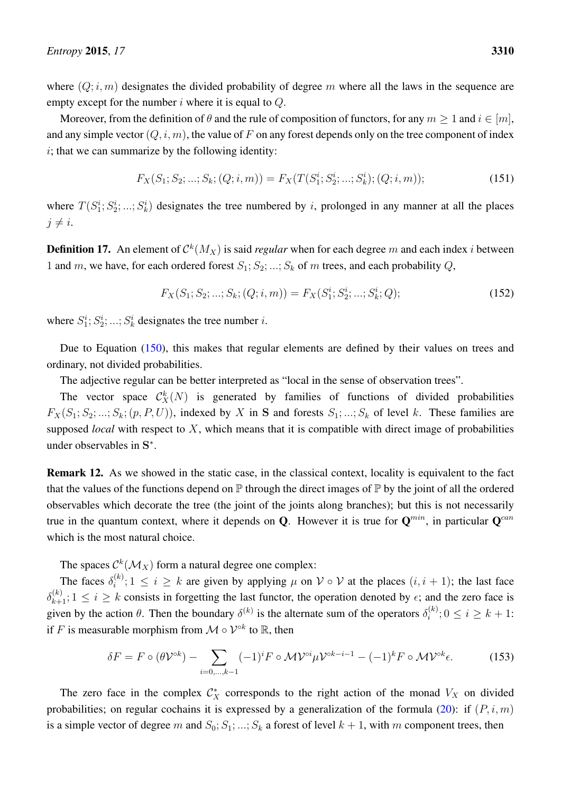where  $(Q; i, m)$  designates the divided probability of degree m where all the laws in the sequence are empty except for the number  $i$  where it is equal to  $Q$ .

Moreover, from the definition of  $\theta$  and the rule of composition of functors, for any  $m > 1$  and  $i \in [m]$ , and any simple vector  $(Q, i, m)$ , the value of F on any forest depends only on the tree component of index  $i$ ; that we can summarize by the following identity:

$$
F_X(S_1; S_2; \dots; S_k; (Q; i, m)) = F_X(T(S_1^i; S_2^i; \dots; S_k^i); (Q; i, m));
$$
\n(151)

where  $T(S_1^i; S_2^i; \ldots; S_k^i)$  designates the tree numbered by i, prolonged in any manner at all the places  $j \neq i$ .

**Definition 17.** An element of  $\mathcal{C}^k(M_X)$  is said *regular* when for each degree m and each index *i* between 1 and m, we have, for each ordered forest  $S_1; S_2; \ldots; S_k$  of m trees, and each probability Q,

$$
F_X(S_1; S_2; \dots; S_k; (Q; i, m)) = F_X(S_1^i; S_2^i; \dots; S_k^i; Q); \tag{152}
$$

where  $S_1^i$ ;  $S_2^i$ ; ...;  $S_k^i$  designates the tree number *i*.

Due to Equation [\(150\)](#page-56-0), this makes that regular elements are defined by their values on trees and ordinary, not divided probabilities.

The adjective regular can be better interpreted as "local in the sense of observation trees".

The vector space  $\mathcal{C}_X^k(N)$  is generated by families of functions of divided probabilities  $F_X(S_1; S_2; \ldots; S_k; (p, P, U))$ , indexed by X in S and forests  $S_1; \ldots; S_k$  of level k. These families are supposed *local* with respect to X, which means that it is compatible with direct image of probabilities under observables in S<sup>\*</sup>.

Remark 12. As we showed in the static case, in the classical context, locality is equivalent to the fact that the values of the functions depend on  $\mathbb P$  through the direct images of  $\mathbb P$  by the joint of all the ordered observables which decorate the tree (the joint of the joints along branches); but this is not necessarily true in the quantum context, where it depends on Q. However it is true for  $Q^{min}$ , in particular  $Q^{can}$ which is the most natural choice.

The spaces  $\mathcal{C}^k(\mathcal{M}_X)$  form a natural degree one complex:

The faces  $\delta_i^{(k)}$  $\mathcal{L}_{i}^{(k)}$ ;  $1 \leq i \geq k$  are given by applying  $\mu$  on  $\mathcal{V} \circ \mathcal{V}$  at the places  $(i, i + 1)$ ; the last face  $\delta_{k+1}^{(k)}$ ;  $1 \le i \ge k$  consists in forgetting the last functor, the operation denoted by  $\epsilon$ ; and the zero face is given by the action  $\theta$ . Then the boundary  $\delta^{(k)}$  is the alternate sum of the operators  $\delta_i^{(k)}$  $i^{(k)}$ ;  $0 \leq i \geq k+1$ : if F is measurable morphism from  $\mathcal{M} \circ \mathcal{V}^{\circ k}$  to  $\mathbb{R}$ , then

<span id="page-57-0"></span>
$$
\delta F = F \circ (\theta \mathcal{V}^{\circ k}) - \sum_{i=0,\dots,k-1} (-1)^i F \circ \mathcal{M} \mathcal{V}^{\circ i} \mu \mathcal{V}^{\circ k-i-1} - (-1)^k F \circ \mathcal{M} \mathcal{V}^{\circ k} \epsilon.
$$
 (153)

The zero face in the complex  $\mathcal{C}_X^*$  corresponds to the right action of the monad  $V_X$  on divided probabilities; on regular cochains it is expressed by a generalization of the formula [\(20\)](#page-14-2): if  $(P, i, m)$ is a simple vector of degree m and  $S_0; S_1; \dots; S_k$  a forest of level  $k + 1$ , with m component trees, then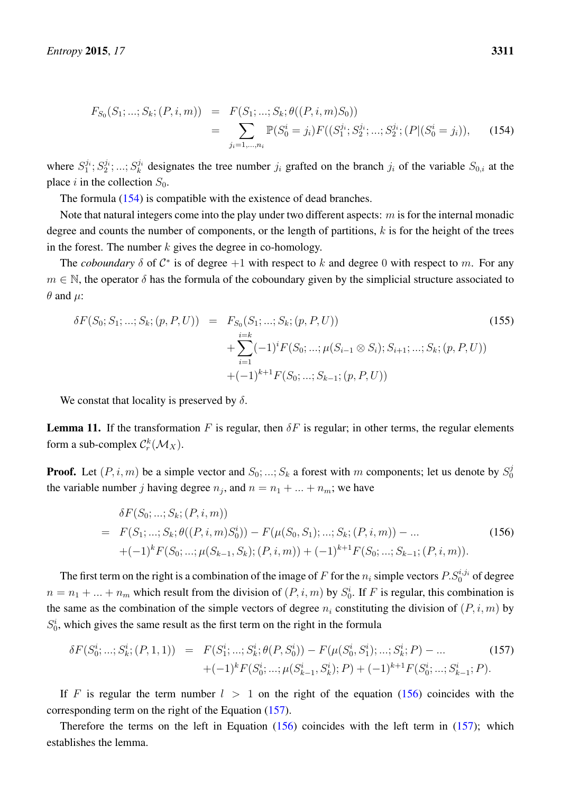<span id="page-58-0"></span>
$$
F_{S_0}(S_1; \dots; S_k; (P, i, m)) = F(S_1; \dots; S_k; \theta((P, i, m)S_0))
$$
  
= 
$$
\sum_{j_i=1,\dots,n_i} \mathbb{P}(S_0^i = j_i) F((S_1^{j_i}; S_2^{j_i}; \dots; S_2^{j_i}; (P | (S_0^i = j_i)),
$$
 (154)

where  $S_1^{j_i}$ ;  $S_2^{j_i}$ ; ...;  $S_k^{j_i}$  $\mathcal{G}_k^i$  designates the tree number  $j_i$  grafted on the branch  $j_i$  of the variable  $S_{0,i}$  at the place i in the collection  $S_0$ .

The formula [\(154\)](#page-58-0) is compatible with the existence of dead branches.

Note that natural integers come into the play under two different aspects:  $m$  is for the internal monadic degree and counts the number of components, or the length of partitions,  $k$  is for the height of the trees in the forest. The number  $k$  gives the degree in co-homology.

The *coboundary*  $\delta$  of  $C^*$  is of degree +1 with respect to k and degree 0 with respect to m. For any  $m \in \mathbb{N}$ , the operator  $\delta$  has the formula of the coboundary given by the simplicial structure associated to  $\theta$  and  $\mu$ :

$$
\delta F(S_0; S_1; \dots; S_k; (p, P, U)) = F_{S_0}(S_1; \dots; S_k; (p, P, U)) \n+ \sum_{i=1}^{i=k} (-1)^i F(S_0; \dots; \mu(S_{i-1} \otimes S_i); S_{i+1}; \dots; S_k; (p, P, U)) \n+ (-1)^{k+1} F(S_0; \dots; S_{k-1}; (p, P, U))
$$
\n(155)

We constat that locality is preserved by  $\delta$ .

**Lemma 11.** If the transformation F is regular, then  $\delta F$  is regular; in other terms, the regular elements form a sub-complex  $\mathcal{C}_{r}^{k}(\mathcal{M}_X)$ .

**Proof.** Let  $(P, i, m)$  be a simple vector and  $S_0; \dots; S_k$  a forest with m components; let us denote by  $S_0^j$  $\sqrt{a}$ the variable number j having degree  $n_j$ , and  $n = n_1 + ... + n_m$ ; we have

<span id="page-58-1"></span>
$$
\delta F(S_0; \ldots; S_k; (P, i, m))
$$
\n
$$
= F(S_1; \ldots; S_k; \theta((P, i, m)S_0^i)) - F(\mu(S_0, S_1); \ldots; S_k; (P, i, m)) - \ldots
$$
\n
$$
+ (-1)^k F(S_0; \ldots; \mu(S_{k-1}, S_k); (P, i, m)) + (-1)^{k+1} F(S_0; \ldots; S_{k-1}; (P, i, m)).
$$
\n(156)

The first term on the right is a combination of the image of F for the  $n_i$  simple vectors  $P.S_0^{i,j_i}$  of degree  $n = n_1 + ... + n_m$  which result from the division of  $(P, i, m)$  by  $S_0^i$ . If F is regular, this combination is the same as the combination of the simple vectors of degree  $n_i$  constituting the division of  $(P, i, m)$  by  $S_0^i$ , which gives the same result as the first term on the right in the formula

<span id="page-58-2"></span>
$$
\delta F(S_0^i; \dots; S_k^i; (P, 1, 1)) = F(S_1^i; \dots; S_k^i; \theta(P, S_0^i)) - F(\mu(S_0^i, S_1^i); \dots; S_k^i; P) - \dots \tag{157}
$$

$$
+ (-1)^k F(S_0^i; \dots; \mu(S_{k-1}^i, S_k^i); P) + (-1)^{k+1} F(S_0^i; \dots; S_{k-1}^i; P).
$$

If F is regular the term number  $l > 1$  on the right of the equation [\(156\)](#page-58-1) coincides with the corresponding term on the right of the Equation [\(157\)](#page-58-2).

Therefore the terms on the left in Equation [\(156\)](#page-58-1) coincides with the left term in [\(157\)](#page-58-2); which establishes the lemma.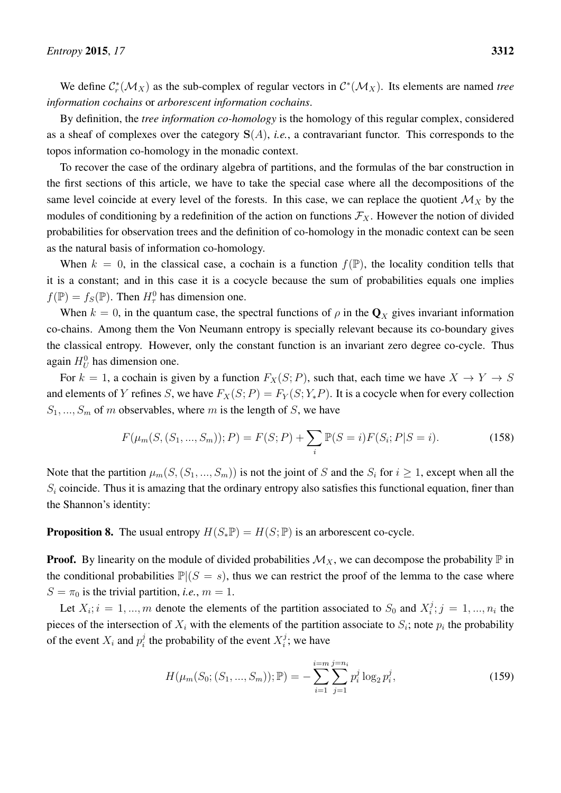We define  $C_r^*(\mathcal{M}_X)$  as the sub-complex of regular vectors in  $C^*(\mathcal{M}_X)$ . Its elements are named *tree information cochains* or *arborescent information cochains*.

By definition, the *tree information co-homology* is the homology of this regular complex, considered as a sheaf of complexes over the category  $S(A)$ , *i.e.*, a contravariant functor. This corresponds to the topos information co-homology in the monadic context.

To recover the case of the ordinary algebra of partitions, and the formulas of the bar construction in the first sections of this article, we have to take the special case where all the decompositions of the same level coincide at every level of the forests. In this case, we can replace the quotient  $\mathcal{M}_X$  by the modules of conditioning by a redefinition of the action on functions  $\mathcal{F}_X$ . However the notion of divided probabilities for observation trees and the definition of co-homology in the monadic context can be seen as the natural basis of information co-homology.

When  $k = 0$ , in the classical case, a cochain is a function  $f(\mathbb{P})$ , the locality condition tells that it is a constant; and in this case it is a cocycle because the sum of probabilities equals one implies  $f(\mathbb{P}) = f_S(\mathbb{P})$ . Then  $H^0_\tau$  has dimension one.

When  $k = 0$ , in the quantum case, the spectral functions of  $\rho$  in the  $\mathbf{Q}_X$  gives invariant information co-chains. Among them the Von Neumann entropy is specially relevant because its co-boundary gives the classical entropy. However, only the constant function is an invariant zero degree co-cycle. Thus again  $H_U^0$  has dimension one.

For  $k = 1$ , a cochain is given by a function  $F_X(S; P)$ , such that, each time we have  $X \to Y \to S$ and elements of Y refines S, we have  $F_X(S; P) = F_Y(S; Y_*P)$ . It is a cocycle when for every collection  $S_1, ..., S_m$  of m observables, where m is the length of S, we have

$$
F(\mu_m(S, (S_1, ..., S_m)); P) = F(S; P) + \sum_i \mathbb{P}(S = i) F(S_i; P | S = i).
$$
 (158)

Note that the partition  $\mu_m(S,(S_1,...,S_m))$  is not the joint of S and the  $S_i$  for  $i \geq 1$ , except when all the  $S_i$  coincide. Thus it is amazing that the ordinary entropy also satisfies this functional equation, finer than the Shannon's identity:

**Proposition 8.** The usual entropy  $H(S_*\mathbb{P}) = H(S; \mathbb{P})$  is an arborescent co-cycle.

**Proof.** By linearity on the module of divided probabilities  $\mathcal{M}_X$ , we can decompose the probability  $\mathbb P$  in the conditional probabilities  $\mathbb{P}[(S = s)]$ , thus we can restrict the proof of the lemma to the case where  $S = \pi_0$  is the trivial partition, *i.e.*,  $m = 1$ .

Let  $X_i$ ;  $i = 1, ..., m$  denote the elements of the partition associated to  $S_0$  and  $X_i^j$  $i^j$ ;  $j = 1, ..., n_i$  the pieces of the intersection of  $X_i$  with the elements of the partition associate to  $S_i$ ; note  $p_i$  the probability of the event  $X_i$  and  $p_i^j$  $i$  the probability of the event  $X_i^j$  $i^j$ ; we have

$$
H(\mu_m(S_0; (S_1, ..., S_m)); \mathbb{P}) = -\sum_{i=1}^{i=m} \sum_{j=1}^{j=n_i} p_i^j \log_2 p_i^j,
$$
\n(159)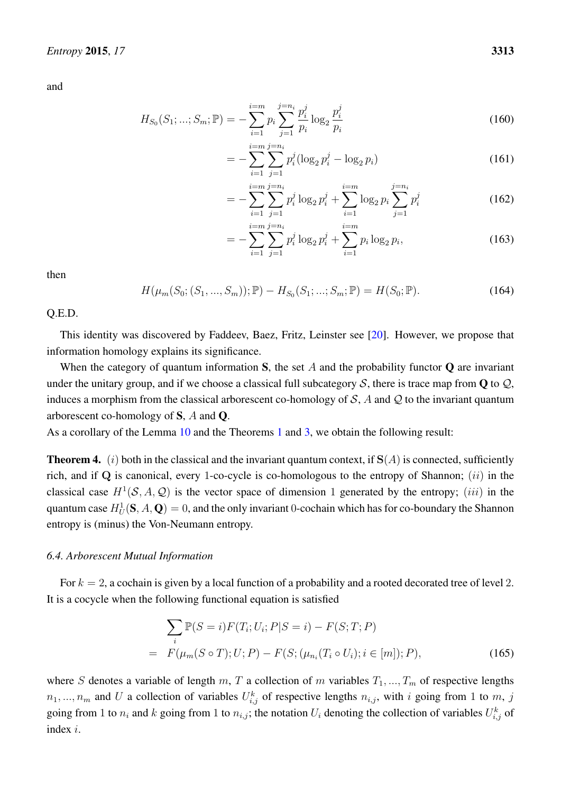and

$$
H_{S_0}(S_1; \dots; S_m; \mathbb{P}) = -\sum_{i=1}^{i=m} p_i \sum_{j=1}^{j=n_i} \frac{p_i^j}{p_i} \log_2 \frac{p_i^j}{p_i}
$$
(160)

$$
= -\sum_{i=1}^{i=m} \sum_{j=1}^{j=n_i} p_i^j (\log_2 p_i^j - \log_2 p_i)
$$
 (161)

$$
= -\sum_{i=1}^{i=m} \sum_{j=1}^{j=n_i} p_i^j \log_2 p_i^j + \sum_{i=1}^{i=m} \log_2 p_i \sum_{j=1}^{j=n_i} p_i^j
$$
(162)

$$
= -\sum_{i=1}^{i=m} \sum_{j=1}^{j=n_i} p_i^j \log_2 p_i^j + \sum_{i=1}^{i=m} p_i \log_2 p_i,
$$
 (163)

then

$$
H(\mu_m(S_0; (S_1, ..., S_m)); \mathbb{P}) - H_{S_0}(S_1; ...; S_m; \mathbb{P}) = H(S_0; \mathbb{P}).
$$
\n(164)

Q.E.D.

This identity was discovered by Faddeev, Baez, Fritz, Leinster see [\[20\]](#page-64-1). However, we propose that information homology explains its significance.

When the category of quantum information S, the set  $A$  and the probability functor  $\bf{Q}$  are invariant under the unitary group, and if we choose a classical full subcategory  $S$ , there is trace map from  $Q$  to  $Q$ , induces a morphism from the classical arborescent co-homology of  $S$ , A and  $Q$  to the invariant quantum arborescent co-homology of S, A and Q.

As a corollary of the Lemma [10](#page-54-0) and the Theorems [1](#page-20-0) and [3,](#page-37-0) we obtain the following result:

<span id="page-60-1"></span>**Theorem 4.** (i) both in the classical and the invariant quantum context, if  $S(A)$  is connected, sufficiently rich, and if Q is canonical, every 1-co-cycle is co-homologous to the entropy of Shannon; *(ii)* in the classical case  $H^1(\mathcal{S}, A, \mathcal{Q})$  is the vector space of dimension 1 generated by the entropy; *(iii)* in the quantum case  $H_U^1({\bf S}, A, {\bf Q}) = 0,$  and the only invariant  $0$ -cochain which has for co-boundary the Shannon entropy is (minus) the Von-Neumann entropy.

### <span id="page-60-0"></span>*6.4. Arborescent Mutual Information*

For  $k = 2$ , a cochain is given by a local function of a probability and a rooted decorated tree of level 2. It is a cocycle when the following functional equation is satisfied

<span id="page-60-2"></span>
$$
\sum_{i} \mathbb{P}(S = i) F(T_i; U_i; P | S = i) - F(S; T; P)
$$
  
=  $F(\mu_m(S \circ T); U; P) - F(S; (\mu_{n_i}(T_i \circ U_i); i \in [m]); P),$  (165)

where S denotes a variable of length m, T a collection of m variables  $T_1, ..., T_m$  of respective lengths  $n_1, ..., n_m$  and U a collection of variables  $U_{i,j}^k$  of respective lengths  $n_{i,j}$ , with i going from 1 to m, j going from 1 to  $n_i$  and k going from 1 to  $n_{i,j}$ ; the notation  $U_i$  denoting the collection of variables  $U_{i,j}^k$  of index i.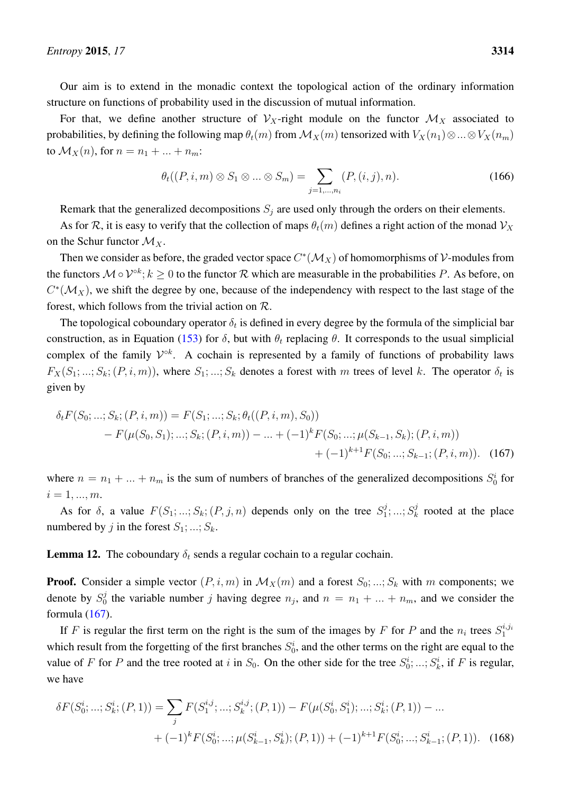Our aim is to extend in the monadic context the topological action of the ordinary information structure on functions of probability used in the discussion of mutual information.

For that, we define another structure of  $V_X$ -right module on the functor  $\mathcal{M}_X$  associated to probabilities, by defining the following map  $\theta_t(m)$  from  $\mathcal{M}_X(m)$  tensorized with  $V_X(n_1) \otimes ... \otimes V_X(n_m)$ to  $\mathcal{M}_X(n)$ , for  $n = n_1 + ... + n_m$ :

<span id="page-61-0"></span>
$$
\theta_t((P, i, m) \otimes S_1 \otimes \ldots \otimes S_m) = \sum_{j=1,\ldots,n_i} (P, (i, j), n).
$$
 (166)

Remark that the generalized decompositions  $S_j$  are used only through the orders on their elements.

As for R, it is easy to verify that the collection of maps  $\theta_t(m)$  defines a right action of the monad  $V_X$ on the Schur functor  $\mathcal{M}_X$ .

Then we consider as before, the graded vector space  $C^*(\mathcal{M}_X)$  of homomorphisms of V-modules from the functors  $\mathcal{M} \circ \mathcal{V}^{ok}$ ;  $k \geq 0$  to the functor  $\mathcal{R}$  which are measurable in the probabilities P. As before, on  $C^*(\mathcal{M}_X)$ , we shift the degree by one, because of the independency with respect to the last stage of the forest, which follows from the trivial action on R.

The topological coboundary operator  $\delta_t$  is defined in every degree by the formula of the simplicial bar construction, as in Equation [\(153\)](#page-57-0) for  $\delta$ , but with  $\theta_t$  replacing  $\theta$ . It corresponds to the usual simplicial complex of the family  $\mathcal{V}^{\circ k}$ . A cochain is represented by a family of functions of probability laws  $F_X(S_1; \ldots; S_k; (P, i, m))$ , where  $S_1; \ldots; S_k$  denotes a forest with m trees of level k. The operator  $\delta_t$  is given by

$$
\delta_t F(S_0; \dots; S_k; (P, i, m)) = F(S_1; \dots; S_k; \theta_t((P, i, m), S_0))
$$
  
-  $F(\mu(S_0, S_1); \dots; S_k; (P, i, m)) - \dots + (-1)^k F(S_0; \dots; \mu(S_{k-1}, S_k); (P, i, m))$   
+  $(-1)^{k+1} F(S_0; \dots; S_{k-1}; (P, i, m)).$  (167)

where  $n = n_1 + ... + n_m$  is the sum of numbers of branches of the generalized decompositions  $S_0^i$  for  $i = 1, ..., m$ .

As for  $\delta$ , a value  $F(S_1; \ldots; S_k; (P, j, n))$  depends only on the tree  $S_1^j$  $j^j_1,...;S_k^j$  $k \nvert k$  rooted at the place numbered by j in the forest  $S_1; \ldots; S_k$ .

**Lemma 12.** The coboundary  $\delta_t$  sends a regular cochain to a regular cochain.

**Proof.** Consider a simple vector  $(P, i, m)$  in  $\mathcal{M}_X(m)$  and a forest  $S_0; \dots; S_k$  with m components; we denote by  $S_0^j$  $n_0^j$  the variable number j having degree  $n_j$ , and  $n = n_1 + ... + n_m$ , and we consider the formula [\(167\)](#page-61-0).

If F is regular the first term on the right is the sum of the images by F for P and the  $n_i$  trees  $S_1^{i,j_i}$ which result from the forgetting of the first branches  $S_0^i$ , and the other terms on the right are equal to the value of F for P and the tree rooted at i in  $S_0$ . On the other side for the tree  $S_0^i$ ; ...;  $S_k^i$ , if F is regular, we have

$$
\delta F(S_0^i; \dots; S_k^i; (P, 1)) = \sum_j F(S_1^{i,j}; \dots; S_k^{i,j}; (P, 1)) - F(\mu(S_0^i, S_1^i); \dots; S_k^i; (P, 1)) - \dots + (-1)^k F(S_0^i; \dots; \mu(S_{k-1}^i, S_k^i); (P, 1)) + (-1)^{k+1} F(S_0^i; \dots; S_{k-1}^i; (P, 1)).
$$
 (168)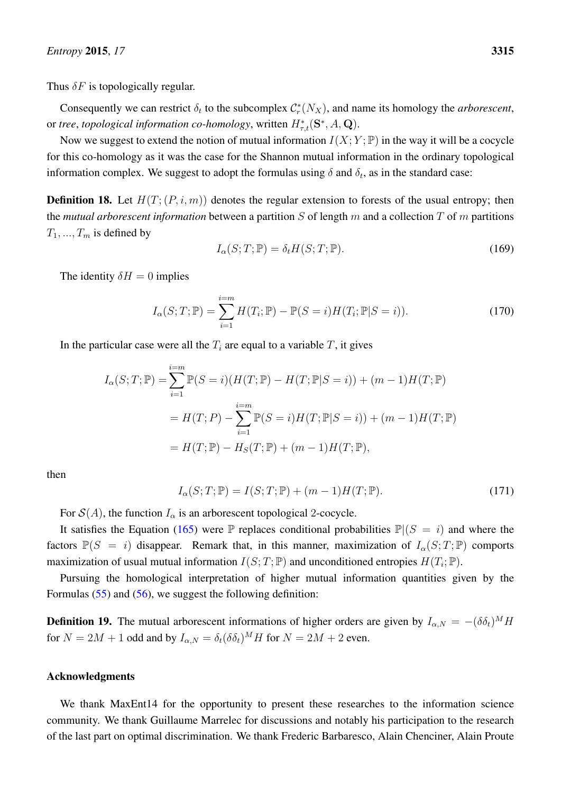Thus  $\delta F$  is topologically regular.

Consequently we can restrict  $\delta_t$  to the subcomplex  $\mathcal{C}_r^*(N_X)$ , and name its homology the *arborescent*, or *tree, topological information co-homology, written*  $H_{\tau,t}^*(\mathbf{S}^*,A,\mathbf{Q})$ *.* 

Now we suggest to extend the notion of mutual information  $I(X; Y; \mathbb{P})$  in the way it will be a cocycle for this co-homology as it was the case for the Shannon mutual information in the ordinary topological information complex. We suggest to adopt the formulas using  $\delta$  and  $\delta_t$ , as in the standard case:

**Definition 18.** Let  $H(T; (P, i, m))$  denotes the regular extension to forests of the usual entropy; then the *mutual arborescent information* between a partition S of length m and a collection T of m partitions  $T_1, ..., T_m$  is defined by

$$
I_{\alpha}(S;T; \mathbb{P}) = \delta_t H(S;T; \mathbb{P}).
$$
\n(169)

The identity  $\delta H = 0$  implies

$$
I_{\alpha}(S;T; \mathbb{P}) = \sum_{i=1}^{i=m} H(T_i; \mathbb{P}) - \mathbb{P}(S = i)H(T_i; \mathbb{P}|S = i)).
$$
\n(170)

In the particular case were all the  $T_i$  are equal to a variable  $T$ , it gives

$$
I_{\alpha}(S;T; \mathbb{P}) = \sum_{i=1}^{i=m} \mathbb{P}(S=i)(H(T; \mathbb{P}) - H(T; \mathbb{P}|S=i)) + (m-1)H(T; \mathbb{P})
$$
  
=  $H(T; P) - \sum_{i=1}^{i=m} \mathbb{P}(S=i)H(T; \mathbb{P}|S=i)) + (m-1)H(T; \mathbb{P})$   
=  $H(T; \mathbb{P}) - H_{S}(T; \mathbb{P}) + (m-1)H(T; \mathbb{P}),$ 

then

$$
I_{\alpha}(S;T;\mathbb{P}) = I(S;T;\mathbb{P}) + (m-1)H(T;\mathbb{P}).
$$
\n(171)

For  $\mathcal{S}(A)$ , the function  $I_{\alpha}$  is an arborescent topological 2-cocycle.

It satisfies the Equation [\(165\)](#page-60-2) were  $\mathbb P$  replaces conditional probabilities  $\mathbb P|(S = i)$  and where the factors  $\mathbb{P}(S = i)$  disappear. Remark that, in this manner, maximization of  $I_{\alpha}(S;T; \mathbb{P})$  comports maximization of usual mutual information  $I(S;T; \mathbb{P})$  and unconditioned entropies  $H(T_i; \mathbb{P})$ .

Pursuing the homological interpretation of higher mutual information quantities given by the Formulas [\(55\)](#page-23-0) and [\(56\)](#page-23-1), we suggest the following definition:

**Definition 19.** The mutual arborescent informations of higher orders are given by  $I_{\alpha,N} = -(\delta \delta_t)^M H$ for  $N = 2M + 1$  odd and by  $I_{\alpha,N} = \delta_t(\delta \delta_t)^M H$  for  $N = 2M + 2$  even.

## Acknowledgments

We thank MaxEnt14 for the opportunity to present these researches to the information science community. We thank Guillaume Marrelec for discussions and notably his participation to the research of the last part on optimal discrimination. We thank Frederic Barbaresco, Alain Chenciner, Alain Proute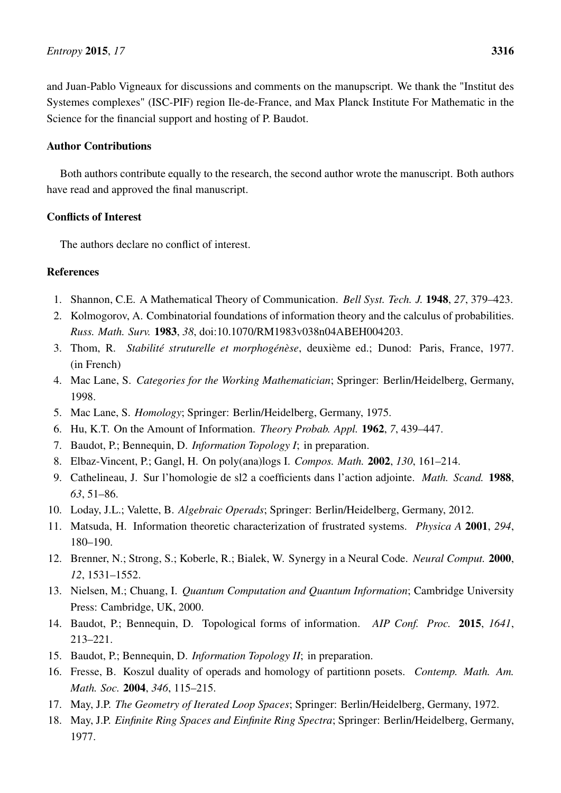and Juan-Pablo Vigneaux for discussions and comments on the manupscript. We thank the "Institut des Systemes complexes" (ISC-PIF) region Ile-de-France, and Max Planck Institute For Mathematic in the Science for the financial support and hosting of P. Baudot.

# Author Contributions

Both authors contribute equally to the research, the second author wrote the manuscript. Both authors have read and approved the final manuscript.

# Conflicts of Interest

The authors declare no conflict of interest.

# References

- <span id="page-63-0"></span>1. Shannon, C.E. A Mathematical Theory of Communication. *Bell Syst. Tech. J.* 1948, *27*, 379–423.
- <span id="page-63-1"></span>2. Kolmogorov, A. Combinatorial foundations of information theory and the calculus of probabilities. *Russ. Math. Surv.* 1983, *38*, doi:10.1070/RM1983v038n04ABEH004203.
- <span id="page-63-2"></span>3. Thom, R. *Stabilité struturelle et morphogénèse*, deuxième ed.; Dunod: Paris, France, 1977. (in French)
- <span id="page-63-3"></span>4. Mac Lane, S. *Categories for the Working Mathematician*; Springer: Berlin/Heidelberg, Germany, 1998.
- <span id="page-63-4"></span>5. Mac Lane, S. *Homology*; Springer: Berlin/Heidelberg, Germany, 1975.
- <span id="page-63-5"></span>6. Hu, K.T. On the Amount of Information. *Theory Probab. Appl.* 1962, *7*, 439–447.
- <span id="page-63-6"></span>7. Baudot, P.; Bennequin, D. *Information Topology I*; in preparation.
- <span id="page-63-7"></span>8. Elbaz-Vincent, P.; Gangl, H. On poly(ana)logs I. *Compos. Math.* 2002, *130*, 161–214.
- <span id="page-63-8"></span>9. Cathelineau, J. Sur l'homologie de sl2 a coefficients dans l'action adjointe. *Math. Scand.* 1988, *63*, 51–86.
- <span id="page-63-9"></span>10. Loday, J.L.; Valette, B. *Algebraic Operads*; Springer: Berlin/Heidelberg, Germany, 2012.
- <span id="page-63-10"></span>11. Matsuda, H. Information theoretic characterization of frustrated systems. *Physica A* 2001, *294*, 180–190.
- <span id="page-63-11"></span>12. Brenner, N.; Strong, S.; Koberle, R.; Bialek, W. Synergy in a Neural Code. *Neural Comput.* 2000, *12*, 1531–1552.
- <span id="page-63-12"></span>13. Nielsen, M.; Chuang, I. *Quantum Computation and Quantum Information*; Cambridge University Press: Cambridge, UK, 2000.
- <span id="page-63-13"></span>14. Baudot, P.; Bennequin, D. Topological forms of information. *AIP Conf. Proc.* 2015, *1641*, 213–221.
- <span id="page-63-14"></span>15. Baudot, P.; Bennequin, D. *Information Topology II*; in preparation.
- <span id="page-63-15"></span>16. Fresse, B. Koszul duality of operads and homology of partitionn posets. *Contemp. Math. Am. Math. Soc.* 2004, *346*, 115–215.
- <span id="page-63-17"></span>17. May, J.P. *The Geometry of Iterated Loop Spaces*; Springer: Berlin/Heidelberg, Germany, 1972.
- <span id="page-63-16"></span>18. May, J.P. *Einfinite Ring Spaces and Einfinite Ring Spectra*; Springer: Berlin/Heidelberg, Germany, 1977.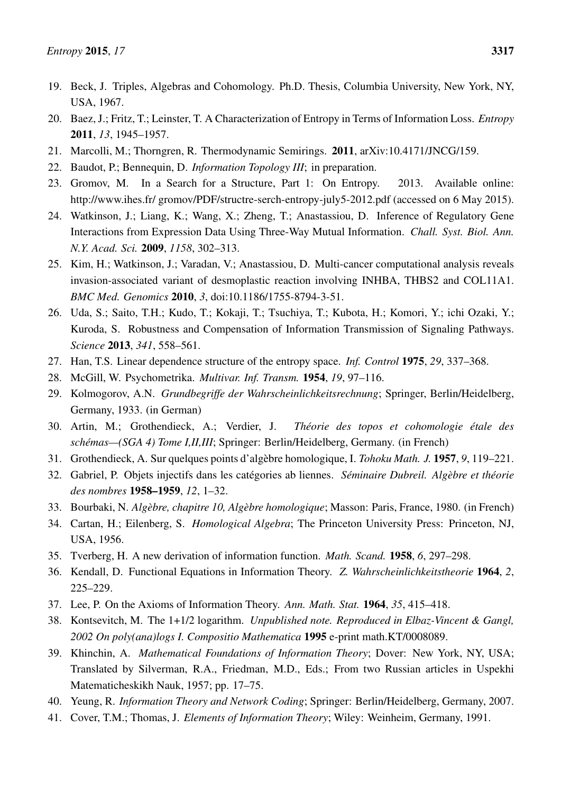- <span id="page-64-0"></span>19. Beck, J. Triples, Algebras and Cohomology. Ph.D. Thesis, Columbia University, New York, NY, USA, 1967.
- <span id="page-64-1"></span>20. Baez, J.; Fritz, T.; Leinster, T. A Characterization of Entropy in Terms of Information Loss. *Entropy* 2011, *13*, 1945–1957.
- <span id="page-64-2"></span>21. Marcolli, M.; Thorngren, R. Thermodynamic Semirings. 2011, arXiv:10.4171/JNCG/159.
- <span id="page-64-3"></span>22. Baudot, P.; Bennequin, D. *Information Topology III*; in preparation.
- <span id="page-64-4"></span>23. Gromov, M. In a Search for a Structure, Part 1: On Entropy. 2013. Available online: http://www.ihes.fr/ gromov/PDF/structre-serch-entropy-july5-2012.pdf (accessed on 6 May 2015).
- <span id="page-64-5"></span>24. Watkinson, J.; Liang, K.; Wang, X.; Zheng, T.; Anastassiou, D. Inference of Regulatory Gene Interactions from Expression Data Using Three-Way Mutual Information. *Chall. Syst. Biol. Ann. N.Y. Acad. Sci.* 2009, *1158*, 302–313.
- <span id="page-64-6"></span>25. Kim, H.; Watkinson, J.; Varadan, V.; Anastassiou, D. Multi-cancer computational analysis reveals invasion-associated variant of desmoplastic reaction involving INHBA, THBS2 and COL11A1. *BMC Med. Genomics* 2010, *3*, doi:10.1186/1755-8794-3-51.
- <span id="page-64-7"></span>26. Uda, S.; Saito, T.H.; Kudo, T.; Kokaji, T.; Tsuchiya, T.; Kubota, H.; Komori, Y.; ichi Ozaki, Y.; Kuroda, S. Robustness and Compensation of Information Transmission of Signaling Pathways. *Science* 2013, *341*, 558–561.
- <span id="page-64-8"></span>27. Han, T.S. Linear dependence structure of the entropy space. *Inf. Control* 1975, *29*, 337–368.
- <span id="page-64-9"></span>28. McGill, W. Psychometrika. *Multivar. Inf. Transm.* 1954, *19*, 97–116.
- <span id="page-64-10"></span>29. Kolmogorov, A.N. *Grundbegriffe der Wahrscheinlichkeitsrechnung*; Springer, Berlin/Heidelberg, Germany, 1933. (in German)
- <span id="page-64-11"></span>30. Artin, M.; Grothendieck, A.; Verdier, J. *Théorie des topos et cohomologie étale des schémas—(SGA 4) Tome I,II,III*; Springer: Berlin/Heidelberg, Germany. (in French)
- <span id="page-64-12"></span>31. Grothendieck, A. Sur quelques points d'algèbre homologique, I. *Tohoku Math. J.* 1957, *9*, 119–221.
- <span id="page-64-13"></span>32. Gabriel, P. Objets injectifs dans les catégories ab liennes. *Séminaire Dubreil. Algèbre et théorie des nombres* 1958–1959, *12*, 1–32.
- <span id="page-64-14"></span>33. Bourbaki, N. *Algèbre, chapitre 10, Algèbre homologique*; Masson: Paris, France, 1980. (in French)
- <span id="page-64-15"></span>34. Cartan, H.; Eilenberg, S. *Homological Algebra*; The Princeton University Press: Princeton, NJ, USA, 1956.
- <span id="page-64-16"></span>35. Tverberg, H. A new derivation of information function. *Math. Scand.* 1958, *6*, 297–298.
- <span id="page-64-17"></span>36. Kendall, D. Functional Equations in Information Theory. *Z. Wahrscheinlichkeitstheorie* 1964, *2*, 225–229.
- <span id="page-64-18"></span>37. Lee, P. On the Axioms of Information Theory. *Ann. Math. Stat.* 1964, *35*, 415–418.
- <span id="page-64-19"></span>38. Kontsevitch, M. The 1+1/2 logarithm. *Unpublished note. Reproduced in Elbaz-Vincent & Gangl, 2002 On poly(ana)logs I. Compositio Mathematica* 1995 e-print math.KT/0008089.
- <span id="page-64-20"></span>39. Khinchin, A. *Mathematical Foundations of Information Theory*; Dover: New York, NY, USA; Translated by Silverman, R.A., Friedman, M.D., Eds.; From two Russian articles in Uspekhi Matematicheskikh Nauk, 1957; pp. 17–75.
- <span id="page-64-21"></span>40. Yeung, R. *Information Theory and Network Coding*; Springer: Berlin/Heidelberg, Germany, 2007.
- <span id="page-64-22"></span>41. Cover, T.M.; Thomas, J. *Elements of Information Theory*; Wiley: Weinheim, Germany, 1991.